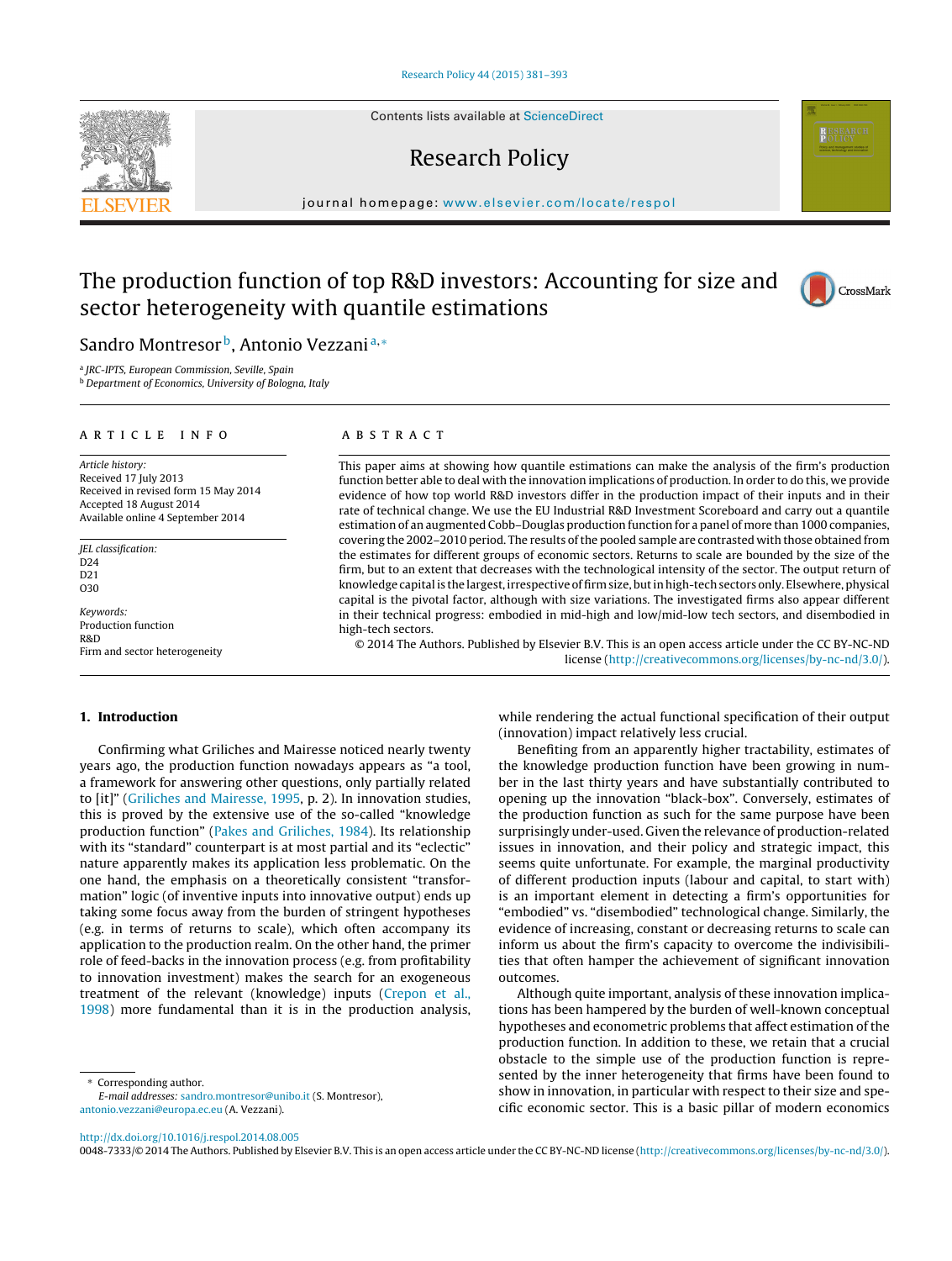Contents lists available at [ScienceDirect](http://www.sciencedirect.com/science/journal/00487333)

# Research Policy

iournal homepage: [www.elsevier.com/locate/respol](http://www.elsevier.com/locate/respol)

# The production function of top R&D investors: Accounting for size and sector heterogeneity with quantile estimations



Sandro Montresor<sup>b</sup>, Antonio Vezzani<sup>a,∗</sup>

<sup>a</sup> JRC-IPTS, European Commission, Seville, Spain

b Department of Economics, University of Bologna, Italy

### a r t i c l e i n f o

Article history: Received 17 July 2013 Received in revised form 15 May 2014 Accepted 18 August 2014 Available online 4 September 2014

JEL classification:  $D24$ D<sub>21</sub> O30

Keywords: Production function R&D Firm and sector heterogeneity

## A B S T R A C T

This paper aims at showing how quantile estimations can make the analysis of the firm's production function better able to deal with the innovation implications of production. In order to do this, we provide evidence of how top world R&D investors differ in the production impact of their inputs and in their rate of technical change. We use the EU Industrial R&D Investment Scoreboard and carry out a quantile estimation of an augmented Cobb–Douglas production function for a panel of more than 1000 companies, covering the 2002–2010 period. The results of the pooled sample are contrasted with those obtained from the estimates for different groups of economic sectors. Returns to scale are bounded by the size of the firm, but to an extent that decreases with the technological intensity of the sector. The output return of knowledge capital is the largest, irrespective of firm size, but in high-tech sectors only. Elsewhere, physical capital is the pivotal factor, although with size variations. The investigated firms also appear different in their technical progress: embodied in mid-high and low/mid-low tech sectors, and disembodied in high-tech sectors.

© 2014 The Authors. Published by Elsevier B.V. This is an open access article under the CC BY-NC-ND license [\(http://creativecommons.org/licenses/by-nc-nd/3.0/](http://creativecommons.org/licenses/by-nc-nd/3.0/)).

# **1. Introduction**

Confirming what Griliches and Mairesse noticed nearly twenty years ago, the production function nowadays appears as "a tool, a framework for answering other questions, only partially related to [it]" ([Griliches](#page-11-0) [and](#page-11-0) [Mairesse,](#page-11-0) [1995,](#page-11-0) p. 2). In innovation studies, this is proved by the extensive use of the so-called "knowledge production function" [\(Pakes](#page-11-0) [and](#page-11-0) [Griliches,](#page-11-0) [1984\).](#page-11-0) Its relationship with its "standard" counterpart is at most partial and its "eclectic" nature apparently makes its application less problematic. On the one hand, the emphasis on a theoretically consistent "transformation" logic (of inventive inputs into innovative output) ends up taking some focus away from the burden of stringent hypotheses (e.g. in terms of returns to scale), which often accompany its application to the production realm. On the other hand, the primer role of feed-backs in the innovation process (e.g. from profitability to innovation investment) makes the search for an exogeneous treatment of the relevant (knowledge) inputs ([Crepon](#page-11-0) et [al.,](#page-11-0) [1998\)](#page-11-0) more fundamental than it is in the production analysis,

Corresponding author.

E-mail addresses: [sandro.montresor@unibo.it](mailto:sandro.montresor@unibo.it) (S. Montresor), [antonio.vezzani@europa.ec.eu](mailto:antonio.vezzani@europa.ec.eu) (A. Vezzani).

while rendering the actual functional specification of their output (innovation) impact relatively less crucial.

Benefiting from an apparently higher tractability, estimates of the knowledge production function have been growing in number in the last thirty years and have substantially contributed to opening up the innovation "black-box". Conversely, estimates of the production function as such for the same purpose have been surprisingly under-used. Given the relevance of production-related issues in innovation, and their policy and strategic impact, this seems quite unfortunate. For example, the marginal productivity of different production inputs (labour and capital, to start with) is an important element in detecting a firm's opportunities for "embodied" vs. "disembodied" technological change. Similarly, the evidence of increasing, constant or decreasing returns to scale can inform us about the firm's capacity to overcome the indivisibilities that often hamper the achievement of significant innovation outcomes.

Although quite important, analysis of these innovation implications has been hampered by the burden of well-known conceptual hypotheses and econometric problems that affect estimation of the production function. In addition to these, we retain that a crucial obstacle to the simple use of the production function is represented by the inner heterogeneity that firms have been found to show in innovation, in particular with respect to their size and specific economic sector. This is a basic pillar of modern economics

[http://dx.doi.org/10.1016/j.respol.2014.08.005](dx.doi.org/10.1016/j.respol.2014.08.005)

0048-7333/© 2014 The Authors. Published by Elsevier B.V. This is an open access article under the CC BY-NC-ND license [\(http://creativecommons.org/licenses/by-nc-nd/3.0/\)](http://creativecommons.org/licenses/by-nc-nd/3.0/).

<span id="page-0-0"></span>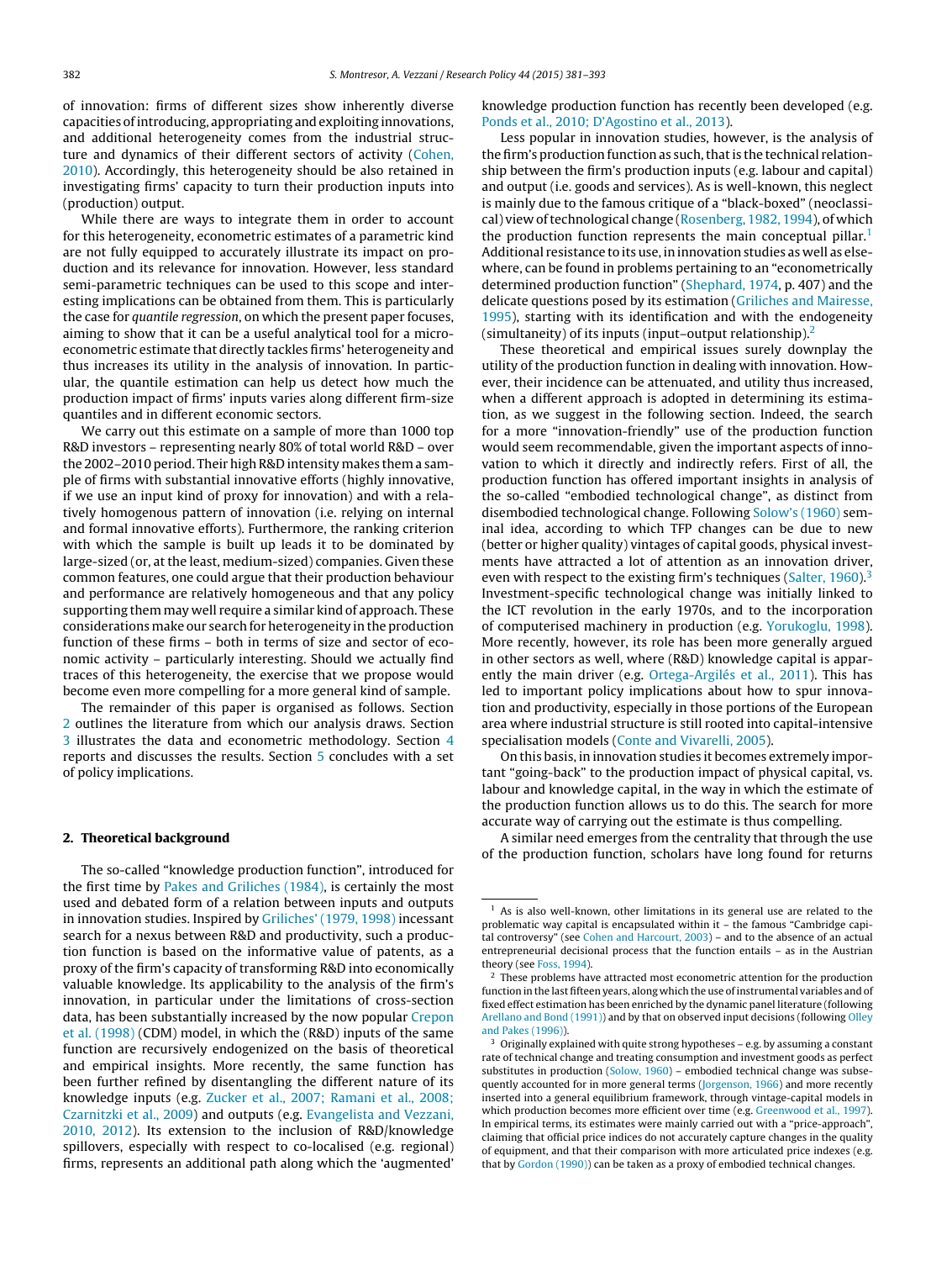of innovation: firms of different sizes show inherently diverse capacities ofintroducing, appropriating and exploiting innovations, and additional heterogeneity comes from the industrial structure and dynamics of their different sectors of activity [\(Cohen,](#page-11-0) [2010\).](#page-11-0) Accordingly, this heterogeneity should be also retained in investigating firms' capacity to turn their production inputs into (production) output.

While there are ways to integrate them in order to account for this heterogeneity, econometric estimates of a parametric kind are not fully equipped to accurately illustrate its impact on production and its relevance for innovation. However, less standard semi-parametric techniques can be used to this scope and interesting implications can be obtained from them. This is particularly the case for quantile regression, on which the present paper focuses, aiming to show that it can be a useful analytical tool for a microeconometric estimate that directly tackles firms' heterogeneity and thus increases its utility in the analysis of innovation. In particular, the quantile estimation can help us detect how much the production impact of firms' inputs varies along different firm-size quantiles and in different economic sectors.

We carry out this estimate on a sample of more than 1000 top R&D investors – representing nearly 80% of total world R&D – over the 2002–2010 period. Their high R&D intensity makes them a sample of firms with substantial innovative efforts (highly innovative, if we use an input kind of proxy for innovation) and with a relatively homogenous pattern of innovation (i.e. relying on internal and formal innovative efforts). Furthermore, the ranking criterion with which the sample is built up leads it to be dominated by large-sized (or, at the least, medium-sized) companies. Given these common features, one could argue that their production behaviour and performance are relatively homogeneous and that any policy supporting them may well require a similar kind of approach. These considerations make our search for heterogeneity in the production function of these firms – both in terms of size and sector of economic activity – particularly interesting. Should we actually find traces of this heterogeneity, the exercise that we propose would become even more compelling for a more general kind of sample.

The remainder of this paper is organised as follows. Section 2 outlines the literature from which our analysis draws. Section [3](#page-3-0) illustrates the data and econometric methodology. Section [4](#page-4-0) reports and discusses the results. Section [5](#page-9-0) concludes with a set of policy implications.

# **2. Theoretical background**

The so-called "knowledge production function", introduced for the first time by [Pakes](#page-11-0) [and](#page-11-0) [Griliches](#page-11-0) [\(1984\),](#page-11-0) is certainly the most used and debated form of a relation between inputs and outputs in innovation studies. Inspired by [Griliches'](#page-11-0) [\(1979,](#page-11-0) [1998\)](#page-11-0) incessant search for a nexus between R&D and productivity, such a production function is based on the informative value of patents, as a proxy of the firm's capacity of transforming R&D into economically valuable knowledge. Its applicability to the analysis of the firm's innovation, in particular under the limitations of cross-section data, has been substantially increased by the now popular [Crepon](#page-11-0) et [al.](#page-11-0) [\(1998\)](#page-11-0) (CDM) model, in which the (R&D) inputs of the same function are recursively endogenized on the basis of theoretical and empirical insights. More recently, the same function has been further refined by disentangling the different nature of its knowledge inputs (e.g. [Zucker](#page-12-0) et [al.,](#page-12-0) [2007;](#page-12-0) [Ramani](#page-12-0) et [al.,](#page-12-0) [2008;](#page-12-0) [Czarnitzki](#page-12-0) et [al.,](#page-12-0) [2009\)](#page-12-0) and outputs (e.g. [Evangelista](#page-11-0) [and](#page-11-0) [Vezzani,](#page-11-0) [2010,](#page-11-0) [2012\).](#page-11-0) Its extension to the inclusion of R&D/knowledge spillovers, especially with respect to co-localised (e.g. regional) firms, represents an additional path along which the 'augmented'

knowledge production function has recently been developed (e.g. [Ponds](#page-11-0) et [al.,](#page-11-0) [2010;](#page-11-0) [D'Agostino](#page-11-0) et [al.,](#page-11-0) [2013\).](#page-11-0)

Less popular in innovation studies, however, is the analysis of the firm's production function as such, that is the technical relationship between the firm's production inputs (e.g. labour and capital) and output (i.e. goods and services). As is well-known, this neglect is mainly due to the famous critique of a "black-boxed" (neoclassi-cal) view of technological change [\(Rosenberg,](#page-11-0) [1982,](#page-11-0) [1994\),](#page-11-0) of which the production function represents the main conceptual pillar.<sup>1</sup> Additional resistance to its use, in innovation studies as well as elsewhere, can be found in problems pertaining to an "econometrically determined production function" ([Shephard,](#page-12-0) [1974,](#page-12-0) p. 407) and the delicate questions posed by its estimation [\(Griliches](#page-11-0) [and](#page-11-0) [Mairesse,](#page-11-0) [1995\),](#page-11-0) starting with its identification and with the endogeneity (simultaneity) of its inputs (input–output relationship).<sup>2</sup>

These theoretical and empirical issues surely downplay the utility of the production function in dealing with innovation. However, their incidence can be attenuated, and utility thus increased, when a different approach is adopted in determining its estimation, as we suggest in the following section. Indeed, the search for a more "innovation-friendly" use of the production function would seem recommendable, given the important aspects of innovation to which it directly and indirectly refers. First of all, the production function has offered important insights in analysis of the so-called "embodied technological change", as distinct from disembodied technological change. Following [Solow's](#page-12-0) [\(1960\)](#page-12-0) seminal idea, according to which TFP changes can be due to new (better or higher quality) vintages of capital goods, physical investments have attracted a lot of attention as an innovation driver, even with respect to the existing firm's techniques ([Salter,](#page-11-0) 1960).<sup>3</sup> Investment-specific technological change was initially linked to the ICT revolution in the early 1970s, and to the incorporation of computerised machinery in production (e.g. [Yorukoglu,](#page-12-0) [1998\).](#page-12-0) More recently, however, its role has been more generally argued in other sectors as well, where (R&D) knowledge capital is apparently the main driver (e.g. [Ortega-Argilés](#page-11-0) et [al.,](#page-11-0) [2011\).](#page-11-0) This has led to important policy implications about how to spur innovation and productivity, especially in those portions of the European area where industrial structure is still rooted into capital-intensive specialisation models ([Conte](#page-11-0) [and](#page-11-0) [Vivarelli,](#page-11-0) [2005\).](#page-11-0)

On this basis, in innovation studies it becomes extremely important "going-back" to the production impact of physical capital, vs. labour and knowledge capital, in the way in which the estimate of the production function allows us to do this. The search for more accurate way of carrying out the estimate is thus compelling.

A similar need emerges from the centrality that through the use of the production function, scholars have long found for returns

 $1$  As is also well-known, other limitations in its general use are related to the problematic way capital is encapsulated within it – the famous "Cambridge capital controversy" (see [Cohen](#page-11-0) [and](#page-11-0) [Harcourt,](#page-11-0) [2003\)](#page-11-0) – and to the absence of an actual entrepreneurial decisional process that the function entails – as in the Austrian theory (see [Foss,](#page-11-0) [1994\).](#page-11-0)

 $2$  These problems have attracted most econometric attention for the production function in the last fifteen years, along which the use ofinstrumental variables and of fixed effect estimation has been enriched by the dynamic panel literature (following [Arellano](#page-11-0) [and](#page-11-0) [Bond](#page-11-0) [\(1991\)\)](#page-11-0) and by that on observed input decisions (following [Olley](#page-11-0) [and](#page-11-0) [Pakes](#page-11-0) [\(1996\)\).](#page-11-0)

<sup>&</sup>lt;sup>3</sup> Originally explained with quite strong hypotheses - e.g. by assuming a constant rate of technical change and treating consumption and investment goods as perfect substitutes in production ([Solow,](#page-12-0) [1960\)](#page-12-0) – embodied technical change was subsequently accounted for in more general terms [\(Jorgenson,](#page-11-0) [1966\)](#page-11-0) and more recently inserted into a general equilibrium framework, through vintage-capital models in which production becomes more efficient over time (e.g. [Greenwood](#page-11-0) et [al.,](#page-11-0) [1997\).](#page-11-0) In empirical terms, its estimates were mainly carried out with a "price-approach", claiming that official price indices do not accurately capture changes in the quality of equipment, and that their comparison with more articulated price indexes (e.g. that by [Gordon](#page-11-0) [\(1990\)\)](#page-11-0) can be taken as a proxy of embodied technical changes.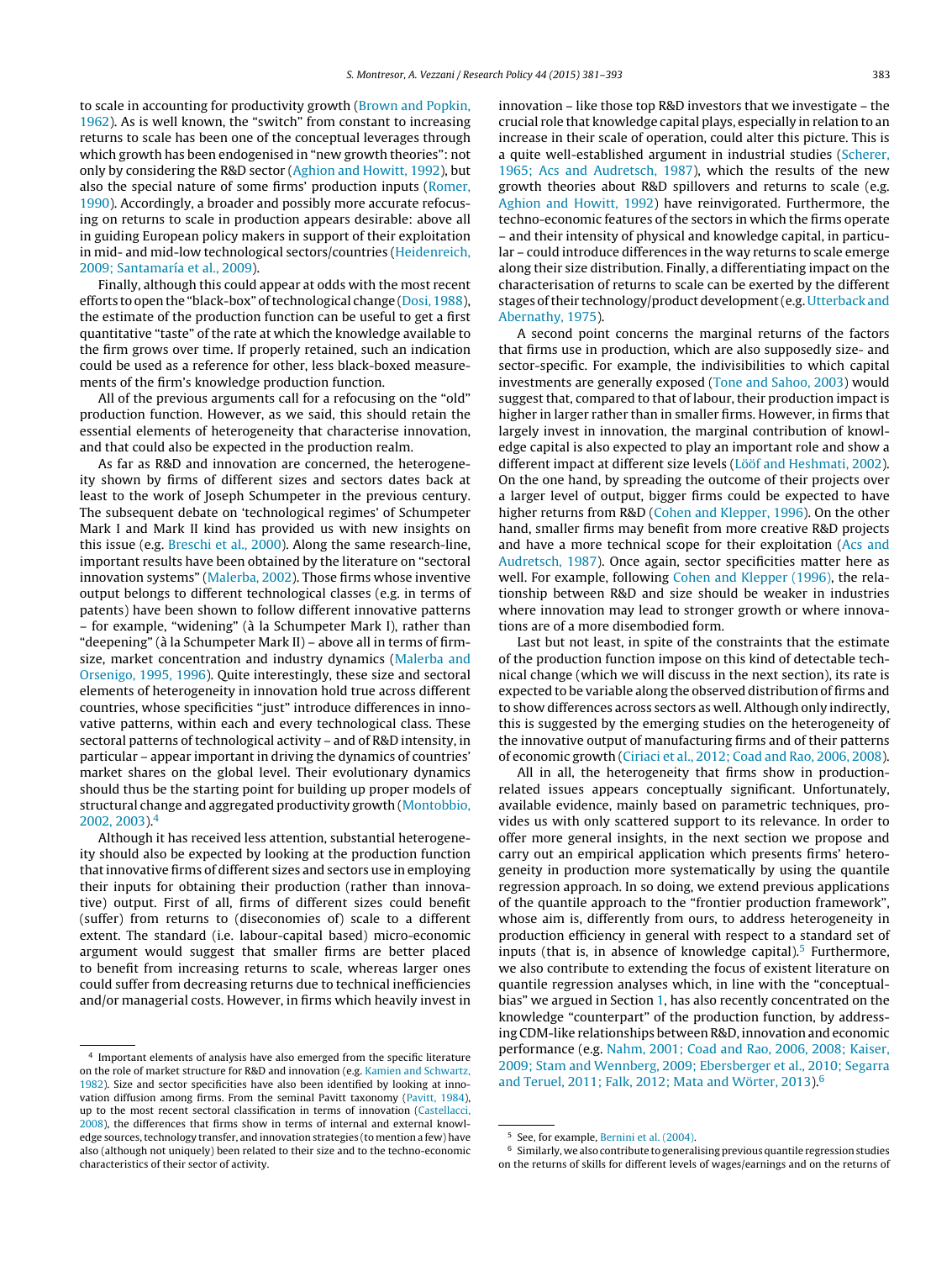to scale in accounting for productivity growth [\(Brown](#page-11-0) [and](#page-11-0) [Popkin,](#page-11-0) [1962\).](#page-11-0) As is well known, the "switch" from constant to increasing returns to scale has been one of the conceptual leverages through which growth has been endogenised in "new growth theories": not only by considering the R&D sector ([Aghion](#page-11-0) [and](#page-11-0) [Howitt,](#page-11-0) [1992\),](#page-11-0) but also the special nature of some firms' production inputs [\(Romer,](#page-11-0) [1990\).](#page-11-0) Accordingly, a broader and possibly more accurate refocusing on returns to scale in production appears desirable: above all in guiding European policy makers in support of their exploitation in mid- and mid-low technological sectors/countries ([Heidenreich,](#page-11-0) [2009;](#page-11-0) [Santamaría](#page-11-0) et [al.,](#page-11-0) [2009\).](#page-11-0)

Finally, although this could appear at odds with the most recent efforts to open the "black-box" of technological change [\(Dosi,](#page-11-0) [1988\),](#page-11-0) the estimate of the production function can be useful to get a first quantitative "taste" of the rate at which the knowledge available to the firm grows over time. If properly retained, such an indication could be used as a reference for other, less black-boxed measurements of the firm's knowledge production function.

All of the previous arguments call for a refocusing on the "old" production function. However, as we said, this should retain the essential elements of heterogeneity that characterise innovation, and that could also be expected in the production realm.

As far as R&D and innovation are concerned, the heterogeneity shown by firms of different sizes and sectors dates back at least to the work of Joseph Schumpeter in the previous century. The subsequent debate on 'technological regimes' of Schumpeter Mark I and Mark II kind has provided us with new insights on this issue (e.g. [Breschi](#page-11-0) et [al.,](#page-11-0) [2000\).](#page-11-0) Along the same research-line, important results have been obtained by the literature on "sectoral innovation systems" ([Malerba,](#page-11-0) [2002\).](#page-11-0) Those firms whose inventive output belongs to different technological classes (e.g. in terms of patents) have been shown to follow different innovative patterns – for example, "widening" (à la Schumpeter Mark I), rather than "deepening" (à la Schumpeter Mark II) – above all in terms of firmsize, market concentration and industry dynamics [\(Malerba](#page-11-0) [and](#page-11-0) [Orsenigo,](#page-11-0) [1995,](#page-11-0) [1996\).](#page-11-0) Quite interestingly, these size and sectoral elements of heterogeneity in innovation hold true across different countries, whose specificities "just" introduce differences in innovative patterns, within each and every technological class. These sectoral patterns of technological activity – and of R&D intensity, in particular – appear important in driving the dynamics of countries' market shares on the global level. Their evolutionary dynamics should thus be the starting point for building up proper models of structural change and aggregated productivity growth [\(Montobbio,](#page-11-0) [2002,](#page-11-0) [2003\).](#page-11-0)4

Although it has received less attention, substantial heterogeneity should also be expected by looking at the production function that innovative firms of different sizes and sectors use in employing their inputs for obtaining their production (rather than innovative) output. First of all, firms of different sizes could benefit (suffer) from returns to (diseconomies of) scale to a different extent. The standard (i.e. labour-capital based) micro-economic argument would suggest that smaller firms are better placed to benefit from increasing returns to scale, whereas larger ones could suffer from decreasing returns due to technical inefficiencies and/or managerial costs. However, in firms which heavily invest in innovation – like those top R&D investors that we investigate – the crucial role that knowledge capital plays, especially in relation to an increase in their scale of operation, could alter this picture. This is a quite well-established argument in industrial studies ([Scherer,](#page-12-0) [1965;](#page-12-0) [Acs](#page-12-0) [and](#page-12-0) [Audretsch,](#page-12-0) [1987\),](#page-12-0) which the results of the new growth theories about R&D spillovers and returns to scale (e.g. [Aghion](#page-11-0) [and](#page-11-0) [Howitt,](#page-11-0) [1992\)](#page-11-0) have reinvigorated. Furthermore, the techno-economic features of the sectors in which the firms operate – and their intensity of physical and knowledge capital, in particular – could introduce differences in the way returns to scale emerge along their size distribution. Finally, a differentiating impact on the characterisation of returns to scale can be exerted by the different stages of their technology/product development (e.g. [Utterback](#page-12-0) [and](#page-12-0) [Abernathy,](#page-12-0) [1975\).](#page-12-0)

A second point concerns the marginal returns of the factors that firms use in production, which are also supposedly size- and sector-specific. For example, the indivisibilities to which capital investments are generally exposed [\(Tone](#page-12-0) [and](#page-12-0) [Sahoo,](#page-12-0) [2003\)](#page-12-0) would suggest that, compared to that of labour, their production impact is higher in larger rather than in smaller firms. However, in firms that largely invest in innovation, the marginal contribution of knowledge capital is also expected to play an important role and show a different impact at different size levels [\(Lööf](#page-11-0) [and](#page-11-0) [Heshmati,](#page-11-0) [2002\).](#page-11-0) On the one hand, by spreading the outcome of their projects over a larger level of output, bigger firms could be expected to have higher returns from R&D [\(Cohen](#page-11-0) [and](#page-11-0) [Klepper,](#page-11-0) [1996\).](#page-11-0) On the other hand, smaller firms may benefit from more creative R&D projects and have a more technical scope for their exploitation [\(Acs](#page-11-0) [and](#page-11-0) [Audretsch,](#page-11-0) [1987\).](#page-11-0) Once again, sector specificities matter here as well. For example, following [Cohen](#page-11-0) [and](#page-11-0) [Klepper](#page-11-0) [\(1996\),](#page-11-0) the relationship between R&D and size should be weaker in industries where innovation may lead to stronger growth or where innovations are of a more disembodied form.

Last but not least, in spite of the constraints that the estimate of the production function impose on this kind of detectable technical change (which we will discuss in the next section), its rate is expected to be variable along the observed distribution of firms and to show differences across sectors as well. Although only indirectly, this is suggested by the emerging studies on the heterogeneity of the innovative output of manufacturing firms and of their patterns of economic growth [\(Ciriaci](#page-11-0) et [al.,](#page-11-0) [2012;](#page-11-0) [Coad](#page-11-0) [and](#page-11-0) [Rao,](#page-11-0) [2006,](#page-11-0) [2008\).](#page-11-0)

All in all, the heterogeneity that firms show in productionrelated issues appears conceptually significant. Unfortunately, available evidence, mainly based on parametric techniques, provides us with only scattered support to its relevance. In order to offer more general insights, in the next section we propose and carry out an empirical application which presents firms' heterogeneity in production more systematically by using the quantile regression approach. In so doing, we extend previous applications of the quantile approach to the "frontier production framework", whose aim is, differently from ours, to address heterogeneity in production efficiency in general with respect to a standard set of inputs (that is, in absence of knowledge capital).<sup>5</sup> Furthermore, we also contribute to extending the focus of existent literature on quantile regression analyses which, in line with the "conceptualbias" we argued in Section [1,](#page-0-0) has also recently concentrated on the knowledge "counterpart" of the production function, by addressing CDM-like relationships between R&D, innovation and economic performance (e.g. [Nahm,](#page-11-0) [2001;](#page-11-0) [Coad](#page-11-0) [and](#page-11-0) [Rao,](#page-11-0) [2006,](#page-11-0) [2008;](#page-11-0) [Kaiser,](#page-11-0) [2009;](#page-11-0) [Stam](#page-11-0) [and](#page-11-0) [Wennberg,](#page-11-0) [2009;](#page-11-0) [Ebersberger](#page-11-0) et [al.,](#page-11-0) [2010;](#page-11-0) [Segarra](#page-11-0) [and](#page-11-0) [Teruel,](#page-11-0) [2011;](#page-11-0) [Falk,](#page-11-0) [2012;](#page-11-0) [Mata](#page-11-0) [and](#page-11-0) [Wörter,](#page-11-0) [2013\).](#page-11-0)6

<sup>4</sup> Important elements of analysis have also emerged from the specific literature on the role of market structure for R&D and innovation (e.g. [Kamien](#page-11-0) [and](#page-11-0) [Schwartz,](#page-11-0) [1982\).](#page-11-0) Size and sector specificities have also been identified by looking at innovation diffusion among firms. From the seminal Pavitt taxonomy ([Pavitt,](#page-11-0) [1984\),](#page-11-0) up to the most recent sectoral classification in terms of innovation ([Castellacci,](#page-11-0) [2008\),](#page-11-0) the differences that firms show in terms of internal and external knowledge sources,technology transfer, and innovation strategies (to mention a few) have also (although not uniquely) been related to their size and to the techno-economic characteristics of their sector of activity.

<sup>5</sup> See, for example, [Bernini](#page-11-0) et [al.](#page-11-0) [\(2004\).](#page-11-0)

 $6$  Similarly, we also contribute to generalising previous quantile regression studies on the returns of skills for different levels of wages/earnings and on the returns of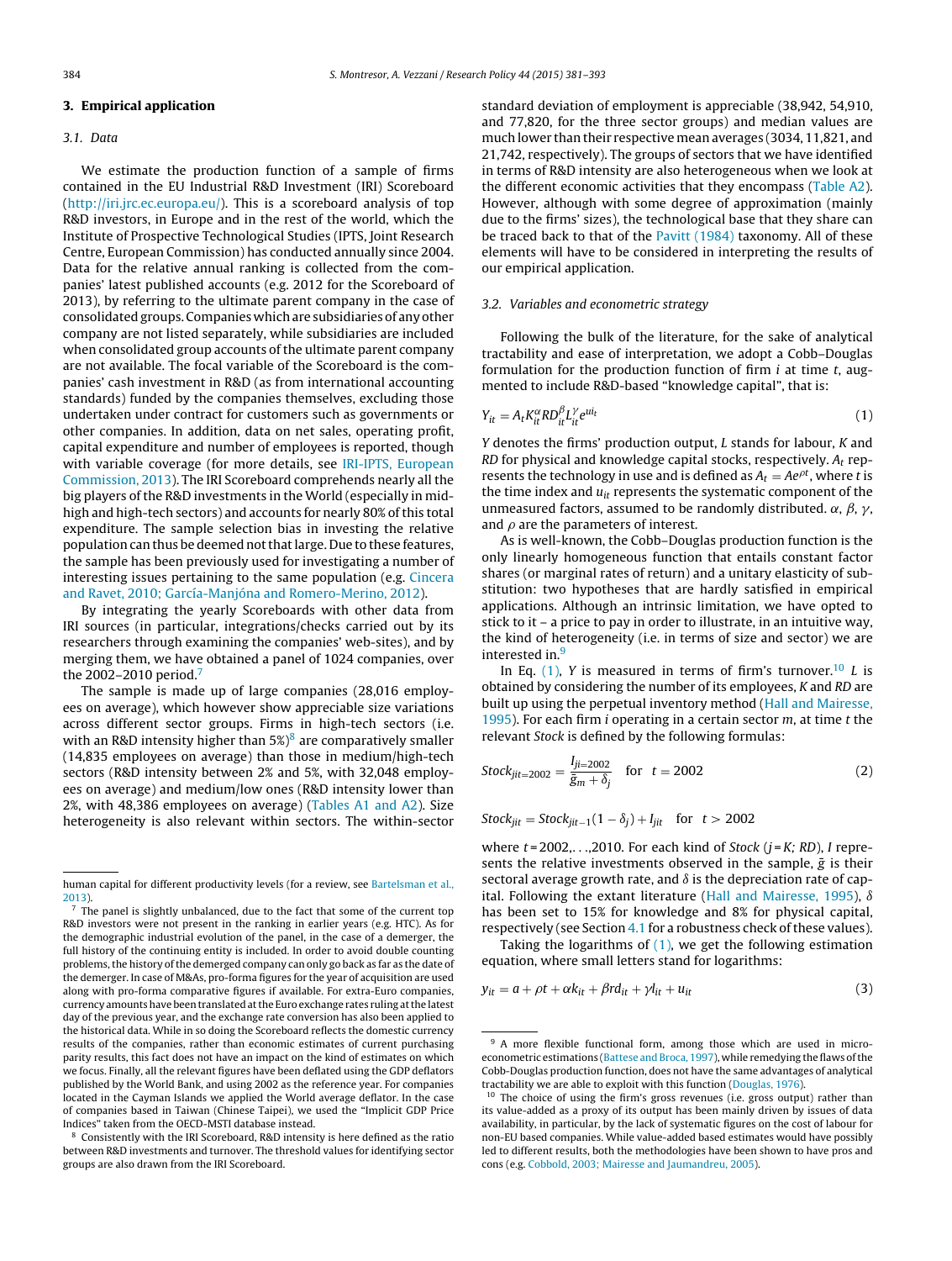# <span id="page-3-0"></span>**3. Empirical application**

# 3.1. Data

We estimate the production function of a sample of firms contained in the EU Industrial R&D Investment (IRI) Scoreboard (<http://iri.jrc.ec.europa.eu/>). This is a scoreboard analysis of top R&D investors, in Europe and in the rest of the world, which the Institute of Prospective Technological Studies (IPTS, Joint Research Centre, European Commission) has conducted annually since 2004. Data for the relative annual ranking is collected from the companies' latest published accounts (e.g. 2012 for the Scoreboard of 2013), by referring to the ultimate parent company in the case of consolidatedgroups.Companies whichare subsidiaries of any other company are not listed separately, while subsidiaries are included when consolidated group accounts of the ultimate parent company are not available. The focal variable of the Scoreboard is the companies' cash investment in R&D (as from international accounting standards) funded by the companies themselves, excluding those undertaken under contract for customers such as governments or other companies. In addition, data on net sales, operating profit, capital expenditure and number of employees is reported, though with variable coverage (for more details, see [IRI-IPTS,](#page-11-0) [European](#page-11-0) [Commission,](#page-11-0) [2013\).](#page-11-0) The IRI Scoreboard comprehends nearly all the big players of the R&D investments in the World (especially in midhigh and high-tech sectors) and accounts for nearly 80% of this total expenditure. The sample selection bias in investing the relative population can thus be deemed not that large. Due to these features, the sample has been previously used for investigating a number of interesting issues pertaining to the same population (e.g. [Cincera](#page-11-0) [and](#page-11-0) [Ravet,](#page-11-0) [2010;](#page-11-0) [García-Manjóna](#page-11-0) [and](#page-11-0) [Romero-Merino,](#page-11-0) [2012\).](#page-11-0)

By integrating the yearly Scoreboards with other data from IRI sources (in particular, integrations/checks carried out by its researchers through examining the companies' web-sites), and by merging them, we have obtained a panel of 1024 companies, over the 2002–2010 period.7

The sample is made up of large companies (28,016 employees on average), which however show appreciable size variations across different sector groups. Firms in high-tech sectors (i.e. with an R&D intensity higher than  $5\%)^8$  are comparatively smaller (14,835 employees on average) than those in medium/high-tech sectors (R&D intensity between 2% and 5%, with 32,048 employees on average) and medium/low ones (R&D intensity lower than 2%, with 48,386 employees on average) [\(Tables](#page-10-0) A1 and A2). Size heterogeneity is also relevant within sectors. The within-sector

standard deviation of employment is appreciable (38,942, 54,910, and 77,820, for the three sector groups) and median values are much lower than their respective mean averages (3034, 11,821, and 21,742, respectively). The groups of sectors that we have identified in terms of R&D intensity are also heterogeneous when we look at the different economic activities that they encompass ([Table](#page-10-0) A2). However, although with some degree of approximation (mainly due to the firms' sizes), the technological base that they share can be traced back to that of the [Pavitt](#page-11-0) [\(1984\)](#page-11-0) taxonomy. All of these elements will have to be considered in interpreting the results of our empirical application.

## 3.2. Variables and econometric strategy

Following the bulk of the literature, for the sake of analytical tractability and ease of interpretation, we adopt a Cobb–Douglas formulation for the production function of firm  $i$  at time  $t$ , augmented to include R&D-based "knowledge capital", that is:

$$
Y_{it} = A_t K_{it}^{\alpha} R D_{it}^{\beta} L_{it}^{\gamma} e^{u i_t}
$$
 (1)

Y denotes the firms' production output, L stands for labour, K and  $RD$  for physical and knowledge capital stocks, respectively.  $A_t$  represents the technology in use and is defined as  $A_t = Ae^{\rho t}$ , where t is the time index and  $u_{it}$  represents the systematic component of the unmeasured factors, assumed to be randomly distributed.  $\alpha$ ,  $\beta$ ,  $\gamma$ , and  $\rho$  are the parameters of interest.

As is well-known, the Cobb–Douglas production function is the only linearly homogeneous function that entails constant factor shares (or marginal rates of return) and a unitary elasticity of substitution: two hypotheses that are hardly satisfied in empirical applications. Although an intrinsic limitation, we have opted to stick to it – a price to pay in order to illustrate, in an intuitive way, the kind of heterogeneity (i.e. in terms of size and sector) we are interested in.<sup>9</sup>

In Eq. (1), Y is measured in terms of firm's turnover.<sup>10</sup> L is obtained by considering the number of its employees, K and RD are built up using the perpetual inventory method [\(Hall](#page-11-0) [and](#page-11-0) [Mairesse,](#page-11-0) [1995\).](#page-11-0) For each firm  $i$  operating in a certain sector  $m$ , at time  $t$  the relevant Stock is defined by the following formulas:

$$
Stock_{jit=2002} = \frac{I_{ji=2002}}{\bar{g}_m + \delta_j} \quad \text{for} \quad t = 2002 \tag{2}
$$

 $Stock_{jit} = Stock_{jit-1}(1 - \delta_j) + I_{jit}$  for  $t > 2002$ 

where  $t = 2002, \ldots, 2010$ . For each kind of Stock ( $j = K$ ; RD), I represents the relative investments observed in the sample,  $\bar{g}$  is their sectoral average growth rate, and  $\delta$  is the depreciation rate of cap-ital. Following the extant literature ([Hall](#page-11-0) [and](#page-11-0) [Mairesse,](#page-11-0) [1995\),](#page-11-0)  $\delta$ has been set to 15% for knowledge and 8% for physical capital, respectively (see Section  $4.1$  for a robustness check of these values).

Taking the logarithms of  $(1)$ , we get the following estimation equation, where small letters stand for logarithms:

$$
y_{it} = a + \rho t + \alpha k_{it} + \beta r d_{it} + \gamma l_{it} + u_{it}
$$
\n(3)

human capital for different productivity levels (for a review, see [Bartelsman](#page-11-0) et [al.,](#page-11-0) [2013\).](#page-11-0)

 $7$  The panel is slightly unbalanced, due to the fact that some of the current top R&D investors were not present in the ranking in earlier years (e.g. HTC). As for the demographic industrial evolution of the panel, in the case of a demerger, the full history of the continuing entity is included. In order to avoid double counting problems,the history ofthe demerged company can only go back as far as the date of the demerger. In case of M&As, pro-forma figures for the year of acquisition are used along with pro-forma comparative figures if available. For extra-Euro companies, currency amountshave beentranslatedatthe Euro exchange rates ruling atthe latest day of the previous year, and the exchange rate conversion has also been applied to the historical data. While in so doing the Scoreboard reflects the domestic currency results of the companies, rather than economic estimates of current purchasing parity results, this fact does not have an impact on the kind of estimates on which we focus. Finally, all the relevant figures have been deflated using the GDP deflators published by the World Bank, and using 2002 as the reference year. For companies located in the Cayman Islands we applied the World average deflator. In the case of companies based in Taiwan (Chinese Taipei), we used the "Implicit GDP Price Indices" taken from the OECD-MSTI database instead.

<sup>8</sup> Consistently with the IRI Scoreboard, R&D intensity is here defined as the ratio between R&D investments and turnover. The threshold values for identifying sector groups are also drawn from the IRI Scoreboard.

<sup>&</sup>lt;sup>9</sup> A more flexible functional form, among those which are used in micro-econometric estimations ([Battese](#page-11-0) [and](#page-11-0) [Broca,](#page-11-0) [1997\),](#page-11-0) while remedying the flaws of the Cobb-Douglas production function, does not have the same advantages of analytical tractability we are able to exploit with this function ([Douglas,](#page-11-0) [1976\).](#page-11-0)

<sup>&</sup>lt;sup>10</sup> The choice of using the firm's gross revenues (i.e. gross output) rather than its value-added as a proxy of its output has been mainly driven by issues of data availability, in particular, by the lack of systematic figures on the cost of labour for non-EU based companies. While value-added based estimates would have possibly led to different results, both the methodologies have been shown to have pros and cons (e.g. [Cobbold,](#page-11-0) [2003;](#page-11-0) [Mairesse](#page-11-0) [and](#page-11-0) [Jaumandreu,](#page-11-0) [2005\).](#page-11-0)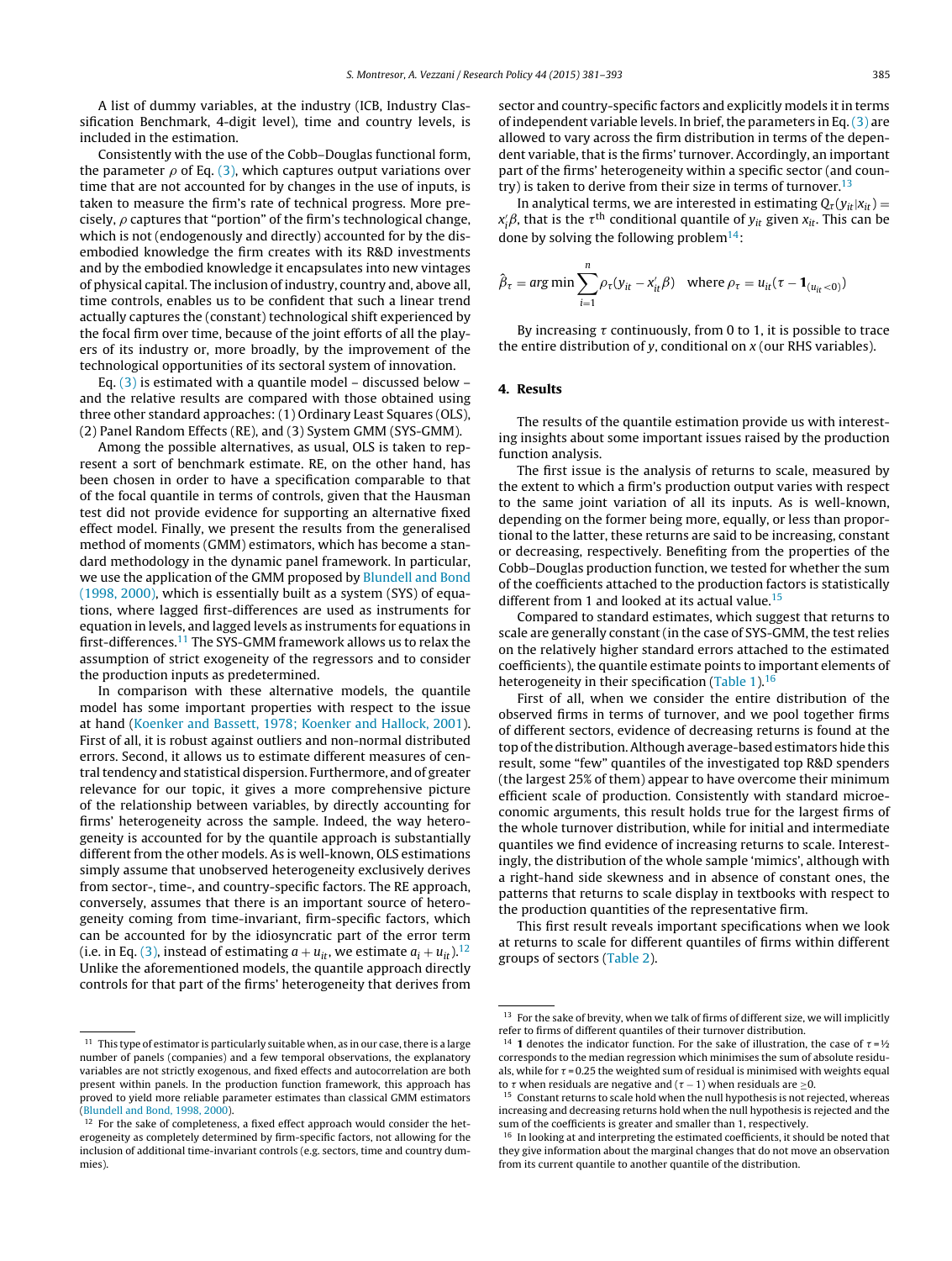<span id="page-4-0"></span>A list of dummy variables, at the industry (ICB, Industry Classification Benchmark, 4-digit level), time and country levels, is included in the estimation.

Consistently with the use of the Cobb–Douglas functional form, the parameter  $\rho$  of Eq. [\(3\),](#page-3-0) which captures output variations over time that are not accounted for by changes in the use of inputs, is taken to measure the firm's rate of technical progress. More precisely,  $\rho$  captures that "portion" of the firm's technological change, which is not (endogenously and directly) accounted for by the disembodied knowledge the firm creates with its R&D investments and by the embodied knowledge it encapsulates into new vintages of physical capital. The inclusion of industry, country and, above all, time controls, enables us to be confident that such a linear trend actually captures the (constant) technological shift experienced by the focal firm over time, because of the joint efforts of all the players of its industry or, more broadly, by the improvement of the technological opportunities of its sectoral system of innovation.

Eq.  $(3)$  is estimated with a quantile model – discussed below – and the relative results are compared with those obtained using three other standard approaches: (1) Ordinary Least Squares (OLS), (2) Panel Random Effects (RE), and (3) System GMM (SYS-GMM).

Among the possible alternatives, as usual, OLS is taken to represent a sort of benchmark estimate. RE, on the other hand, has been chosen in order to have a specification comparable to that of the focal quantile in terms of controls, given that the Hausman test did not provide evidence for supporting an alternative fixed effect model. Finally, we present the results from the generalised method of moments (GMM) estimators, which has become a standard methodology in the dynamic panel framework. In particular, we use the application of the GMM proposed by [Blundell](#page-11-0) [and](#page-11-0) [Bond](#page-11-0) [\(1998,](#page-11-0) [2000\),](#page-11-0) which is essentially built as a system (SYS) of equations, where lagged first-differences are used as instruments for equation in levels, and lagged levels as instruments for equations in first-differences.11 The SYS-GMM framework allows us to relax the assumption of strict exogeneity of the regressors and to consider the production inputs as predetermined.

In comparison with these alternative models, the quantile model has some important properties with respect to the issue at hand ([Koenker](#page-11-0) [and](#page-11-0) [Bassett,](#page-11-0) [1978;](#page-11-0) [Koenker](#page-11-0) [and](#page-11-0) [Hallock,](#page-11-0) [2001\).](#page-11-0) First of all, it is robust against outliers and non-normal distributed errors. Second, it allows us to estimate different measures of central tendency and statistical dispersion. Furthermore, and of greater relevance for our topic, it gives a more comprehensive picture of the relationship between variables, by directly accounting for firms' heterogeneity across the sample. Indeed, the way heterogeneity is accounted for by the quantile approach is substantially different from the other models. As is well-known, OLS estimations simply assume that unobserved heterogeneity exclusively derives from sector-, time-, and country-specific factors. The RE approach, conversely, assumes that there is an important source of heterogeneity coming from time-invariant, firm-specific factors, which can be accounted for by the idiosyncratic part of the error term (i.e. in Eq. [\(3\),](#page-3-0) instead of estimating  $a + u_{it}$ , we estimate  $a_i + u_{it}$ ).<sup>12</sup> Unlike the aforementioned models, the quantile approach directly controls for that part of the firms' heterogeneity that derives from sector and country-specific factors and explicitly models it in terms of independent variable levels. In brief, the parameters in Eq.  $(3)$  are allowed to vary across the firm distribution in terms of the dependent variable, that is the firms' turnover. Accordingly, an important part of the firms' heterogeneity within a specific sector (and country) is taken to derive from their size in terms of turnover.<sup>13</sup>

In analytical terms, we are interested in estimating  $Q_t(y_{it}|x_{it}) =$  $x_i'\beta$ , that is the  $\tau^{\text{th}}$  conditional quantile of  $y_{it}$  given  $x_{it}$ . This can be done by solving the following problem<sup>14</sup>:

$$
\hat{\beta}_{\tau} = \arg \min \sum_{i=1}^{n} \rho_{\tau}(y_{it} - x_{it}'\beta) \quad \text{where } \rho_{\tau} = u_{it}(\tau - \mathbf{1}_{(u_{it} < 0)})
$$

By increasing  $\tau$  continuously, from 0 to 1, it is possible to trace the entire distribution of  $v$ , conditional on  $x$  (our RHS variables).

# **4. Results**

The results of the quantile estimation provide us with interesting insights about some important issues raised by the production function analysis.

The first issue is the analysis of returns to scale, measured by the extent to which a firm's production output varies with respect to the same joint variation of all its inputs. As is well-known, depending on the former being more, equally, or less than proportional to the latter, these returns are said to be increasing, constant or decreasing, respectively. Benefiting from the properties of the Cobb–Douglas production function, we tested for whether the sum of the coefficients attached to the production factors is statistically different from 1 and looked at its actual value.<sup>15</sup>

Compared to standard estimates, which suggest that returns to scale are generally constant (in the case of SYS-GMM, the test relies on the relatively higher standard errors attached to the estimated coefficients), the quantile estimate points to important elements of heterogeneity in their specification ([Table](#page-5-0) 1).<sup>16</sup>

First of all, when we consider the entire distribution of the observed firms in terms of turnover, and we pool together firms of different sectors, evidence of decreasing returns is found at the top of the distribution. Although average-based estimators hide this result, some "few" quantiles of the investigated top R&D spenders (the largest 25% of them) appear to have overcome their minimum efficient scale of production. Consistently with standard microeconomic arguments, this result holds true for the largest firms of the whole turnover distribution, while for initial and intermediate quantiles we find evidence of increasing returns to scale. Interestingly, the distribution of the whole sample 'mimics', although with a right-hand side skewness and in absence of constant ones, the patterns that returns to scale display in textbooks with respect to the production quantities of the representative firm.

This first result reveals important specifications when we look at returns to scale for different quantiles of firms within different groups of sectors [\(Table](#page-5-0) 2).

 $^{\rm 11}$  This type of estimator is particularly suitable when, as in our case, there is a large number of panels (companies) and a few temporal observations, the explanatory variables are not strictly exogenous, and fixed effects and autocorrelation are both present within panels. In the production function framework, this approach has proved to yield more reliable parameter estimates than classical GMM estimators [\(Blundell](#page-11-0) [and](#page-11-0) [Bond,](#page-11-0) [1998,](#page-11-0) [2000\).](#page-11-0)

 $12$  For the sake of completeness, a fixed effect approach would consider the heterogeneity as completely determined by firm-specific factors, not allowing for the inclusion of additional time-invariant controls (e.g. sectors, time and country dummies).

 $13$  For the sake of brevity, when we talk of firms of different size, we will implicitly refer to firms of different quantiles of their turnover distribution.

<sup>&</sup>lt;sup>14</sup> **1** denotes the indicator function. For the sake of illustration, the case of  $\tau = \frac{1}{2}$ corresponds to the median regression which minimises the sum of absolute residuals, while for  $\tau$  = 0.25 the weighted sum of residual is minimised with weights equal

to τ when residuals are negative and (τ – 1) when residuals are  $\geq$ 0.<br><sup>15</sup> Constant returns to scale hold when the null hypothesis is not rejected, whereas increasing and decreasing returns hold when the null hypothesis is rejected and the sum of the coefficients is greater and smaller than 1, respectively.

 $^{16}\,$  In looking at and interpreting the estimated coefficients, it should be noted that they give information about the marginal changes that do not move an observation from its current quantile to another quantile of the distribution.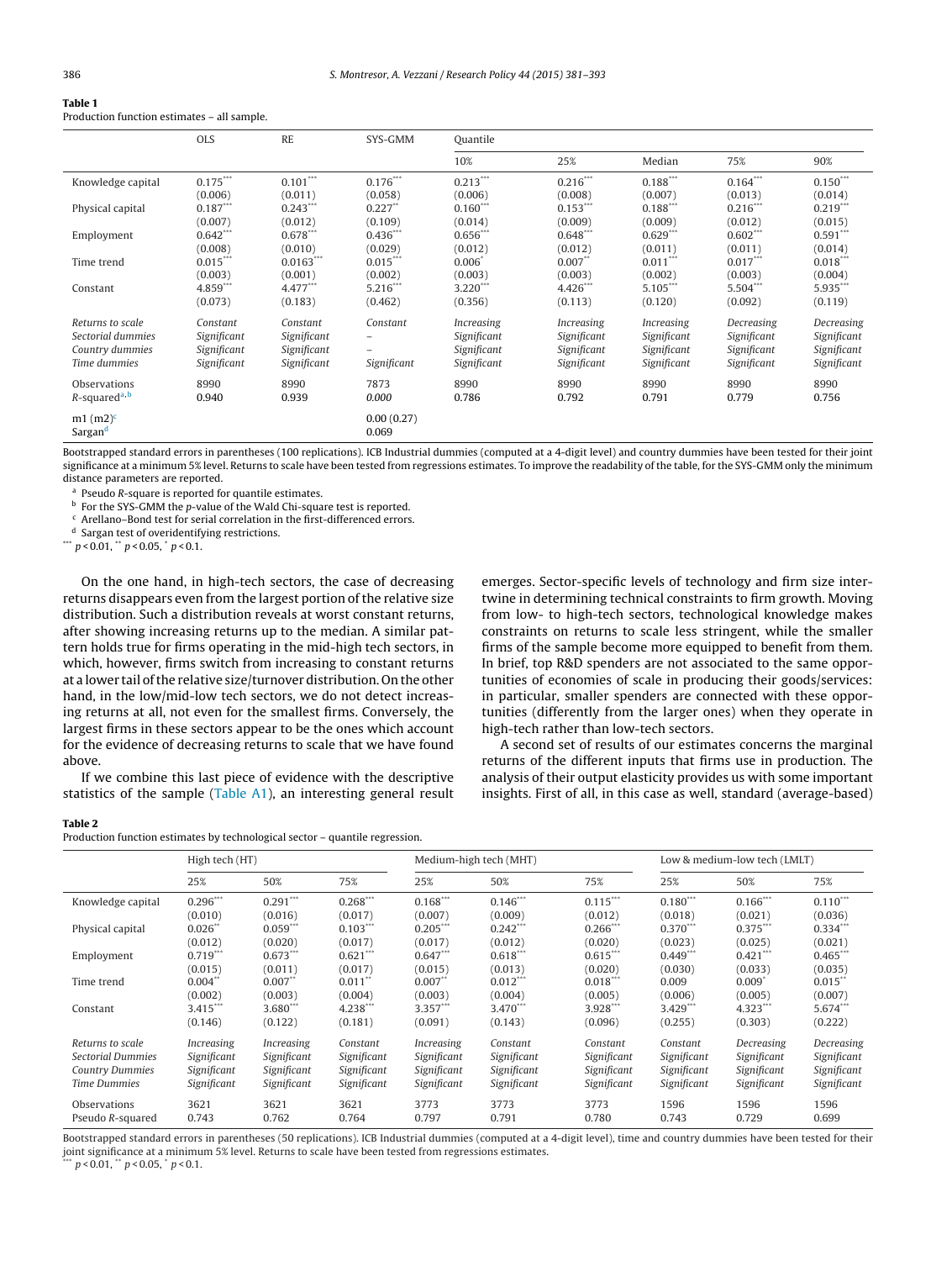#### <span id="page-5-0"></span>**Table 1** Production function estimates – all sample.

|                              | <b>OLS</b>  | <b>RE</b>   | SYS-GMM     | Quantile          |                   |             |             |             |
|------------------------------|-------------|-------------|-------------|-------------------|-------------------|-------------|-------------|-------------|
|                              |             |             |             | 10%               | 25%               | Median      | 75%         | 90%         |
| Knowledge capital            | $0.175***$  | $0.101***$  | $0.176***$  | $0.213***$        | $0.216***$        | $0.188***$  | $0.164***$  | $0.150***$  |
|                              | (0.006)     | (0.011)     | (0.058)     | (0.006)           | (0.008)           | (0.007)     | (0.013)     | (0.014)     |
| Physical capital             | $0.187***$  | $0.243***$  | $0.227$ **  | $0.160***$        | $0.153***$        | $0.188***$  | $0.216***$  | $0.219***$  |
|                              | (0.007)     | (0.012)     | (0.109)     | (0.014)           | (0.009)           | (0.009)     | (0.012)     | (0.015)     |
| Employment                   | $0.642***$  | $0.678***$  | $0.436***$  | $0.656***$        | $0.648***$        | $0.629***$  | $0.602***$  | $0.591***$  |
|                              | (0.008)     | (0.010)     | (0.029)     | (0.012)           | (0.012)           | (0.011)     | (0.011)     | (0.014)     |
| Time trend                   | $0.015***$  | $0.0163***$ | $0.015***$  | $0.006*$          | $0.007**$         | $0.011***$  | $0.017***$  | $0.018***$  |
|                              | (0.003)     | (0.001)     | (0.002)     | (0.003)           | (0.003)           | (0.002)     | (0.003)     | (0.004)     |
| Constant                     | 4.859***    | $4.477***$  | 5.216***    | $3.220***$        | 4.426***          | $5.105***$  | 5.504***    | 5.935***    |
|                              |             |             |             |                   |                   |             |             |             |
|                              | (0.073)     | (0.183)     | (0.462)     | (0.356)           | (0.113)           | (0.120)     | (0.092)     | (0.119)     |
| Returns to scale             | Constant    | Constant    | Constant    | <i>Increasing</i> | <i>Increasing</i> | Increasing  | Decreasing  | Decreasing  |
| Sectorial dummies            | Significant | Significant | -           | Significant       | Significant       | Significant | Significant | Significant |
| Country dummies              | Significant | Significant | -           | Significant       | Significant       | Significant | Significant | Significant |
| Time dummies                 | Significant | Significant | Significant | Significant       | Significant       | Significant | Significant | Significant |
|                              |             |             |             |                   |                   |             |             |             |
| Observations                 | 8990        | 8990        | 7873        | 8990              | 8990              | 8990        | 8990        | 8990        |
| $R$ -squared <sup>a, b</sup> | 0.940       | 0.939       | 0.000       | 0.786             | 0.792             | 0.791       | 0.779       | 0.756       |
|                              |             |             |             |                   |                   |             |             |             |
| $m1$ (m2) <sup>c</sup>       |             |             | 0.00(0.27)  |                   |                   |             |             |             |
| Sargand                      |             |             | 0.069       |                   |                   |             |             |             |

Bootstrapped standard errors in parentheses (100 replications). ICB Industrial dummies (computed at a 4-digit level) and country dummies have been tested for their joint significance at a minimum 5% level. Returns to scale have been tested from regressions estimates. To improve the readability of the table, for the SYS-GMM only the minimum distance parameters are reported.

<sup>a</sup> Pseudo R-square is reported for quantile estimates.

b For the SYS-GMM the *p*-value of the Wald Chi-square test is reported.

Arellano–Bond test for serial correlation in the first-differenced errors.

<sup>d</sup> Sargan test of overidentifying restrictions.

\*\*\*  $p < 0.01$ , \*\*  $p < 0.05$ , \*  $p < 0.1$ .

On the one hand, in high-tech sectors, the case of decreasing returns disappears even from the largest portion of the relative size distribution. Such a distribution reveals at worst constant returns, after showing increasing returns up to the median. A similar pattern holds true for firms operating in the mid-high tech sectors, in which, however, firms switch from increasing to constant returns at a lower tail of the relative size/turnover distribution. On the other hand, in the low/mid-low tech sectors, we do not detect increasing returns at all, not even for the smallest firms. Conversely, the largest firms in these sectors appear to be the ones which account for the evidence of decreasing returns to scale that we have found above.

If we combine this last piece of evidence with the descriptive statistics of the sample ([Table](#page-10-0) A1), an interesting general result emerges. Sector-specific levels of technology and firm size intertwine in determining technical constraints to firm growth. Moving from low- to high-tech sectors, technological knowledge makes constraints on returns to scale less stringent, while the smaller firms of the sample become more equipped to benefit from them. In brief, top R&D spenders are not associated to the same opportunities of economies of scale in producing their goods/services: in particular, smaller spenders are connected with these opportunities (differently from the larger ones) when they operate in high-tech rather than low-tech sectors.

A second set of results of our estimates concerns the marginal returns of the different inputs that firms use in production. The analysis of their output elasticity provides us with some important insights. First of all, in this case as well, standard (average-based)

#### **Table 2** Production function estimates by technological sector – quantile regression.

|                        | High tech (HT)    |                   |             | Medium-high tech (MHT) |             |             | Low & medium-low tech (LMLT) |                      |             |
|------------------------|-------------------|-------------------|-------------|------------------------|-------------|-------------|------------------------------|----------------------|-------------|
|                        | 25%               | 50%               | 75%         | 25%                    | 50%         | 75%         | 25%                          | 50%                  | 75%         |
| Knowledge capital      | $0.296***$        | $0.291***$        | $0.268***$  | $0.168***$             | $0.146***$  | $0.115***$  | $0.180***$                   | $0.166***$           | $0.110***$  |
|                        | (0.010)           | (0.016)           | (0.017)     | (0.007)                | (0.009)     | (0.012)     | (0.018)                      | (0.021)              | (0.036)     |
| Physical capital       | 0.026             | $0.059***$        | $0.103***$  | $0.205***$             | $0.242***$  | $0.266***$  | $0.370***$                   | $0.375***$           | $0.334***$  |
|                        | (0.012)           | (0.020)           | (0.017)     | (0.017)                | (0.012)     | (0.020)     | (0.023)                      | (0.025)              | (0.021)     |
| Employment             | $0.719***$        | $0.673***$        | $0.621***$  | $0.647***$             | $0.618***$  | $0.615***$  | $0.449***$                   | $0.421***$           | $0.465***$  |
|                        | (0.015)           | (0.011)           | (0.017)     | (0.015)                | (0.013)     | (0.020)     | (0.030)                      | (0.033)              | (0.035)     |
| Time trend             | $0.004$ **        | $0.007**$         | $0.011$ **  | $0.007**$              | $0.012***$  | $0.018***$  | 0.009                        | $0.009$ <sup>*</sup> | $0.015$ **  |
|                        | (0.002)           | (0.003)           | (0.004)     | (0.003)                | (0.004)     | (0.005)     | (0.006)                      | (0.005)              | (0.007)     |
| Constant               | 3.415***          | 3.680***          | 4.238***    | $3.357***$             | 3.470***    | 3.928***    | $3.429***$                   | 4.323***             | 5.674***    |
|                        | (0.146)           | (0.122)           | (0.181)     | (0.091)                | (0.143)     | (0.096)     | (0.255)                      | (0.303)              | (0.222)     |
| Returns to scale       | <i>Increasing</i> | <i>Increasing</i> | Constant    | <i>Increasing</i>      | Constant    | Constant    | Constant                     | Decreasing           | Decreasing  |
| Sectorial Dummies      | Significant       | Significant       | Significant | Significant            | Significant | Significant | Significant                  | Significant          | Significant |
| <b>Country Dummies</b> | Significant       | Significant       | Significant | Significant            | Significant | Significant | Significant                  | Significant          | Significant |
| <b>Time Dummies</b>    | Significant       | Significant       | Significant | Significant            | Significant | Significant | Significant                  | Significant          | Significant |
| Observations           | 3621              | 3621              | 3621        | 3773                   | 3773        | 3773        | 1596                         | 1596                 | 1596        |
| Pseudo R-squared       | 0.743             | 0.762             | 0.764       | 0.797                  | 0.791       | 0.780       | 0.743                        | 0.729                | 0.699       |

Bootstrapped standard errors in parentheses (50 replications). ICB Industrial dummies (computed at a 4-digit level), time and country dummies have been tested for their joint significance at a minimum 5% level. Returns to scale have been tested from regressions estimates.

 $p < 0.01$ , \*\*  $p < 0.05$ , \*  $p < 0.1$ .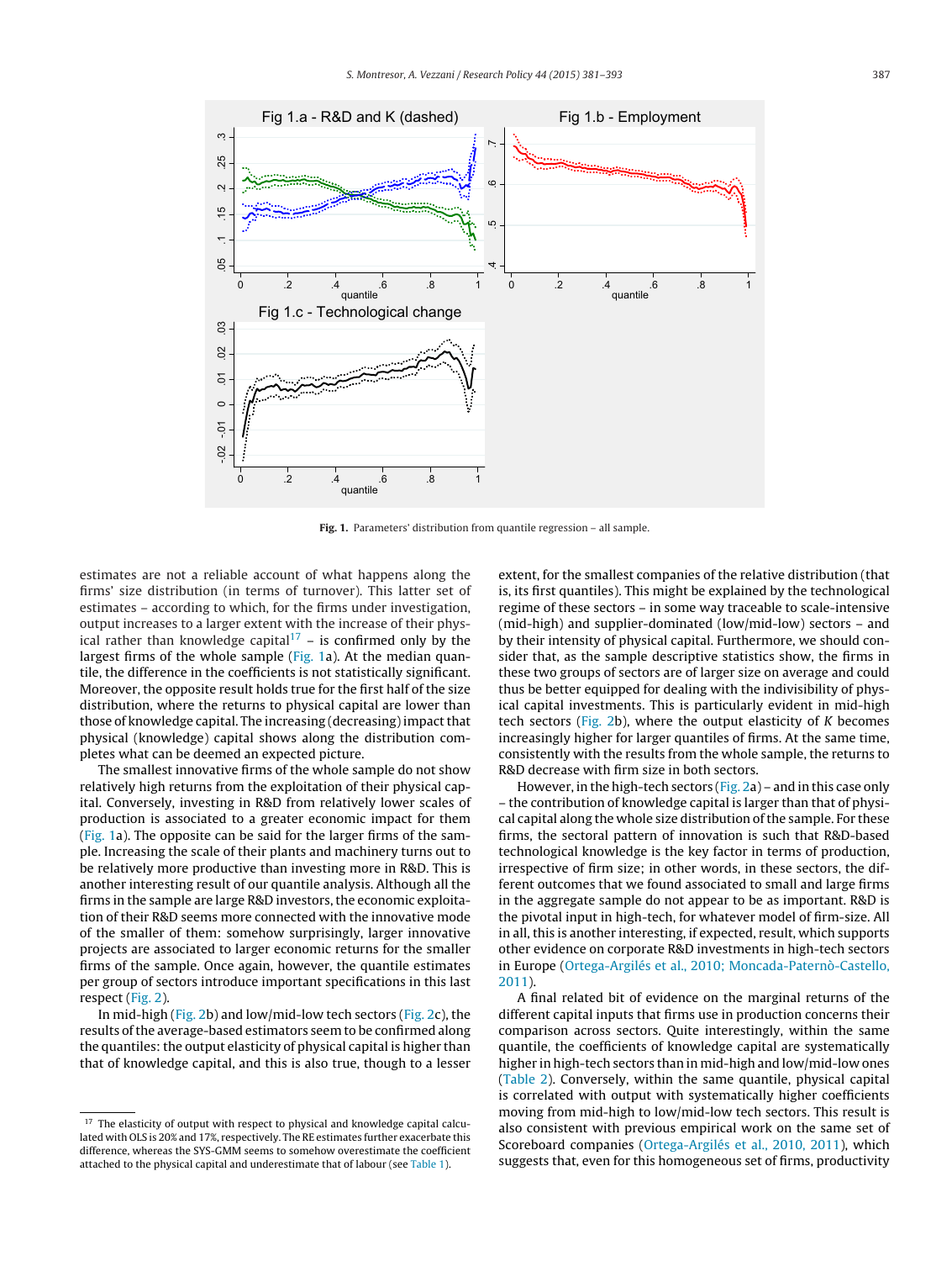<span id="page-6-0"></span>

**Fig. 1.** Parameters' distribution from quantile regression – all sample.

estimates are not a reliable account of what happens along the firms' size distribution (in terms of turnover). This latter set of estimates – according to which, for the firms under investigation, output increases to a larger extent with the increase of their physical rather than knowledge capital<sup>17</sup> – is confirmed only by the largest firms of the whole sample (Fig. 1a). At the median quantile, the difference in the coefficients is not statistically significant. Moreover, the opposite result holds true for the first half of the size distribution, where the returns to physical capital are lower than those of knowledge capital. The increasing (decreasing) impact that physical (knowledge) capital shows along the distribution completes what can be deemed an expected picture.

The smallest innovative firms of the whole sample do not show relatively high returns from the exploitation of their physical capital. Conversely, investing in R&D from relatively lower scales of production is associated to a greater economic impact for them (Fig. 1a). The opposite can be said for the larger firms of the sample. Increasing the scale of their plants and machinery turns out to be relatively more productive than investing more in R&D. This is another interesting result of our quantile analysis. Although all the firms in the sample are large R&D investors, the economic exploitation of their R&D seems more connected with the innovative mode of the smaller of them: somehow surprisingly, larger innovative projects are associated to larger economic returns for the smaller firms of the sample. Once again, however, the quantile estimates per group of sectors introduce important specifications in this last respect ([Fig.](#page-7-0) 2).

In mid-high [\(Fig.](#page-7-0) 2b) and low/mid-low tech sectors [\(Fig.](#page-7-0) 2c), the results of the average-based estimators seem to be confirmed along the quantiles: the output elasticity of physical capital is higher than that of knowledge capital, and this is also true, though to a lesser

extent, for the smallest companies of the relative distribution (that is, its first quantiles). This might be explained by the technological regime of these sectors – in some way traceable to scale-intensive (mid-high) and supplier-dominated (low/mid-low) sectors – and by their intensity of physical capital. Furthermore, we should consider that, as the sample descriptive statistics show, the firms in these two groups of sectors are of larger size on average and could thus be better equipped for dealing with the indivisibility of physical capital investments. This is particularly evident in mid-high tech sectors [\(Fig.](#page-7-0) 2b), where the output elasticity of  $K$  becomes increasingly higher for larger quantiles of firms. At the same time, consistently with the results from the whole sample, the returns to R&D decrease with firm size in both sectors.

However, in the high-tech sectors ( $Fig. 2a$  $Fig. 2a$ ) – and in this case only – the contribution of knowledge capital is larger than that of physical capital along the whole size distribution of the sample. For these firms, the sectoral pattern of innovation is such that R&D-based technological knowledge is the key factor in terms of production, irrespective of firm size; in other words, in these sectors, the different outcomes that we found associated to small and large firms in the aggregate sample do not appear to be as important. R&D is the pivotal input in high-tech, for whatever model of firm-size. All in all, this is another interesting, if expected, result, which supports other evidence on corporate R&D investments in high-tech sectors in Europe ([Ortega-Argilés](#page-11-0) et [al.,](#page-11-0) [2010;](#page-11-0) [Moncada-Paternò-Castello,](#page-11-0) [2011\).](#page-11-0)

A final related bit of evidence on the marginal returns of the different capital inputs that firms use in production concerns their comparison across sectors. Quite interestingly, within the same quantile, the coefficients of knowledge capital are systematically higher in high-tech sectors than in mid-high and low/mid-low ones [\(Table](#page-5-0) 2). Conversely, within the same quantile, physical capital is correlated with output with systematically higher coefficients moving from mid-high to low/mid-low tech sectors. This result is also consistent with previous empirical work on the same set of Scoreboard companies ([Ortega-Argilés](#page-11-0) et [al.,](#page-11-0) [2010,](#page-11-0) [2011\),](#page-11-0) which suggests that, even for this homogeneous set of firms, productivity

 $17$  The elasticity of output with respect to physical and knowledge capital calculated with OLS is 20% and 17%, respectively. The RE estimates further exacerbate this difference, whereas the SYS-GMM seems to somehow overestimate the coefficient attached to the physical capital and underestimate that of labour (see [Table](#page-5-0) 1).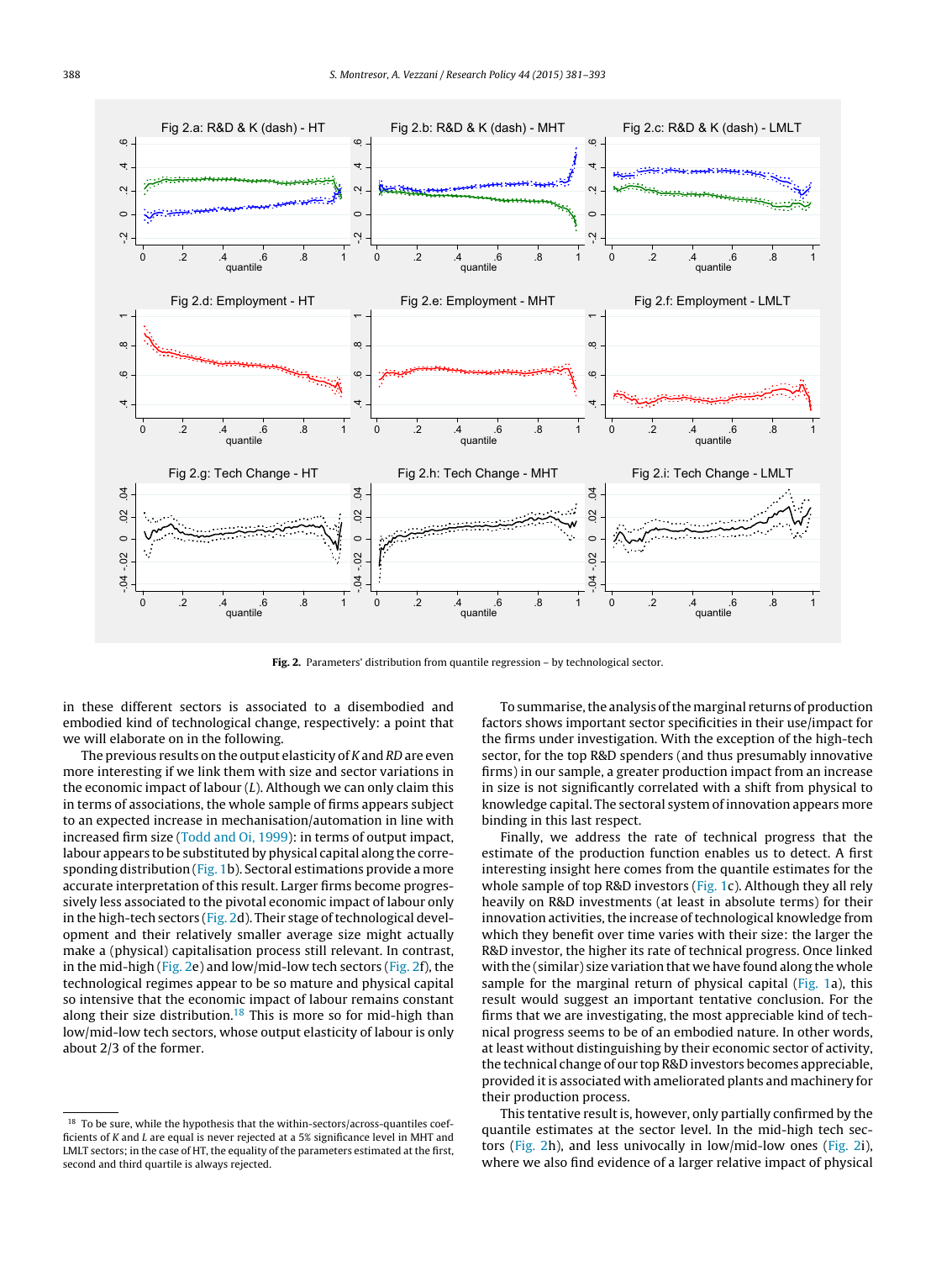<span id="page-7-0"></span>

**Fig. 2.** Parameters' distribution from quantile regression – by technological sector.

in these different sectors is associated to a disembodied and embodied kind of technological change, respectively: a point that we will elaborate on in the following.

The previous results on the output elasticity of K and RD are even more interesting if we link them with size and sector variations in the economic impact of labour  $(L)$ . Although we can only claim this in terms of associations, the whole sample of firms appears subject to an expected increase in mechanisation/automation in line with increased firm size [\(Todd](#page-12-0) [and](#page-12-0) [Oi,](#page-12-0) [1999\):](#page-12-0) in terms of output impact, labour appears to be substituted by physical capital along the corre-sponding distribution [\(Fig.](#page-6-0) 1b). Sectoral estimations provide a more accurate interpretation of this result. Larger firms become progressively less associated to the pivotal economic impact of labour only in the high-tech sectors (Fig. 2d). Their stage of technological development and their relatively smaller average size might actually make a (physical) capitalisation process still relevant. In contrast, in the mid-high (Fig. 2e) and low/mid-low tech sectors (Fig. 2f), the technological regimes appear to be so mature and physical capital so intensive that the economic impact of labour remains constant along their size distribution.<sup>18</sup> This is more so for mid-high than low/mid-low tech sectors, whose output elasticity of labour is only about 2/3 of the former.

To summarise, the analysis of the marginal returns of production factors shows important sector specificities in their use/impact for the firms under investigation. With the exception of the high-tech sector, for the top R&D spenders (and thus presumably innovative firms) in our sample, a greater production impact from an increase in size is not significantly correlated with a shift from physical to knowledge capital. The sectoral system of innovation appears more binding in this last respect.

Finally, we address the rate of technical progress that the estimate of the production function enables us to detect. A first interesting insight here comes from the quantile estimates for the whole sample of top R&D investors ( $Fig. 1c$  $Fig. 1c$ ). Although they all rely heavily on R&D investments (at least in absolute terms) for their innovation activities, the increase of technological knowledge from which they benefit over time varies with their size: the larger the R&D investor, the higher its rate of technical progress. Once linked with the (similar) size variation that we have found along the whole sample for the marginal return of physical capital ([Fig.](#page-6-0) 1a), this result would suggest an important tentative conclusion. For the firms that we are investigating, the most appreciable kind of technical progress seems to be of an embodied nature. In other words, at least without distinguishing by their economic sector of activity, the technical change of our top R&D investors becomes appreciable, provided it is associated with ameliorated plants and machinery for their production process.

This tentative result is, however, only partially confirmed by the quantile estimates at the sector level. In the mid-high tech sectors (Fig. 2h), and less univocally in low/mid-low ones (Fig. 2i), where we also find evidence of a larger relative impact of physical

 $18$  To be sure, while the hypothesis that the within-sectors/across-quantiles coefficients of K and L are equal is never rejected at a 5% significance level in MHT and LMLT sectors; in the case of HT, the equality of the parameters estimated at the first, second and third quartile is always rejected.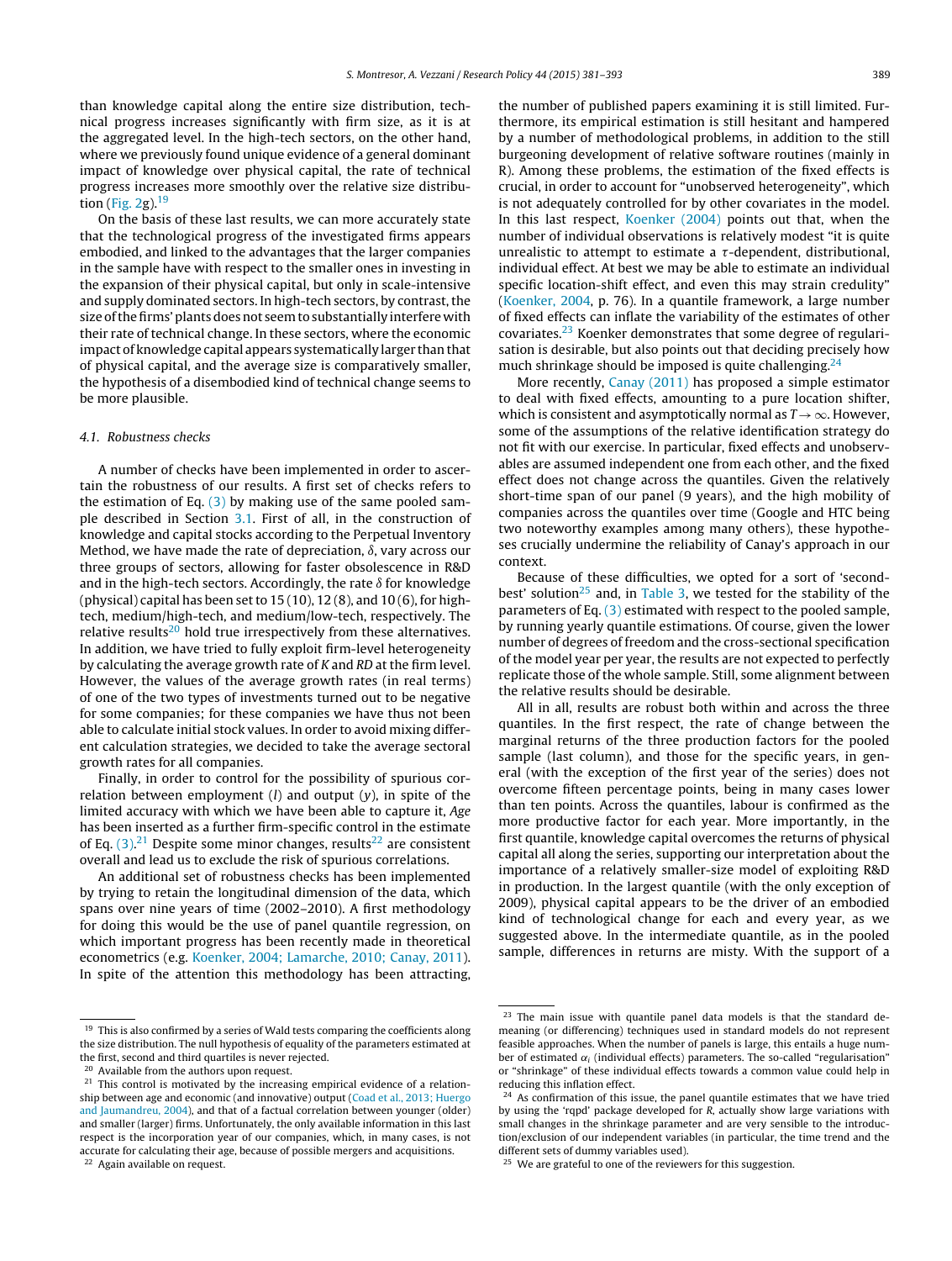<span id="page-8-0"></span>than knowledge capital along the entire size distribution, technical progress increases significantly with firm size, as it is at the aggregated level. In the high-tech sectors, on the other hand, where we previously found unique evidence of a general dominant impact of knowledge over physical capital, the rate of technical progress increases more smoothly over the relative size distribu-tion [\(Fig.](#page-7-0) 2g). $19$ 

On the basis of these last results, we can more accurately state that the technological progress of the investigated firms appears embodied, and linked to the advantages that the larger companies in the sample have with respect to the smaller ones in investing in the expansion of their physical capital, but only in scale-intensive and supply dominated sectors. In high-tech sectors, by contrast, the size of the firms' plants does not seem to substantially interfere with their rate of technical change. In these sectors, where the economic impact of knowledge capital appears systematically larger thanthat of physical capital, and the average size is comparatively smaller, the hypothesis of a disembodied kind of technical change seems to be more plausible.

## 4.1. Robustness checks

A number of checks have been implemented in order to ascertain the robustness of our results. A first set of checks refers to the estimation of Eq.  $(3)$  by making use of the same pooled sample described in Section [3.1.](#page-3-0) First of all, in the construction of knowledge and capital stocks according to the Perpetual Inventory Method, we have made the rate of depreciation,  $\delta$ , vary across our three groups of sectors, allowing for faster obsolescence in R&D and in the high-tech sectors. Accordingly, the rate  $\delta$  for knowledge (physical) capital has been set to  $15(10)$ ,  $12(8)$ , and  $10(6)$ , for hightech, medium/high-tech, and medium/low-tech, respectively. The relative results $^{20}$  hold true irrespectively from these alternatives. In addition, we have tried to fully exploit firm-level heterogeneity by calculating the average growth rate of K and RD at the firm level. However, the values of the average growth rates (in real terms) of one of the two types of investments turned out to be negative for some companies; for these companies we have thus not been able to calculate initial stock values. In order to avoid mixing different calculation strategies, we decided to take the average sectoral growth rates for all companies.

Finally, in order to control for the possibility of spurious correlation between employment  $(l)$  and output  $(y)$ , in spite of the limited accuracy with which we have been able to capture it, Age has been inserted as a further firm-specific control in the estimate of Eq.  $(3)$ .<sup>21</sup> Despite some minor changes, results<sup>22</sup> are consistent overall and lead us to exclude the risk of spurious correlations.

An additional set of robustness checks has been implemented by trying to retain the longitudinal dimension of the data, which spans over nine years of time (2002–2010). A first methodology for doing this would be the use of panel quantile regression, on which important progress has been recently made in theoretical econometrics (e.g. [Koenker,](#page-11-0) [2004;](#page-11-0) [Lamarche,](#page-11-0) [2010;](#page-11-0) [Canay,](#page-11-0) [2011\).](#page-11-0) In spite of the attention this methodology has been attracting, the number of published papers examining it is still limited. Furthermore, its empirical estimation is still hesitant and hampered by a number of methodological problems, in addition to the still burgeoning development of relative software routines (mainly in R). Among these problems, the estimation of the fixed effects is crucial, in order to account for "unobserved heterogeneity", which is not adequately controlled for by other covariates in the model. In this last respect, [Koenker](#page-11-0) [\(2004\)](#page-11-0) points out that, when the number of individual observations is relatively modest "it is quite unrealistic to attempt to estimate a  $\tau$ -dependent, distributional, individual effect. At best we may be able to estimate an individual specific location-shift effect, and even this may strain credulity" [\(Koenker,](#page-11-0) [2004,](#page-11-0) p. 76). In a quantile framework, a large number of fixed effects can inflate the variability of the estimates of other covariates.<sup>23</sup> Koenker demonstrates that some degree of regularisation is desirable, but also points out that deciding precisely how much shrinkage should be imposed is quite challenging.  $24$ 

More recently, [Canay](#page-11-0) [\(2011\)](#page-11-0) has proposed a simple estimator to deal with fixed effects, amounting to a pure location shifter, which is consistent and asymptotically normal as  $T\rightarrow\infty$ . However, some of the assumptions of the relative identification strategy do not fit with our exercise. In particular, fixed effects and unobservables are assumed independent one from each other, and the fixed effect does not change across the quantiles. Given the relatively short-time span of our panel (9 years), and the high mobility of companies across the quantiles over time (Google and HTC being two noteworthy examples among many others), these hypotheses crucially undermine the reliability of Canay's approach in our context.

Because of these difficulties, we opted for a sort of 'second-best' solution<sup>25</sup> and, in [Table](#page-9-0) 3, we tested for the stability of the parameters of Eq. [\(3\)](#page-3-0) estimated with respect to the pooled sample, by running yearly quantile estimations. Of course, given the lower number of degrees of freedom and the cross-sectional specification of the model year per year, the results are not expected to perfectly replicate those of the whole sample. Still, some alignment between the relative results should be desirable.

All in all, results are robust both within and across the three quantiles. In the first respect, the rate of change between the marginal returns of the three production factors for the pooled sample (last column), and those for the specific years, in general (with the exception of the first year of the series) does not overcome fifteen percentage points, being in many cases lower than ten points. Across the quantiles, labour is confirmed as the more productive factor for each year. More importantly, in the first quantile, knowledge capital overcomes the returns of physical capital all along the series, supporting our interpretation about the importance of a relatively smaller-size model of exploiting R&D in production. In the largest quantile (with the only exception of 2009), physical capital appears to be the driver of an embodied kind of technological change for each and every year, as we suggested above. In the intermediate quantile, as in the pooled sample, differences in returns are misty. With the support of a

<sup>&</sup>lt;sup>19</sup> This is also confirmed by a series of Wald tests comparing the coefficients along the size distribution. The null hypothesis of equality of the parameters estimated at the first, second and third quartiles is never rejected.

<sup>20</sup> Available from the authors upon request.

<sup>&</sup>lt;sup>21</sup> This control is motivated by the increasing empirical evidence of a relationship between age and economic (and innovative) output [\(Coad](#page-11-0) et [al.,](#page-11-0) [2013;](#page-11-0) [Huergo](#page-11-0) [and](#page-11-0) [Jaumandreu,](#page-11-0) [2004\),](#page-11-0) and that of a factual correlation between younger (older) and smaller (larger) firms. Unfortunately, the only available information in this last respect is the incorporation year of our companies, which, in many cases, is not accurate for calculating their age, because of possible mergers and acquisitions.

<sup>22</sup> Again available on request.

<sup>&</sup>lt;sup>23</sup> The main issue with quantile panel data models is that the standard demeaning (or differencing) techniques used in standard models do not represent feasible approaches. When the number of panels is large, this entails a huge number of estimated  $\alpha_i$  (individual effects) parameters. The so-called "regularisation" or "shrinkage" of these individual effects towards a common value could help in reducing this inflation effect.

 $24$  As confirmation of this issue, the panel quantile estimates that we have tried by using the 'rqpd' package developed for R, actually show large variations with small changes in the shrinkage parameter and are very sensible to the introduction/exclusion of our independent variables (in particular, the time trend and the different sets of dummy variables used).

<sup>&</sup>lt;sup>25</sup> We are grateful to one of the reviewers for this suggestion.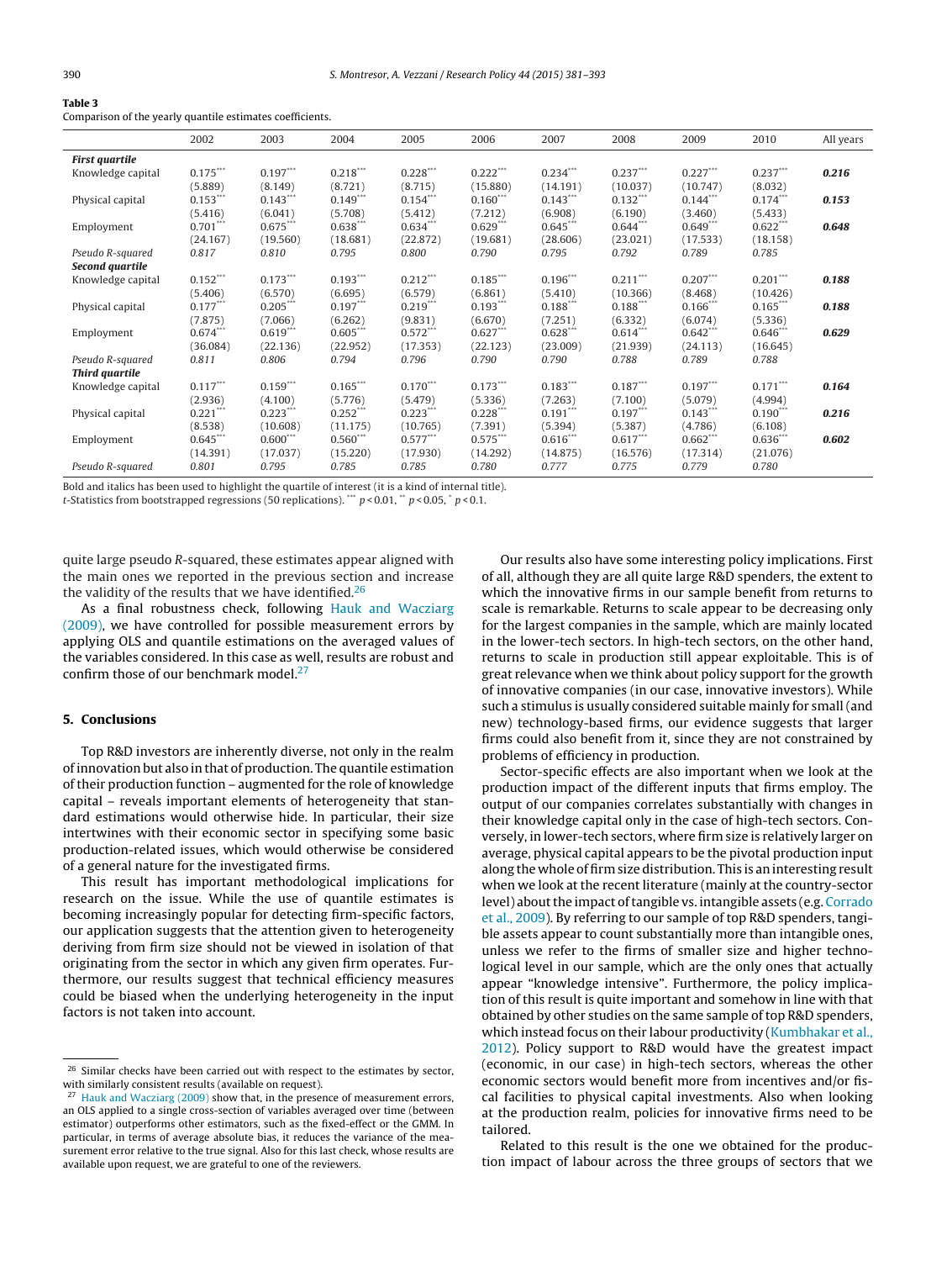<span id="page-9-0"></span>

| Lavic J                                                   |  |  |
|-----------------------------------------------------------|--|--|
| Comparison of the vearly quantile estimates coefficients. |  |  |

|                        | 2002               | 2003       | 2004       | 2005       | 2006       | 2007       | 2008       | 2009       | 2010       | All years |
|------------------------|--------------------|------------|------------|------------|------------|------------|------------|------------|------------|-----------|
| <b>First quartile</b>  |                    |            |            |            |            |            |            |            |            |           |
| Knowledge capital      | $0.175***$         | $0.197***$ | $0.218***$ | $0.228***$ | $0.222***$ | $0.234***$ | $0.237***$ | $0.227***$ | $0.237***$ | 0.216     |
|                        | (5.889)            | (8.149)    | (8.721)    | (8.715)    | (15.880)   | (14.191)   | (10.037)   | (10.747)   | (8.032)    |           |
| Physical capital       | $0.153***$         | $0.143***$ | $0.149***$ | $0.154***$ | $0.160***$ | $0.143***$ | $0.132***$ | $0.144***$ | $0.174***$ | 0.153     |
|                        | (5.416)            | (6.041)    | (5.708)    | (5.412)    | (7.212)    | (6.908)    | (6.190)    | (3.460)    | (5.433)    |           |
| Employment             | $0.701***$         | $0.675***$ | $0.638***$ | $0.634***$ | $0.629***$ | $0.645***$ | $0.644***$ | $0.649***$ | $0.622***$ | 0.648     |
|                        | (24.167)           | (19.560)   | (18.681)   | (22.872)   | (19.681)   | (28,606)   | (23.021)   | (17.533)   | (18.158)   |           |
| Pseudo R-squared       | 0.817              | 0.810      | 0.795      | 0.800      | 0.790      | 0.795      | 0.792      | 0.789      | 0.785      |           |
| <b>Second quartile</b> |                    |            |            |            |            |            |            |            |            |           |
| Knowledge capital      | $0.152\sp{^{***}}$ | $0.173***$ | $0.193***$ | $0.212***$ | $0.185***$ | $0.196***$ | $0.211***$ | $0.207***$ | $0.201***$ | 0.188     |
|                        | (5.406)            | (6.570)    | (6.695)    | (6.579)    | (6.861)    | (5.410)    | (10.366)   | (8.468)    | (10.426)   |           |
| Physical capital       | $0.177***$         | $0.205***$ | $0.197***$ | $0.219***$ | $0.193***$ | $0.188***$ | $0.188***$ | $0.166***$ | $0.165***$ | 0.188     |
|                        | (7.875)            | (7.066)    | (6.262)    | (9.831)    | (6.670)    | (7.251)    | (6.332)    | (6.074)    | (5.336)    |           |
| Employment             | $0.674***$         | $0.619***$ | $0.605***$ | $0.572***$ | $0.627***$ | $0.628***$ | $0.614***$ | $0.642***$ | $0.646***$ | 0.629     |
|                        | (36.084)           | (22.136)   | (22.952)   | (17.353)   | (22.123)   | (23.009)   | (21.939)   | (24.113)   | (16.645)   |           |
| Pseudo R-squared       | 0.811              | 0.806      | 0.794      | 0.796      | 0.790      | 0.790      | 0.788      | 0.789      | 0.788      |           |
| <b>Third quartile</b>  |                    |            |            |            |            |            |            |            |            |           |
| Knowledge capital      | $0.117***$         | $0.159***$ | $0.165***$ | $0.170***$ | $0.173***$ | $0.183***$ | $0.187***$ | $0.197***$ | $0.171***$ | 0.164     |
|                        | (2.936)            | (4.100)    | (5.776)    | (5.479)    | (5.336)    | (7.263)    | (7.100)    | (5.079)    | (4.994)    |           |
| Physical capital       | $0.221***$         | $0.223***$ | $0.252***$ | $0.223***$ | $0.228***$ | $0.191***$ | $0.197***$ | $0.143***$ | $0.190***$ | 0.216     |
|                        | (8.538)            | (10.608)   | (11.175)   | (10.765)   | (7.391)    | (5.394)    | (5.387)    | (4.786)    | (6.108)    |           |
| Employment             | $0.645***$         | $0.600***$ | $0.560***$ | $0.577***$ | $0.575***$ | $0.616***$ | $0.617***$ | $0.662***$ | $0.636***$ | 0.602     |
|                        | (14.391)           | (17.037)   | (15.220)   | (17.930)   | (14.292)   | (14.875)   | (16.576)   | (17.314)   | (21.076)   |           |
| Pseudo R-squared       | 0.801              | 0.795      | 0.785      | 0.785      | 0.780      | 0.777      | 0.775      | 0.779      | 0.780      |           |

Bold and italics has been used to highlight the quartile of interest (it is a kind of internal title).

t-Statistics from bootstrapped regressions (50 replications). \*\*\*  $p$  < 0.01, \*\*  $p$  < 0.05, \*  $p$  < 0.1.

quite large pseudo R-squared, these estimates appear aligned with the main ones we reported in the previous section and increase the validity of the results that we have identified.<sup>26</sup>

As a final robustness check, following [Hauk](#page-11-0) [and](#page-11-0) [Wacziarg](#page-11-0) [\(2009\),](#page-11-0) we have controlled for possible measurement errors by applying OLS and quantile estimations on the averaged values of the variables considered. In this case as well, results are robust and confirm those of our benchmark model. $27$ 

# **5. Conclusions**

Top R&D investors are inherently diverse, not only in the realm ofinnovation but also in that of production. The quantile estimation of their production function – augmented for the role of knowledge capital – reveals important elements of heterogeneity that standard estimations would otherwise hide. In particular, their size intertwines with their economic sector in specifying some basic production-related issues, which would otherwise be considered of a general nature for the investigated firms.

This result has important methodological implications for research on the issue. While the use of quantile estimates is becoming increasingly popular for detecting firm-specific factors, our application suggests that the attention given to heterogeneity deriving from firm size should not be viewed in isolation of that originating from the sector in which any given firm operates. Furthermore, our results suggest that technical efficiency measures could be biased when the underlying heterogeneity in the input factors is not taken into account.

Our results also have some interesting policy implications. First of all, although they are all quite large R&D spenders, the extent to which the innovative firms in our sample benefit from returns to scale is remarkable. Returns to scale appear to be decreasing only for the largest companies in the sample, which are mainly located in the lower-tech sectors. In high-tech sectors, on the other hand, returns to scale in production still appear exploitable. This is of great relevance when we think about policy support for the growth of innovative companies (in our case, innovative investors). While such a stimulus is usually considered suitable mainly for small (and new) technology-based firms, our evidence suggests that larger firms could also benefit from it, since they are not constrained by problems of efficiency in production.

Sector-specific effects are also important when we look at the production impact of the different inputs that firms employ. The output of our companies correlates substantially with changes in their knowledge capital only in the case of high-tech sectors. Conversely, in lower-tech sectors, where firm size is relatively larger on average, physical capital appears to be the pivotal production input along the whole of firm size distribution. This is an interesting result when we look at the recent literature (mainly at the country-sector level) about the impact of tangible vs. intangible assets (e.g. [Corrado](#page-11-0) et [al.,](#page-11-0) [2009\).](#page-11-0) By referring to our sample of top R&D spenders, tangible assets appear to count substantially more than intangible ones, unless we refer to the firms of smaller size and higher technological level in our sample, which are the only ones that actually appear "knowledge intensive". Furthermore, the policy implication of this result is quite important and somehow in line with that obtained by other studies on the same sample of top R&D spenders, which instead focus on their labour productivity [\(Kumbhakar](#page-11-0) et [al.,](#page-11-0) [2012\).](#page-11-0) Policy support to R&D would have the greatest impact (economic, in our case) in high-tech sectors, whereas the other economic sectors would benefit more from incentives and/or fiscal facilities to physical capital investments. Also when looking at the production realm, policies for innovative firms need to be tailored.

Related to this result is the one we obtained for the production impact of labour across the three groups of sectors that we

<sup>&</sup>lt;sup>26</sup> Similar checks have been carried out with respect to the estimates by sector, with similarly consistent results (available on request).

 $27$  [Hauk](#page-11-0) [and](#page-11-0) [Wacziarg](#page-11-0) [\(2009\)](#page-11-0) show that, in the presence of measurement errors, an OLS applied to a single cross-section of variables averaged over time (between estimator) outperforms other estimators, such as the fixed-effect or the GMM. In particular, in terms of average absolute bias, it reduces the variance of the measurement error relative to the true signal. Also for this last check, whose results are available upon request, we are grateful to one of the reviewers.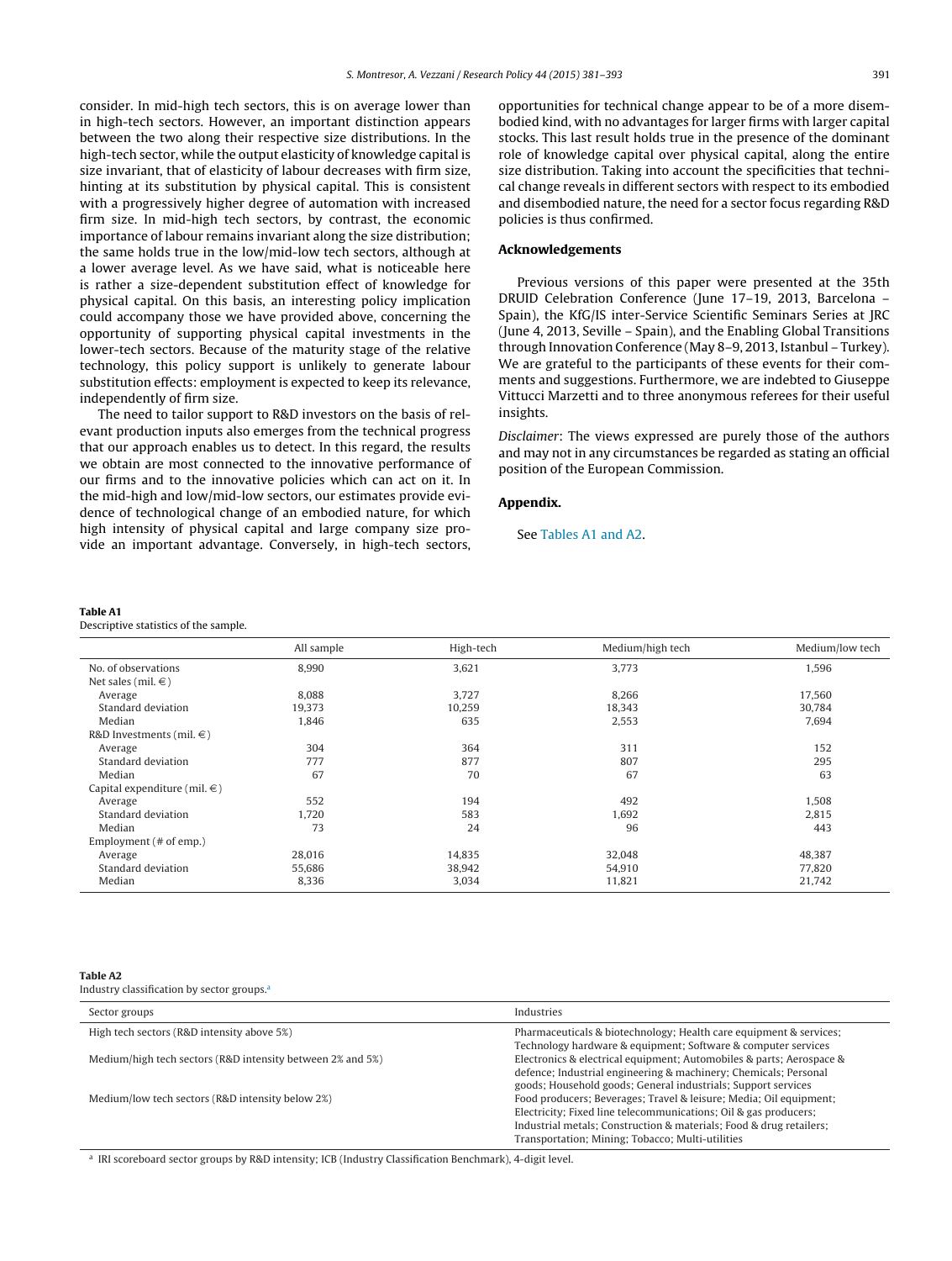<span id="page-10-0"></span>consider. In mid-high tech sectors, this is on average lower than in high-tech sectors. However, an important distinction appears between the two along their respective size distributions. In the high-tech sector, while the output elasticity of knowledge capital is size invariant, that of elasticity of labour decreases with firm size, hinting at its substitution by physical capital. This is consistent with a progressively higher degree of automation with increased firm size. In mid-high tech sectors, by contrast, the economic importance of labour remains invariant along the size distribution; the same holds true in the low/mid-low tech sectors, although at a lower average level. As we have said, what is noticeable here is rather a size-dependent substitution effect of knowledge for physical capital. On this basis, an interesting policy implication could accompany those we have provided above, concerning the opportunity of supporting physical capital investments in the lower-tech sectors. Because of the maturity stage of the relative technology, this policy support is unlikely to generate labour substitution effects: employment is expected to keep its relevance, independently of firm size.

The need to tailor support to R&D investors on the basis of relevant production inputs also emerges from the technical progress that our approach enables us to detect. In this regard, the results we obtain are most connected to the innovative performance of our firms and to the innovative policies which can act on it. In the mid-high and low/mid-low sectors, our estimates provide evidence of technological change of an embodied nature, for which high intensity of physical capital and large company size provide an important advantage. Conversely, in high-tech sectors,

opportunities for technical change appear to be of a more disembodied kind, with no advantages for larger firms with larger capital stocks. This last result holds true in the presence of the dominant role of knowledge capital over physical capital, along the entire size distribution. Taking into account the specificities that technical change reveals in different sectors with respect to its embodied and disembodied nature, the need for a sector focus regarding R&D policies is thus confirmed.

# **Acknowledgements**

Previous versions of this paper were presented at the 35th DRUID Celebration Conference (June 17–19, 2013, Barcelona – Spain), the KfG/IS inter-Service Scientific Seminars Series at JRC (June 4, 2013, Seville – Spain), and the Enabling Global Transitions through Innovation Conference (May 8–9, 2013, Istanbul – Turkey). We are grateful to the participants of these events for their comments and suggestions. Furthermore, we are indebted to Giuseppe Vittucci Marzetti and to three anonymous referees for their useful insights.

Disclaimer: The views expressed are purely those of the authors and may not in any circumstances be regarded as stating an official position of the European Commission.

# **Appendix.**

See Tables A1 and A2.

#### **Table A1**

Descriptive statistics of the sample.

|                                   | All sample | High-tech | Medium/high tech | Medium/low tech |
|-----------------------------------|------------|-----------|------------------|-----------------|
| No. of observations               | 8,990      | 3,621     | 3,773            | 1,596           |
| Net sales (mil. $\in$ )           |            |           |                  |                 |
| Average                           | 8,088      | 3,727     | 8,266            | 17,560          |
| Standard deviation                | 19,373     | 10,259    | 18,343           | 30.784          |
| Median                            | 1,846      | 635       | 2,553            | 7,694           |
| R&D Investments (mil. $\in$ )     |            |           |                  |                 |
| Average                           | 304        | 364       | 311              | 152             |
| Standard deviation                | 777        | 877       | 807              | 295             |
| Median                            | 67         | 70        | 67               | 63              |
| Capital expenditure (mil, $\in$ ) |            |           |                  |                 |
| Average                           | 552        | 194       | 492              | 1,508           |
| Standard deviation                | 1,720      | 583       | 1,692            | 2.815           |
| Median                            | 73         | 24        | 96               | 443             |
| Employment (# of emp.)            |            |           |                  |                 |
| Average                           | 28,016     | 14,835    | 32,048           | 48,387          |
| Standard deviation                | 55,686     | 38,942    | 54,910           | 77,820          |
| Median                            | 8,336      | 3,034     | 11,821           | 21,742          |

#### **Table A2**

Industry classification by sector groups.<sup>a</sup>

| Sector groups                                              | Industries                                                                                                                                                                                                                                                        |
|------------------------------------------------------------|-------------------------------------------------------------------------------------------------------------------------------------------------------------------------------------------------------------------------------------------------------------------|
| High tech sectors (R&D intensity above 5%)                 | Pharmaceuticals & biotechnology; Health care equipment & services;<br>Technology hardware & equipment; Software & computer services                                                                                                                               |
| Medium/high tech sectors (R&D intensity between 2% and 5%) | Electronics & electrical equipment; Automobiles & parts; Aerospace &<br>defence; Industrial engineering & machinery; Chemicals; Personal<br>goods; Household goods; General industrials; Support services                                                         |
| Medium/low tech sectors (R&D intensity below 2%)           | Food producers; Beverages; Travel & leisure; Media; Oil equipment;<br>Electricity; Fixed line telecommunications; Oil & gas producers;<br>Industrial metals; Construction & materials; Food & drug retailers;<br>Transportation; Mining; Tobacco; Multi-utilities |

<sup>a</sup> IRI scoreboard sector groups by R&D intensity; ICB (Industry Classification Benchmark), 4-digit level.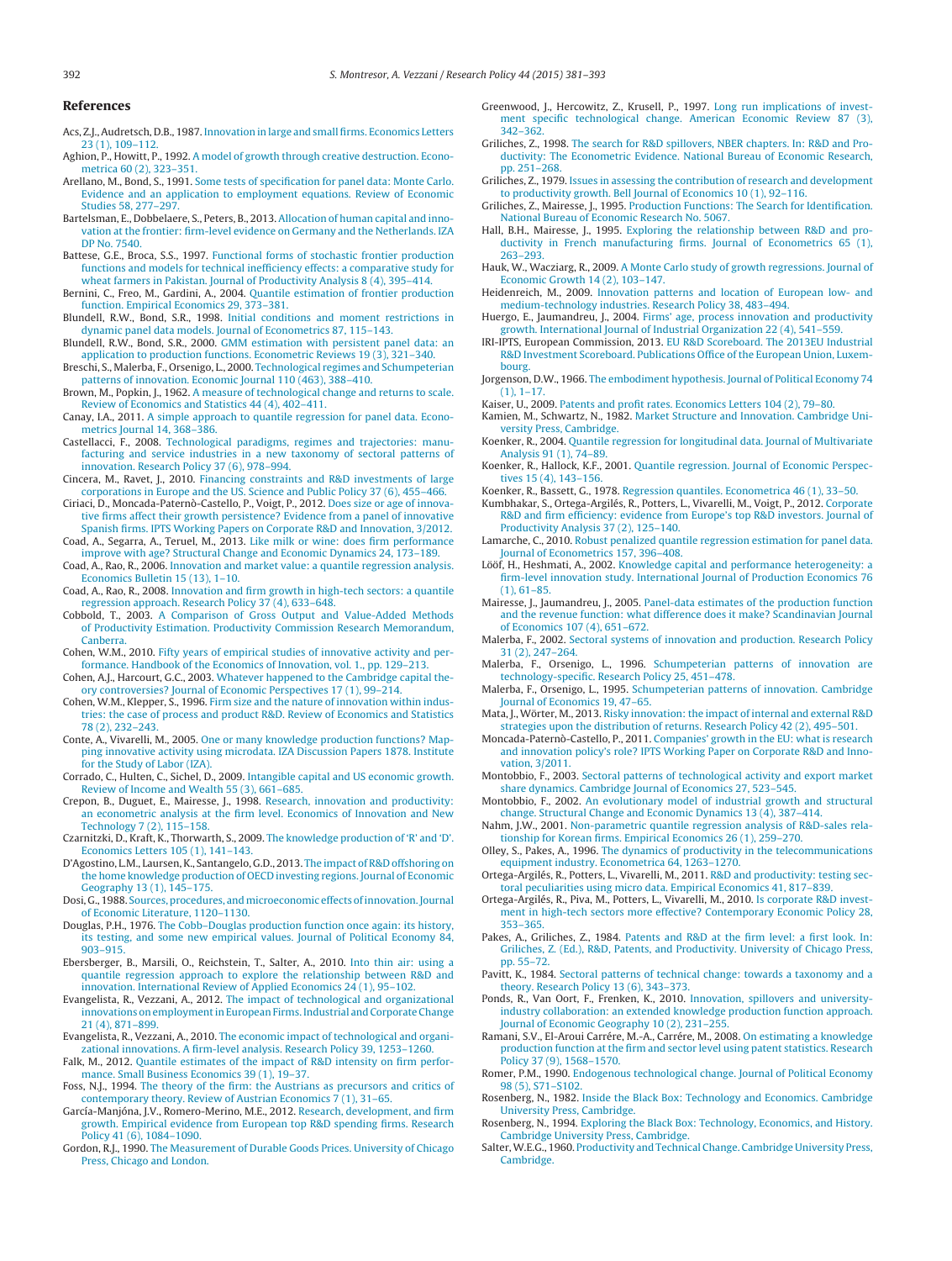#### <span id="page-11-0"></span>**References**

- Acs, Z.J.,Audretsch, D.B., 1987. [Innovation](http://refhub.elsevier.com/S0048-7333(14)00146-2/sbref0005) [in](http://refhub.elsevier.com/S0048-7333(14)00146-2/sbref0005) [large](http://refhub.elsevier.com/S0048-7333(14)00146-2/sbref0005) [and](http://refhub.elsevier.com/S0048-7333(14)00146-2/sbref0005) [small](http://refhub.elsevier.com/S0048-7333(14)00146-2/sbref0005) [firms.](http://refhub.elsevier.com/S0048-7333(14)00146-2/sbref0005) [Economics](http://refhub.elsevier.com/S0048-7333(14)00146-2/sbref0005) [Letters](http://refhub.elsevier.com/S0048-7333(14)00146-2/sbref0005) [23](http://refhub.elsevier.com/S0048-7333(14)00146-2/sbref0005) [\(1\),](http://refhub.elsevier.com/S0048-7333(14)00146-2/sbref0005) [109](http://refhub.elsevier.com/S0048-7333(14)00146-2/sbref0005)-11.
- Aghion, P., Howitt, P., 1992. [A](http://refhub.elsevier.com/S0048-7333(14)00146-2/sbref0010) [model](http://refhub.elsevier.com/S0048-7333(14)00146-2/sbref0010) [of](http://refhub.elsevier.com/S0048-7333(14)00146-2/sbref0010) [growth](http://refhub.elsevier.com/S0048-7333(14)00146-2/sbref0010) [through](http://refhub.elsevier.com/S0048-7333(14)00146-2/sbref0010) [creative](http://refhub.elsevier.com/S0048-7333(14)00146-2/sbref0010) [destruction.](http://refhub.elsevier.com/S0048-7333(14)00146-2/sbref0010) [Econo](http://refhub.elsevier.com/S0048-7333(14)00146-2/sbref0010)[metrica](http://refhub.elsevier.com/S0048-7333(14)00146-2/sbref0010) [60](http://refhub.elsevier.com/S0048-7333(14)00146-2/sbref0010) [\(2\),](http://refhub.elsevier.com/S0048-7333(14)00146-2/sbref0010) [323](http://refhub.elsevier.com/S0048-7333(14)00146-2/sbref0010)–[351.](http://refhub.elsevier.com/S0048-7333(14)00146-2/sbref0010)
- Arellano, M., Bond, S., 1991. [Some](http://refhub.elsevier.com/S0048-7333(14)00146-2/sbref0015) [tests](http://refhub.elsevier.com/S0048-7333(14)00146-2/sbref0015) [of](http://refhub.elsevier.com/S0048-7333(14)00146-2/sbref0015) [specification](http://refhub.elsevier.com/S0048-7333(14)00146-2/sbref0015) [for](http://refhub.elsevier.com/S0048-7333(14)00146-2/sbref0015) [panel](http://refhub.elsevier.com/S0048-7333(14)00146-2/sbref0015) [data:](http://refhub.elsevier.com/S0048-7333(14)00146-2/sbref0015) [Monte](http://refhub.elsevier.com/S0048-7333(14)00146-2/sbref0015) [Carlo.](http://refhub.elsevier.com/S0048-7333(14)00146-2/sbref0015) [Evidence](http://refhub.elsevier.com/S0048-7333(14)00146-2/sbref0015) [and](http://refhub.elsevier.com/S0048-7333(14)00146-2/sbref0015) [an](http://refhub.elsevier.com/S0048-7333(14)00146-2/sbref0015) [application](http://refhub.elsevier.com/S0048-7333(14)00146-2/sbref0015) [to](http://refhub.elsevier.com/S0048-7333(14)00146-2/sbref0015) [employment](http://refhub.elsevier.com/S0048-7333(14)00146-2/sbref0015) [equations.](http://refhub.elsevier.com/S0048-7333(14)00146-2/sbref0015) [Review](http://refhub.elsevier.com/S0048-7333(14)00146-2/sbref0015) [of](http://refhub.elsevier.com/S0048-7333(14)00146-2/sbref0015) [Economic](http://refhub.elsevier.com/S0048-7333(14)00146-2/sbref0015) [Studies](http://refhub.elsevier.com/S0048-7333(14)00146-2/sbref0015) [58,](http://refhub.elsevier.com/S0048-7333(14)00146-2/sbref0015) [277–297.](http://refhub.elsevier.com/S0048-7333(14)00146-2/sbref0015)
- Bartelsman, E., Dobbelaere, S., Peters, B., 2013. [Allocation](http://refhub.elsevier.com/S0048-7333(14)00146-2/sbref0020) [of](http://refhub.elsevier.com/S0048-7333(14)00146-2/sbref0020) [human](http://refhub.elsevier.com/S0048-7333(14)00146-2/sbref0020) [capital](http://refhub.elsevier.com/S0048-7333(14)00146-2/sbref0020) [and](http://refhub.elsevier.com/S0048-7333(14)00146-2/sbref0020) [inno](http://refhub.elsevier.com/S0048-7333(14)00146-2/sbref0020)[vation](http://refhub.elsevier.com/S0048-7333(14)00146-2/sbref0020) [at](http://refhub.elsevier.com/S0048-7333(14)00146-2/sbref0020) [the](http://refhub.elsevier.com/S0048-7333(14)00146-2/sbref0020) [frontier:](http://refhub.elsevier.com/S0048-7333(14)00146-2/sbref0020) [firm-level](http://refhub.elsevier.com/S0048-7333(14)00146-2/sbref0020) [evidence](http://refhub.elsevier.com/S0048-7333(14)00146-2/sbref0020) [on](http://refhub.elsevier.com/S0048-7333(14)00146-2/sbref0020) [Germany](http://refhub.elsevier.com/S0048-7333(14)00146-2/sbref0020) [and](http://refhub.elsevier.com/S0048-7333(14)00146-2/sbref0020) [the](http://refhub.elsevier.com/S0048-7333(14)00146-2/sbref0020) [Netherlands.](http://refhub.elsevier.com/S0048-7333(14)00146-2/sbref0020) [IZA](http://refhub.elsevier.com/S0048-7333(14)00146-2/sbref0020) [DP](http://refhub.elsevier.com/S0048-7333(14)00146-2/sbref0020) [No.](http://refhub.elsevier.com/S0048-7333(14)00146-2/sbref0020) [7540.](http://refhub.elsevier.com/S0048-7333(14)00146-2/sbref0020)
- Battese, G.E., Broca, S.S., 1997. [Functional](http://refhub.elsevier.com/S0048-7333(14)00146-2/sbref0025) [forms](http://refhub.elsevier.com/S0048-7333(14)00146-2/sbref0025) [of](http://refhub.elsevier.com/S0048-7333(14)00146-2/sbref0025) [stochastic](http://refhub.elsevier.com/S0048-7333(14)00146-2/sbref0025) [frontier](http://refhub.elsevier.com/S0048-7333(14)00146-2/sbref0025) [production](http://refhub.elsevier.com/S0048-7333(14)00146-2/sbref0025) [functions](http://refhub.elsevier.com/S0048-7333(14)00146-2/sbref0025) [and](http://refhub.elsevier.com/S0048-7333(14)00146-2/sbref0025) [models](http://refhub.elsevier.com/S0048-7333(14)00146-2/sbref0025) [for](http://refhub.elsevier.com/S0048-7333(14)00146-2/sbref0025) [technical](http://refhub.elsevier.com/S0048-7333(14)00146-2/sbref0025) [inefficiency](http://refhub.elsevier.com/S0048-7333(14)00146-2/sbref0025) [effects:](http://refhub.elsevier.com/S0048-7333(14)00146-2/sbref0025) [a](http://refhub.elsevier.com/S0048-7333(14)00146-2/sbref0025) [comparative](http://refhub.elsevier.com/S0048-7333(14)00146-2/sbref0025) [study](http://refhub.elsevier.com/S0048-7333(14)00146-2/sbref0025) [for](http://refhub.elsevier.com/S0048-7333(14)00146-2/sbref0025) [wheat](http://refhub.elsevier.com/S0048-7333(14)00146-2/sbref0025) [farmers](http://refhub.elsevier.com/S0048-7333(14)00146-2/sbref0025) [in](http://refhub.elsevier.com/S0048-7333(14)00146-2/sbref0025) [Pakistan.](http://refhub.elsevier.com/S0048-7333(14)00146-2/sbref0025) [Journal](http://refhub.elsevier.com/S0048-7333(14)00146-2/sbref0025) [of](http://refhub.elsevier.com/S0048-7333(14)00146-2/sbref0025) [Productivity](http://refhub.elsevier.com/S0048-7333(14)00146-2/sbref0025) [Analysis](http://refhub.elsevier.com/S0048-7333(14)00146-2/sbref0025) [8](http://refhub.elsevier.com/S0048-7333(14)00146-2/sbref0025) [\(4\),](http://refhub.elsevier.com/S0048-7333(14)00146-2/sbref0025) [395](http://refhub.elsevier.com/S0048-7333(14)00146-2/sbref0025)-[414.](http://refhub.elsevier.com/S0048-7333(14)00146-2/sbref0025)
- Bernini, C., Freo, M., Gardini, A., 2004. [Quantile](http://refhub.elsevier.com/S0048-7333(14)00146-2/sbref0030) [estimation](http://refhub.elsevier.com/S0048-7333(14)00146-2/sbref0030) [of](http://refhub.elsevier.com/S0048-7333(14)00146-2/sbref0030) [frontier](http://refhub.elsevier.com/S0048-7333(14)00146-2/sbref0030) [production](http://refhub.elsevier.com/S0048-7333(14)00146-2/sbref0030) [function.](http://refhub.elsevier.com/S0048-7333(14)00146-2/sbref0030) [Empirical](http://refhub.elsevier.com/S0048-7333(14)00146-2/sbref0030) [Economics](http://refhub.elsevier.com/S0048-7333(14)00146-2/sbref0030) [29,](http://refhub.elsevier.com/S0048-7333(14)00146-2/sbref0030) [373–381.](http://refhub.elsevier.com/S0048-7333(14)00146-2/sbref0030)
- Blundell, R.W., Bond, S.R., 1998. [Initial](http://refhub.elsevier.com/S0048-7333(14)00146-2/sbref0035) [conditions](http://refhub.elsevier.com/S0048-7333(14)00146-2/sbref0035) [and](http://refhub.elsevier.com/S0048-7333(14)00146-2/sbref0035) [moment](http://refhub.elsevier.com/S0048-7333(14)00146-2/sbref0035) [restrictions](http://refhub.elsevier.com/S0048-7333(14)00146-2/sbref0035) [in](http://refhub.elsevier.com/S0048-7333(14)00146-2/sbref0035) [dynamic](http://refhub.elsevier.com/S0048-7333(14)00146-2/sbref0035) [panel](http://refhub.elsevier.com/S0048-7333(14)00146-2/sbref0035) [data](http://refhub.elsevier.com/S0048-7333(14)00146-2/sbref0035) [models.](http://refhub.elsevier.com/S0048-7333(14)00146-2/sbref0035) [Journal](http://refhub.elsevier.com/S0048-7333(14)00146-2/sbref0035) [of](http://refhub.elsevier.com/S0048-7333(14)00146-2/sbref0035) [Econometrics](http://refhub.elsevier.com/S0048-7333(14)00146-2/sbref0035) [87,](http://refhub.elsevier.com/S0048-7333(14)00146-2/sbref0035) [115](http://refhub.elsevier.com/S0048-7333(14)00146-2/sbref0035)–[143.](http://refhub.elsevier.com/S0048-7333(14)00146-2/sbref0035)
- Blundell, R.W., Bond, S.R., 2000. [GMM](http://refhub.elsevier.com/S0048-7333(14)00146-2/sbref0040) [estimation](http://refhub.elsevier.com/S0048-7333(14)00146-2/sbref0040) [with](http://refhub.elsevier.com/S0048-7333(14)00146-2/sbref0040) [persistent](http://refhub.elsevier.com/S0048-7333(14)00146-2/sbref0040) [panel](http://refhub.elsevier.com/S0048-7333(14)00146-2/sbref0040) [data:](http://refhub.elsevier.com/S0048-7333(14)00146-2/sbref0040) [an](http://refhub.elsevier.com/S0048-7333(14)00146-2/sbref0040) [application](http://refhub.elsevier.com/S0048-7333(14)00146-2/sbref0040) [to](http://refhub.elsevier.com/S0048-7333(14)00146-2/sbref0040) [production](http://refhub.elsevier.com/S0048-7333(14)00146-2/sbref0040) [functions.](http://refhub.elsevier.com/S0048-7333(14)00146-2/sbref0040) [Econometric](http://refhub.elsevier.com/S0048-7333(14)00146-2/sbref0040) [Reviews](http://refhub.elsevier.com/S0048-7333(14)00146-2/sbref0040) [19](http://refhub.elsevier.com/S0048-7333(14)00146-2/sbref0040) [\(3\),](http://refhub.elsevier.com/S0048-7333(14)00146-2/sbref0040) [321](http://refhub.elsevier.com/S0048-7333(14)00146-2/sbref0040)–[340.](http://refhub.elsevier.com/S0048-7333(14)00146-2/sbref0040)
- Breschi, S., Malerba, F., Orsenigo, L., 2000. [Technological](http://refhub.elsevier.com/S0048-7333(14)00146-2/sbref0050) [regimes](http://refhub.elsevier.com/S0048-7333(14)00146-2/sbref0050) [and](http://refhub.elsevier.com/S0048-7333(14)00146-2/sbref0050) [Schumpeterian](http://refhub.elsevier.com/S0048-7333(14)00146-2/sbref0050) [patterns](http://refhub.elsevier.com/S0048-7333(14)00146-2/sbref0050) [of](http://refhub.elsevier.com/S0048-7333(14)00146-2/sbref0050) [innovation.](http://refhub.elsevier.com/S0048-7333(14)00146-2/sbref0050) [Economic](http://refhub.elsevier.com/S0048-7333(14)00146-2/sbref0050) [Journal](http://refhub.elsevier.com/S0048-7333(14)00146-2/sbref0050) [110](http://refhub.elsevier.com/S0048-7333(14)00146-2/sbref0050) [\(463\),](http://refhub.elsevier.com/S0048-7333(14)00146-2/sbref0050) 388-410.
- Brown, M., Popkin, J., 1962. [A](http://refhub.elsevier.com/S0048-7333(14)00146-2/sbref0055) [measure](http://refhub.elsevier.com/S0048-7333(14)00146-2/sbref0055) [of](http://refhub.elsevier.com/S0048-7333(14)00146-2/sbref0055) [technological](http://refhub.elsevier.com/S0048-7333(14)00146-2/sbref0055) [change](http://refhub.elsevier.com/S0048-7333(14)00146-2/sbref0055) [and](http://refhub.elsevier.com/S0048-7333(14)00146-2/sbref0055) [returns](http://refhub.elsevier.com/S0048-7333(14)00146-2/sbref0055) [to](http://refhub.elsevier.com/S0048-7333(14)00146-2/sbref0055) [scale.](http://refhub.elsevier.com/S0048-7333(14)00146-2/sbref0055) [Review](http://refhub.elsevier.com/S0048-7333(14)00146-2/sbref0055) [of](http://refhub.elsevier.com/S0048-7333(14)00146-2/sbref0055) [Economics](http://refhub.elsevier.com/S0048-7333(14)00146-2/sbref0055) [and](http://refhub.elsevier.com/S0048-7333(14)00146-2/sbref0055) [Statistics](http://refhub.elsevier.com/S0048-7333(14)00146-2/sbref0055) [44](http://refhub.elsevier.com/S0048-7333(14)00146-2/sbref0055) [\(4\),](http://refhub.elsevier.com/S0048-7333(14)00146-2/sbref0055) [402–411.](http://refhub.elsevier.com/S0048-7333(14)00146-2/sbref0055)
- Canay, I.A., 2011. [A](http://refhub.elsevier.com/S0048-7333(14)00146-2/sbref0060) [simple](http://refhub.elsevier.com/S0048-7333(14)00146-2/sbref0060) [approach](http://refhub.elsevier.com/S0048-7333(14)00146-2/sbref0060) [to](http://refhub.elsevier.com/S0048-7333(14)00146-2/sbref0060) [quantile](http://refhub.elsevier.com/S0048-7333(14)00146-2/sbref0060) [regression](http://refhub.elsevier.com/S0048-7333(14)00146-2/sbref0060) [for](http://refhub.elsevier.com/S0048-7333(14)00146-2/sbref0060) [panel](http://refhub.elsevier.com/S0048-7333(14)00146-2/sbref0060) [data.](http://refhub.elsevier.com/S0048-7333(14)00146-2/sbref0060) [Econo](http://refhub.elsevier.com/S0048-7333(14)00146-2/sbref0060)[metrics](http://refhub.elsevier.com/S0048-7333(14)00146-2/sbref0060) [Journal](http://refhub.elsevier.com/S0048-7333(14)00146-2/sbref0060) [14,](http://refhub.elsevier.com/S0048-7333(14)00146-2/sbref0060) [368–386.](http://refhub.elsevier.com/S0048-7333(14)00146-2/sbref0060)
- Castellacci, F., 2008. [Technological](http://refhub.elsevier.com/S0048-7333(14)00146-2/sbref0065) [paradigms,](http://refhub.elsevier.com/S0048-7333(14)00146-2/sbref0065) [regimes](http://refhub.elsevier.com/S0048-7333(14)00146-2/sbref0065) [and](http://refhub.elsevier.com/S0048-7333(14)00146-2/sbref0065) [trajectories:](http://refhub.elsevier.com/S0048-7333(14)00146-2/sbref0065) [manu](http://refhub.elsevier.com/S0048-7333(14)00146-2/sbref0065)[facturing](http://refhub.elsevier.com/S0048-7333(14)00146-2/sbref0065) [and](http://refhub.elsevier.com/S0048-7333(14)00146-2/sbref0065) [service](http://refhub.elsevier.com/S0048-7333(14)00146-2/sbref0065) [industries](http://refhub.elsevier.com/S0048-7333(14)00146-2/sbref0065) [in](http://refhub.elsevier.com/S0048-7333(14)00146-2/sbref0065) [a](http://refhub.elsevier.com/S0048-7333(14)00146-2/sbref0065) [new](http://refhub.elsevier.com/S0048-7333(14)00146-2/sbref0065) [taxonomy](http://refhub.elsevier.com/S0048-7333(14)00146-2/sbref0065) [of](http://refhub.elsevier.com/S0048-7333(14)00146-2/sbref0065) [sectoral](http://refhub.elsevier.com/S0048-7333(14)00146-2/sbref0065) [patterns](http://refhub.elsevier.com/S0048-7333(14)00146-2/sbref0065) [of](http://refhub.elsevier.com/S0048-7333(14)00146-2/sbref0065) [innovation.](http://refhub.elsevier.com/S0048-7333(14)00146-2/sbref0065) [Research](http://refhub.elsevier.com/S0048-7333(14)00146-2/sbref0065) [Policy](http://refhub.elsevier.com/S0048-7333(14)00146-2/sbref0065) [37](http://refhub.elsevier.com/S0048-7333(14)00146-2/sbref0065) [\(6\),](http://refhub.elsevier.com/S0048-7333(14)00146-2/sbref0065) [978–994.](http://refhub.elsevier.com/S0048-7333(14)00146-2/sbref0065)
- Cincera, M., Ravet, J., 2010. [Financing](http://refhub.elsevier.com/S0048-7333(14)00146-2/sbref0070) [constraints](http://refhub.elsevier.com/S0048-7333(14)00146-2/sbref0070) [and](http://refhub.elsevier.com/S0048-7333(14)00146-2/sbref0070) [R&D](http://refhub.elsevier.com/S0048-7333(14)00146-2/sbref0070) [investments](http://refhub.elsevier.com/S0048-7333(14)00146-2/sbref0070) [of](http://refhub.elsevier.com/S0048-7333(14)00146-2/sbref0070) [large](http://refhub.elsevier.com/S0048-7333(14)00146-2/sbref0070) [corporations](http://refhub.elsevier.com/S0048-7333(14)00146-2/sbref0070) [in](http://refhub.elsevier.com/S0048-7333(14)00146-2/sbref0070) [Europe](http://refhub.elsevier.com/S0048-7333(14)00146-2/sbref0070) [and](http://refhub.elsevier.com/S0048-7333(14)00146-2/sbref0070) [the](http://refhub.elsevier.com/S0048-7333(14)00146-2/sbref0070) [US.](http://refhub.elsevier.com/S0048-7333(14)00146-2/sbref0070) [Science](http://refhub.elsevier.com/S0048-7333(14)00146-2/sbref0070) [and](http://refhub.elsevier.com/S0048-7333(14)00146-2/sbref0070) [Public](http://refhub.elsevier.com/S0048-7333(14)00146-2/sbref0070) [Policy](http://refhub.elsevier.com/S0048-7333(14)00146-2/sbref0070) [37](http://refhub.elsevier.com/S0048-7333(14)00146-2/sbref0070) [\(6\),](http://refhub.elsevier.com/S0048-7333(14)00146-2/sbref0070) [455–466.](http://refhub.elsevier.com/S0048-7333(14)00146-2/sbref0070)
- Ciriaci, D., Moncada-Paternò-Castello, P., Voigt, P., 2012. [Does](http://refhub.elsevier.com/S0048-7333(14)00146-2/sbref0075) [size](http://refhub.elsevier.com/S0048-7333(14)00146-2/sbref0075) [or](http://refhub.elsevier.com/S0048-7333(14)00146-2/sbref0075) [age](http://refhub.elsevier.com/S0048-7333(14)00146-2/sbref0075) [of](http://refhub.elsevier.com/S0048-7333(14)00146-2/sbref0075) [innova](http://refhub.elsevier.com/S0048-7333(14)00146-2/sbref0075)[tive](http://refhub.elsevier.com/S0048-7333(14)00146-2/sbref0075) [firms](http://refhub.elsevier.com/S0048-7333(14)00146-2/sbref0075) [affect](http://refhub.elsevier.com/S0048-7333(14)00146-2/sbref0075) [their](http://refhub.elsevier.com/S0048-7333(14)00146-2/sbref0075) [growth](http://refhub.elsevier.com/S0048-7333(14)00146-2/sbref0075) [persistence?](http://refhub.elsevier.com/S0048-7333(14)00146-2/sbref0075) [Evidence](http://refhub.elsevier.com/S0048-7333(14)00146-2/sbref0075) [from](http://refhub.elsevier.com/S0048-7333(14)00146-2/sbref0075) [a](http://refhub.elsevier.com/S0048-7333(14)00146-2/sbref0075) [panel](http://refhub.elsevier.com/S0048-7333(14)00146-2/sbref0075) [of](http://refhub.elsevier.com/S0048-7333(14)00146-2/sbref0075) [innovative](http://refhub.elsevier.com/S0048-7333(14)00146-2/sbref0075) [Spanish](http://refhub.elsevier.com/S0048-7333(14)00146-2/sbref0075) [firms.](http://refhub.elsevier.com/S0048-7333(14)00146-2/sbref0075) [IPTS](http://refhub.elsevier.com/S0048-7333(14)00146-2/sbref0075) [Working](http://refhub.elsevier.com/S0048-7333(14)00146-2/sbref0075) [Papers](http://refhub.elsevier.com/S0048-7333(14)00146-2/sbref0075) [on](http://refhub.elsevier.com/S0048-7333(14)00146-2/sbref0075) [Corporate](http://refhub.elsevier.com/S0048-7333(14)00146-2/sbref0075) [R&D](http://refhub.elsevier.com/S0048-7333(14)00146-2/sbref0075) [and](http://refhub.elsevier.com/S0048-7333(14)00146-2/sbref0075) [Innovation,](http://refhub.elsevier.com/S0048-7333(14)00146-2/sbref0075) [3/2012.](http://refhub.elsevier.com/S0048-7333(14)00146-2/sbref0075)
- Coad, A., Segarra, A., Teruel, M., 2013. [Like](http://refhub.elsevier.com/S0048-7333(14)00146-2/sbref0080) [milk](http://refhub.elsevier.com/S0048-7333(14)00146-2/sbref0080) [or](http://refhub.elsevier.com/S0048-7333(14)00146-2/sbref0080) [wine:](http://refhub.elsevier.com/S0048-7333(14)00146-2/sbref0080) [does](http://refhub.elsevier.com/S0048-7333(14)00146-2/sbref0080) [firm](http://refhub.elsevier.com/S0048-7333(14)00146-2/sbref0080) [performance](http://refhub.elsevier.com/S0048-7333(14)00146-2/sbref0080) [improve](http://refhub.elsevier.com/S0048-7333(14)00146-2/sbref0080) [with](http://refhub.elsevier.com/S0048-7333(14)00146-2/sbref0080) [age?](http://refhub.elsevier.com/S0048-7333(14)00146-2/sbref0080) [Structural](http://refhub.elsevier.com/S0048-7333(14)00146-2/sbref0080) [Change](http://refhub.elsevier.com/S0048-7333(14)00146-2/sbref0080) [and](http://refhub.elsevier.com/S0048-7333(14)00146-2/sbref0080) [Economic](http://refhub.elsevier.com/S0048-7333(14)00146-2/sbref0080) [Dynamics](http://refhub.elsevier.com/S0048-7333(14)00146-2/sbref0080) [24,](http://refhub.elsevier.com/S0048-7333(14)00146-2/sbref0080) [173–189.](http://refhub.elsevier.com/S0048-7333(14)00146-2/sbref0080)
- Coad, A., Rao, R., 2006. [Innovation](http://refhub.elsevier.com/S0048-7333(14)00146-2/sbref0090) [and](http://refhub.elsevier.com/S0048-7333(14)00146-2/sbref0090) [market](http://refhub.elsevier.com/S0048-7333(14)00146-2/sbref0090) [value:](http://refhub.elsevier.com/S0048-7333(14)00146-2/sbref0090) [a](http://refhub.elsevier.com/S0048-7333(14)00146-2/sbref0090) [quantile](http://refhub.elsevier.com/S0048-7333(14)00146-2/sbref0090) [regression](http://refhub.elsevier.com/S0048-7333(14)00146-2/sbref0090) [analysis.](http://refhub.elsevier.com/S0048-7333(14)00146-2/sbref0090) [Economics](http://refhub.elsevier.com/S0048-7333(14)00146-2/sbref0090) [Bulletin](http://refhub.elsevier.com/S0048-7333(14)00146-2/sbref0090) [15](http://refhub.elsevier.com/S0048-7333(14)00146-2/sbref0090) [\(13\),](http://refhub.elsevier.com/S0048-7333(14)00146-2/sbref0090) [1](http://refhub.elsevier.com/S0048-7333(14)00146-2/sbref0090)–[10.](http://refhub.elsevier.com/S0048-7333(14)00146-2/sbref0090)
- Coad, A., Rao, R., 2008. [Innovation](http://refhub.elsevier.com/S0048-7333(14)00146-2/sbref0095) [and](http://refhub.elsevier.com/S0048-7333(14)00146-2/sbref0095) [firm](http://refhub.elsevier.com/S0048-7333(14)00146-2/sbref0095) [growth](http://refhub.elsevier.com/S0048-7333(14)00146-2/sbref0095) [in](http://refhub.elsevier.com/S0048-7333(14)00146-2/sbref0095) [high-tech](http://refhub.elsevier.com/S0048-7333(14)00146-2/sbref0095) [sectors:](http://refhub.elsevier.com/S0048-7333(14)00146-2/sbref0095) [a](http://refhub.elsevier.com/S0048-7333(14)00146-2/sbref0095) [quantile](http://refhub.elsevier.com/S0048-7333(14)00146-2/sbref0095) [regression](http://refhub.elsevier.com/S0048-7333(14)00146-2/sbref0095) [approach.](http://refhub.elsevier.com/S0048-7333(14)00146-2/sbref0095) [Research](http://refhub.elsevier.com/S0048-7333(14)00146-2/sbref0095) [Policy](http://refhub.elsevier.com/S0048-7333(14)00146-2/sbref0095) [37](http://refhub.elsevier.com/S0048-7333(14)00146-2/sbref0095) [\(4\),](http://refhub.elsevier.com/S0048-7333(14)00146-2/sbref0095) [633](http://refhub.elsevier.com/S0048-7333(14)00146-2/sbref0095)–[648.](http://refhub.elsevier.com/S0048-7333(14)00146-2/sbref0095)
- Cobbold, T., 2003. [A](http://refhub.elsevier.com/S0048-7333(14)00146-2/sbref0100) [Comparison](http://refhub.elsevier.com/S0048-7333(14)00146-2/sbref0100) [of](http://refhub.elsevier.com/S0048-7333(14)00146-2/sbref0100) [Gross](http://refhub.elsevier.com/S0048-7333(14)00146-2/sbref0100) [Output](http://refhub.elsevier.com/S0048-7333(14)00146-2/sbref0100) [and](http://refhub.elsevier.com/S0048-7333(14)00146-2/sbref0100) [Value-Added](http://refhub.elsevier.com/S0048-7333(14)00146-2/sbref0100) [Methods](http://refhub.elsevier.com/S0048-7333(14)00146-2/sbref0100) [of](http://refhub.elsevier.com/S0048-7333(14)00146-2/sbref0100) [Productivity](http://refhub.elsevier.com/S0048-7333(14)00146-2/sbref0100) [Estimation.](http://refhub.elsevier.com/S0048-7333(14)00146-2/sbref0100) [Productivity](http://refhub.elsevier.com/S0048-7333(14)00146-2/sbref0100) [Commission](http://refhub.elsevier.com/S0048-7333(14)00146-2/sbref0100) [Research](http://refhub.elsevier.com/S0048-7333(14)00146-2/sbref0100) [Memorandum,](http://refhub.elsevier.com/S0048-7333(14)00146-2/sbref0100) [Canberra.](http://refhub.elsevier.com/S0048-7333(14)00146-2/sbref0100)
- Cohen, W.M., 2010. [Fifty](http://refhub.elsevier.com/S0048-7333(14)00146-2/sbref0105) [years](http://refhub.elsevier.com/S0048-7333(14)00146-2/sbref0105) [of](http://refhub.elsevier.com/S0048-7333(14)00146-2/sbref0105) [empirical](http://refhub.elsevier.com/S0048-7333(14)00146-2/sbref0105) [studies](http://refhub.elsevier.com/S0048-7333(14)00146-2/sbref0105) [of](http://refhub.elsevier.com/S0048-7333(14)00146-2/sbref0105) [innovative](http://refhub.elsevier.com/S0048-7333(14)00146-2/sbref0105) [activity](http://refhub.elsevier.com/S0048-7333(14)00146-2/sbref0105) [and](http://refhub.elsevier.com/S0048-7333(14)00146-2/sbref0105) [per](http://refhub.elsevier.com/S0048-7333(14)00146-2/sbref0105)[formance.](http://refhub.elsevier.com/S0048-7333(14)00146-2/sbref0105) [Handbook](http://refhub.elsevier.com/S0048-7333(14)00146-2/sbref0105) [of](http://refhub.elsevier.com/S0048-7333(14)00146-2/sbref0105) [the](http://refhub.elsevier.com/S0048-7333(14)00146-2/sbref0105) [Economics](http://refhub.elsevier.com/S0048-7333(14)00146-2/sbref0105) [of](http://refhub.elsevier.com/S0048-7333(14)00146-2/sbref0105) [Innovation,](http://refhub.elsevier.com/S0048-7333(14)00146-2/sbref0105) [vol.](http://refhub.elsevier.com/S0048-7333(14)00146-2/sbref0105) [1.,](http://refhub.elsevier.com/S0048-7333(14)00146-2/sbref0105) [pp.](http://refhub.elsevier.com/S0048-7333(14)00146-2/sbref0105) [129](http://refhub.elsevier.com/S0048-7333(14)00146-2/sbref0105)–[213.](http://refhub.elsevier.com/S0048-7333(14)00146-2/sbref0105)
- Cohen, A.J., Harcourt, G.C., 2003. [Whatever](http://refhub.elsevier.com/S0048-7333(14)00146-2/sbref0110) [happened](http://refhub.elsevier.com/S0048-7333(14)00146-2/sbref0110) [to](http://refhub.elsevier.com/S0048-7333(14)00146-2/sbref0110) [the](http://refhub.elsevier.com/S0048-7333(14)00146-2/sbref0110) [Cambridge](http://refhub.elsevier.com/S0048-7333(14)00146-2/sbref0110) [capital](http://refhub.elsevier.com/S0048-7333(14)00146-2/sbref0110) [the](http://refhub.elsevier.com/S0048-7333(14)00146-2/sbref0110)[ory](http://refhub.elsevier.com/S0048-7333(14)00146-2/sbref0110) [controversies?](http://refhub.elsevier.com/S0048-7333(14)00146-2/sbref0110) [Journal](http://refhub.elsevier.com/S0048-7333(14)00146-2/sbref0110) [of](http://refhub.elsevier.com/S0048-7333(14)00146-2/sbref0110) [Economic](http://refhub.elsevier.com/S0048-7333(14)00146-2/sbref0110) [Perspectives](http://refhub.elsevier.com/S0048-7333(14)00146-2/sbref0110) [17](http://refhub.elsevier.com/S0048-7333(14)00146-2/sbref0110) [\(1\),](http://refhub.elsevier.com/S0048-7333(14)00146-2/sbref0110) [99–214.](http://refhub.elsevier.com/S0048-7333(14)00146-2/sbref0110)
- Cohen, W.M., Klepper, S., 1996. [Firm](http://refhub.elsevier.com/S0048-7333(14)00146-2/sbref0115) [size](http://refhub.elsevier.com/S0048-7333(14)00146-2/sbref0115) [and](http://refhub.elsevier.com/S0048-7333(14)00146-2/sbref0115) [the](http://refhub.elsevier.com/S0048-7333(14)00146-2/sbref0115) [nature](http://refhub.elsevier.com/S0048-7333(14)00146-2/sbref0115) [of](http://refhub.elsevier.com/S0048-7333(14)00146-2/sbref0115) [innovation](http://refhub.elsevier.com/S0048-7333(14)00146-2/sbref0115) [within](http://refhub.elsevier.com/S0048-7333(14)00146-2/sbref0115) [indus](http://refhub.elsevier.com/S0048-7333(14)00146-2/sbref0115)[tries:](http://refhub.elsevier.com/S0048-7333(14)00146-2/sbref0115) [the](http://refhub.elsevier.com/S0048-7333(14)00146-2/sbref0115) [case](http://refhub.elsevier.com/S0048-7333(14)00146-2/sbref0115) [of](http://refhub.elsevier.com/S0048-7333(14)00146-2/sbref0115) [process](http://refhub.elsevier.com/S0048-7333(14)00146-2/sbref0115) [and](http://refhub.elsevier.com/S0048-7333(14)00146-2/sbref0115) [product](http://refhub.elsevier.com/S0048-7333(14)00146-2/sbref0115) [R&D.](http://refhub.elsevier.com/S0048-7333(14)00146-2/sbref0115) [Review](http://refhub.elsevier.com/S0048-7333(14)00146-2/sbref0115) [of](http://refhub.elsevier.com/S0048-7333(14)00146-2/sbref0115) [Economics](http://refhub.elsevier.com/S0048-7333(14)00146-2/sbref0115) [and](http://refhub.elsevier.com/S0048-7333(14)00146-2/sbref0115) [Statistics](http://refhub.elsevier.com/S0048-7333(14)00146-2/sbref0115) [78](http://refhub.elsevier.com/S0048-7333(14)00146-2/sbref0115) [\(2\),](http://refhub.elsevier.com/S0048-7333(14)00146-2/sbref0115) [232](http://refhub.elsevier.com/S0048-7333(14)00146-2/sbref0115)–[243.](http://refhub.elsevier.com/S0048-7333(14)00146-2/sbref0115)
- Conte, A., Vivarelli, M., 2005. [One](http://refhub.elsevier.com/S0048-7333(14)00146-2/sbref0120) [or](http://refhub.elsevier.com/S0048-7333(14)00146-2/sbref0120) [many](http://refhub.elsevier.com/S0048-7333(14)00146-2/sbref0120) [knowledge](http://refhub.elsevier.com/S0048-7333(14)00146-2/sbref0120) [production](http://refhub.elsevier.com/S0048-7333(14)00146-2/sbref0120) [functions?](http://refhub.elsevier.com/S0048-7333(14)00146-2/sbref0120) [Map](http://refhub.elsevier.com/S0048-7333(14)00146-2/sbref0120)[ping](http://refhub.elsevier.com/S0048-7333(14)00146-2/sbref0120) [innovative](http://refhub.elsevier.com/S0048-7333(14)00146-2/sbref0120) [activity](http://refhub.elsevier.com/S0048-7333(14)00146-2/sbref0120) [using](http://refhub.elsevier.com/S0048-7333(14)00146-2/sbref0120) [microdata.](http://refhub.elsevier.com/S0048-7333(14)00146-2/sbref0120) [IZA](http://refhub.elsevier.com/S0048-7333(14)00146-2/sbref0120) [Discussion](http://refhub.elsevier.com/S0048-7333(14)00146-2/sbref0120) [Papers](http://refhub.elsevier.com/S0048-7333(14)00146-2/sbref0120) [1878.](http://refhub.elsevier.com/S0048-7333(14)00146-2/sbref0120) [Institute](http://refhub.elsevier.com/S0048-7333(14)00146-2/sbref0120) [for](http://refhub.elsevier.com/S0048-7333(14)00146-2/sbref0120) [the](http://refhub.elsevier.com/S0048-7333(14)00146-2/sbref0120) [Study](http://refhub.elsevier.com/S0048-7333(14)00146-2/sbref0120) [of](http://refhub.elsevier.com/S0048-7333(14)00146-2/sbref0120) [Labor](http://refhub.elsevier.com/S0048-7333(14)00146-2/sbref0120) [\(IZA\).](http://refhub.elsevier.com/S0048-7333(14)00146-2/sbref0120)
- Corrado, C., Hulten, C., Sichel, D., 2009. [Intangible](http://refhub.elsevier.com/S0048-7333(14)00146-2/sbref0125) [capital](http://refhub.elsevier.com/S0048-7333(14)00146-2/sbref0125) [and](http://refhub.elsevier.com/S0048-7333(14)00146-2/sbref0125) [US](http://refhub.elsevier.com/S0048-7333(14)00146-2/sbref0125) [economic](http://refhub.elsevier.com/S0048-7333(14)00146-2/sbref0125) [growth.](http://refhub.elsevier.com/S0048-7333(14)00146-2/sbref0125) [Review](http://refhub.elsevier.com/S0048-7333(14)00146-2/sbref0125) [of](http://refhub.elsevier.com/S0048-7333(14)00146-2/sbref0125) [Income](http://refhub.elsevier.com/S0048-7333(14)00146-2/sbref0125) [and](http://refhub.elsevier.com/S0048-7333(14)00146-2/sbref0125) [Wealth](http://refhub.elsevier.com/S0048-7333(14)00146-2/sbref0125) [55](http://refhub.elsevier.com/S0048-7333(14)00146-2/sbref0125) [\(3\),](http://refhub.elsevier.com/S0048-7333(14)00146-2/sbref0125) [661](http://refhub.elsevier.com/S0048-7333(14)00146-2/sbref0125)–[685.](http://refhub.elsevier.com/S0048-7333(14)00146-2/sbref0125)
- Crepon, B., Duguet, E., Mairesse, J., 1998. [Research,](http://refhub.elsevier.com/S0048-7333(14)00146-2/sbref0130) [innovation](http://refhub.elsevier.com/S0048-7333(14)00146-2/sbref0130) [and](http://refhub.elsevier.com/S0048-7333(14)00146-2/sbref0130) [productivity:](http://refhub.elsevier.com/S0048-7333(14)00146-2/sbref0130) [an](http://refhub.elsevier.com/S0048-7333(14)00146-2/sbref0130) [econometric](http://refhub.elsevier.com/S0048-7333(14)00146-2/sbref0130) [analysis](http://refhub.elsevier.com/S0048-7333(14)00146-2/sbref0130) [at](http://refhub.elsevier.com/S0048-7333(14)00146-2/sbref0130) [the](http://refhub.elsevier.com/S0048-7333(14)00146-2/sbref0130) [firm](http://refhub.elsevier.com/S0048-7333(14)00146-2/sbref0130) [level.](http://refhub.elsevier.com/S0048-7333(14)00146-2/sbref0130) [Economics](http://refhub.elsevier.com/S0048-7333(14)00146-2/sbref0130) [of](http://refhub.elsevier.com/S0048-7333(14)00146-2/sbref0130) [Innovation](http://refhub.elsevier.com/S0048-7333(14)00146-2/sbref0130) [and](http://refhub.elsevier.com/S0048-7333(14)00146-2/sbref0130) [New](http://refhub.elsevier.com/S0048-7333(14)00146-2/sbref0130) [Technology](http://refhub.elsevier.com/S0048-7333(14)00146-2/sbref0130) [7](http://refhub.elsevier.com/S0048-7333(14)00146-2/sbref0130) [\(2\),](http://refhub.elsevier.com/S0048-7333(14)00146-2/sbref0130) [115–158.](http://refhub.elsevier.com/S0048-7333(14)00146-2/sbref0130)
- Czarnitzki, D., Kraft, K., Thorwarth, S., 2009. [The](http://refhub.elsevier.com/S0048-7333(14)00146-2/sbref0135) [knowledge](http://refhub.elsevier.com/S0048-7333(14)00146-2/sbref0135) [production](http://refhub.elsevier.com/S0048-7333(14)00146-2/sbref0135) [of](http://refhub.elsevier.com/S0048-7333(14)00146-2/sbref0135) ['R'](http://refhub.elsevier.com/S0048-7333(14)00146-2/sbref0135) [and](http://refhub.elsevier.com/S0048-7333(14)00146-2/sbref0135) ['D'.](http://refhub.elsevier.com/S0048-7333(14)00146-2/sbref0135) [Economics](http://refhub.elsevier.com/S0048-7333(14)00146-2/sbref0135) [Letters](http://refhub.elsevier.com/S0048-7333(14)00146-2/sbref0135) [105](http://refhub.elsevier.com/S0048-7333(14)00146-2/sbref0135) [\(1\),](http://refhub.elsevier.com/S0048-7333(14)00146-2/sbref0135) [141–143.](http://refhub.elsevier.com/S0048-7333(14)00146-2/sbref0135)
- D'Agostino, L.M., Laursen,K., Santangelo, G.D., 2013. [The](http://refhub.elsevier.com/S0048-7333(14)00146-2/sbref0140) [impact](http://refhub.elsevier.com/S0048-7333(14)00146-2/sbref0140) [of](http://refhub.elsevier.com/S0048-7333(14)00146-2/sbref0140) [R&D](http://refhub.elsevier.com/S0048-7333(14)00146-2/sbref0140) [offshoring](http://refhub.elsevier.com/S0048-7333(14)00146-2/sbref0140) [on](http://refhub.elsevier.com/S0048-7333(14)00146-2/sbref0140) [the](http://refhub.elsevier.com/S0048-7333(14)00146-2/sbref0140) [home](http://refhub.elsevier.com/S0048-7333(14)00146-2/sbref0140) [knowledge](http://refhub.elsevier.com/S0048-7333(14)00146-2/sbref0140) [production](http://refhub.elsevier.com/S0048-7333(14)00146-2/sbref0140) [of](http://refhub.elsevier.com/S0048-7333(14)00146-2/sbref0140) [OECD](http://refhub.elsevier.com/S0048-7333(14)00146-2/sbref0140) [investing](http://refhub.elsevier.com/S0048-7333(14)00146-2/sbref0140) [regions.](http://refhub.elsevier.com/S0048-7333(14)00146-2/sbref0140) [Journal](http://refhub.elsevier.com/S0048-7333(14)00146-2/sbref0140) [of](http://refhub.elsevier.com/S0048-7333(14)00146-2/sbref0140) [Economic](http://refhub.elsevier.com/S0048-7333(14)00146-2/sbref0140) [Geography](http://refhub.elsevier.com/S0048-7333(14)00146-2/sbref0140) [13](http://refhub.elsevier.com/S0048-7333(14)00146-2/sbref0140) [\(1\),](http://refhub.elsevier.com/S0048-7333(14)00146-2/sbref0140) [145–175.](http://refhub.elsevier.com/S0048-7333(14)00146-2/sbref0140)
- Dosi, G., 1988. Sources, procedures, and microeconomic [effects](http://refhub.elsevier.com/S0048-7333(14)00146-2/sbref0145) of innovation. Journal [of](http://refhub.elsevier.com/S0048-7333(14)00146-2/sbref0145) [Economic](http://refhub.elsevier.com/S0048-7333(14)00146-2/sbref0145) [Literature,](http://refhub.elsevier.com/S0048-7333(14)00146-2/sbref0145) [1120–1130.](http://refhub.elsevier.com/S0048-7333(14)00146-2/sbref0145)
- Douglas, P.H., 1976. [The](http://refhub.elsevier.com/S0048-7333(14)00146-2/sbref0150) [Cobb–Douglas](http://refhub.elsevier.com/S0048-7333(14)00146-2/sbref0150) [production](http://refhub.elsevier.com/S0048-7333(14)00146-2/sbref0150) [function](http://refhub.elsevier.com/S0048-7333(14)00146-2/sbref0150) [once](http://refhub.elsevier.com/S0048-7333(14)00146-2/sbref0150) [again:](http://refhub.elsevier.com/S0048-7333(14)00146-2/sbref0150) [its](http://refhub.elsevier.com/S0048-7333(14)00146-2/sbref0150) [history,](http://refhub.elsevier.com/S0048-7333(14)00146-2/sbref0150) [its](http://refhub.elsevier.com/S0048-7333(14)00146-2/sbref0150) [testing,](http://refhub.elsevier.com/S0048-7333(14)00146-2/sbref0150) [and](http://refhub.elsevier.com/S0048-7333(14)00146-2/sbref0150) [some](http://refhub.elsevier.com/S0048-7333(14)00146-2/sbref0150) [new](http://refhub.elsevier.com/S0048-7333(14)00146-2/sbref0150) [empirical](http://refhub.elsevier.com/S0048-7333(14)00146-2/sbref0150) [values.](http://refhub.elsevier.com/S0048-7333(14)00146-2/sbref0150) [Journal](http://refhub.elsevier.com/S0048-7333(14)00146-2/sbref0150) [of](http://refhub.elsevier.com/S0048-7333(14)00146-2/sbref0150) [Political](http://refhub.elsevier.com/S0048-7333(14)00146-2/sbref0150) [Economy](http://refhub.elsevier.com/S0048-7333(14)00146-2/sbref0150) [84,](http://refhub.elsevier.com/S0048-7333(14)00146-2/sbref0150) [903–915.](http://refhub.elsevier.com/S0048-7333(14)00146-2/sbref0150)
- Ebersberger, B., Marsili, O., Reichstein, T., Salter, A., 2010. [Into](http://refhub.elsevier.com/S0048-7333(14)00146-2/sbref0155) [thin](http://refhub.elsevier.com/S0048-7333(14)00146-2/sbref0155) [air:](http://refhub.elsevier.com/S0048-7333(14)00146-2/sbref0155) [using](http://refhub.elsevier.com/S0048-7333(14)00146-2/sbref0155) [a](http://refhub.elsevier.com/S0048-7333(14)00146-2/sbref0155) [quantile](http://refhub.elsevier.com/S0048-7333(14)00146-2/sbref0155) [regression](http://refhub.elsevier.com/S0048-7333(14)00146-2/sbref0155) [approach](http://refhub.elsevier.com/S0048-7333(14)00146-2/sbref0155) [to](http://refhub.elsevier.com/S0048-7333(14)00146-2/sbref0155) [explore](http://refhub.elsevier.com/S0048-7333(14)00146-2/sbref0155) [the](http://refhub.elsevier.com/S0048-7333(14)00146-2/sbref0155) [relationship](http://refhub.elsevier.com/S0048-7333(14)00146-2/sbref0155) [between](http://refhub.elsevier.com/S0048-7333(14)00146-2/sbref0155) [R&D](http://refhub.elsevier.com/S0048-7333(14)00146-2/sbref0155) [and](http://refhub.elsevier.com/S0048-7333(14)00146-2/sbref0155) [innovation.](http://refhub.elsevier.com/S0048-7333(14)00146-2/sbref0155) [International](http://refhub.elsevier.com/S0048-7333(14)00146-2/sbref0155) [Review](http://refhub.elsevier.com/S0048-7333(14)00146-2/sbref0155) [of](http://refhub.elsevier.com/S0048-7333(14)00146-2/sbref0155) [Applied](http://refhub.elsevier.com/S0048-7333(14)00146-2/sbref0155) [Economics](http://refhub.elsevier.com/S0048-7333(14)00146-2/sbref0155) [24](http://refhub.elsevier.com/S0048-7333(14)00146-2/sbref0155) [\(1\),](http://refhub.elsevier.com/S0048-7333(14)00146-2/sbref0155) [95](http://refhub.elsevier.com/S0048-7333(14)00146-2/sbref0155)–[102.](http://refhub.elsevier.com/S0048-7333(14)00146-2/sbref0155)
- Evangelista, R., Vezzani, A., 2012. [The](http://refhub.elsevier.com/S0048-7333(14)00146-2/sbref0160) [impact](http://refhub.elsevier.com/S0048-7333(14)00146-2/sbref0160) [of](http://refhub.elsevier.com/S0048-7333(14)00146-2/sbref0160) [technological](http://refhub.elsevier.com/S0048-7333(14)00146-2/sbref0160) [and](http://refhub.elsevier.com/S0048-7333(14)00146-2/sbref0160) [organizational](http://refhub.elsevier.com/S0048-7333(14)00146-2/sbref0160) [innovations](http://refhub.elsevier.com/S0048-7333(14)00146-2/sbref0160) on employment in European Firms. Industrial [and](http://refhub.elsevier.com/S0048-7333(14)00146-2/sbref0160) [Corporate](http://refhub.elsevier.com/S0048-7333(14)00146-2/sbref0160) [Change](http://refhub.elsevier.com/S0048-7333(14)00146-2/sbref0160) [21](http://refhub.elsevier.com/S0048-7333(14)00146-2/sbref0160) [\(4\),](http://refhub.elsevier.com/S0048-7333(14)00146-2/sbref0160) [871](http://refhub.elsevier.com/S0048-7333(14)00146-2/sbref0160)–[899.](http://refhub.elsevier.com/S0048-7333(14)00146-2/sbref0160)
- Evangelista, R., Vezzani, A., 2010. [The](http://refhub.elsevier.com/S0048-7333(14)00146-2/sbref0165) [economic](http://refhub.elsevier.com/S0048-7333(14)00146-2/sbref0165) [impact](http://refhub.elsevier.com/S0048-7333(14)00146-2/sbref0165) [of](http://refhub.elsevier.com/S0048-7333(14)00146-2/sbref0165) [technological](http://refhub.elsevier.com/S0048-7333(14)00146-2/sbref0165) [and](http://refhub.elsevier.com/S0048-7333(14)00146-2/sbref0165) [organi](http://refhub.elsevier.com/S0048-7333(14)00146-2/sbref0165)[zational](http://refhub.elsevier.com/S0048-7333(14)00146-2/sbref0165) [innovations.](http://refhub.elsevier.com/S0048-7333(14)00146-2/sbref0165) [A](http://refhub.elsevier.com/S0048-7333(14)00146-2/sbref0165) [firm-level](http://refhub.elsevier.com/S0048-7333(14)00146-2/sbref0165) [analysis.](http://refhub.elsevier.com/S0048-7333(14)00146-2/sbref0165) [Research](http://refhub.elsevier.com/S0048-7333(14)00146-2/sbref0165) [Policy](http://refhub.elsevier.com/S0048-7333(14)00146-2/sbref0165) [39,](http://refhub.elsevier.com/S0048-7333(14)00146-2/sbref0165) [1253](http://refhub.elsevier.com/S0048-7333(14)00146-2/sbref0165)–[1260.](http://refhub.elsevier.com/S0048-7333(14)00146-2/sbref0165)
- Falk, M., 2012. [Quantile](http://refhub.elsevier.com/S0048-7333(14)00146-2/sbref0170) [estimates](http://refhub.elsevier.com/S0048-7333(14)00146-2/sbref0170) [of](http://refhub.elsevier.com/S0048-7333(14)00146-2/sbref0170) [the](http://refhub.elsevier.com/S0048-7333(14)00146-2/sbref0170) [impact](http://refhub.elsevier.com/S0048-7333(14)00146-2/sbref0170) [of](http://refhub.elsevier.com/S0048-7333(14)00146-2/sbref0170) [R&D](http://refhub.elsevier.com/S0048-7333(14)00146-2/sbref0170) [intensity](http://refhub.elsevier.com/S0048-7333(14)00146-2/sbref0170) [on](http://refhub.elsevier.com/S0048-7333(14)00146-2/sbref0170) [firm](http://refhub.elsevier.com/S0048-7333(14)00146-2/sbref0170) [perfor](http://refhub.elsevier.com/S0048-7333(14)00146-2/sbref0170)[mance.](http://refhub.elsevier.com/S0048-7333(14)00146-2/sbref0170) [Small](http://refhub.elsevier.com/S0048-7333(14)00146-2/sbref0170) [Business](http://refhub.elsevier.com/S0048-7333(14)00146-2/sbref0170) [Economics](http://refhub.elsevier.com/S0048-7333(14)00146-2/sbref0170) [39](http://refhub.elsevier.com/S0048-7333(14)00146-2/sbref0170) [\(1\),](http://refhub.elsevier.com/S0048-7333(14)00146-2/sbref0170) [19–37.](http://refhub.elsevier.com/S0048-7333(14)00146-2/sbref0170)
- Foss, N.J., 1994. [The](http://refhub.elsevier.com/S0048-7333(14)00146-2/sbref0175) [theory](http://refhub.elsevier.com/S0048-7333(14)00146-2/sbref0175) [of](http://refhub.elsevier.com/S0048-7333(14)00146-2/sbref0175) [the](http://refhub.elsevier.com/S0048-7333(14)00146-2/sbref0175) [firm:](http://refhub.elsevier.com/S0048-7333(14)00146-2/sbref0175) [the](http://refhub.elsevier.com/S0048-7333(14)00146-2/sbref0175) [Austrians](http://refhub.elsevier.com/S0048-7333(14)00146-2/sbref0175) [as](http://refhub.elsevier.com/S0048-7333(14)00146-2/sbref0175) [precursors](http://refhub.elsevier.com/S0048-7333(14)00146-2/sbref0175) [and](http://refhub.elsevier.com/S0048-7333(14)00146-2/sbref0175) [critics](http://refhub.elsevier.com/S0048-7333(14)00146-2/sbref0175) [of](http://refhub.elsevier.com/S0048-7333(14)00146-2/sbref0175) [contemporary](http://refhub.elsevier.com/S0048-7333(14)00146-2/sbref0175) [theory.](http://refhub.elsevier.com/S0048-7333(14)00146-2/sbref0175) [Review](http://refhub.elsevier.com/S0048-7333(14)00146-2/sbref0175) [of](http://refhub.elsevier.com/S0048-7333(14)00146-2/sbref0175) [Austrian](http://refhub.elsevier.com/S0048-7333(14)00146-2/sbref0175) [Economics](http://refhub.elsevier.com/S0048-7333(14)00146-2/sbref0175) [7](http://refhub.elsevier.com/S0048-7333(14)00146-2/sbref0175) [\(1\),](http://refhub.elsevier.com/S0048-7333(14)00146-2/sbref0175) [31](http://refhub.elsevier.com/S0048-7333(14)00146-2/sbref0175)–[65.](http://refhub.elsevier.com/S0048-7333(14)00146-2/sbref0175)
- García-Manjóna, J.V., Romero-Merino, M.E., 2012. [Research,](http://refhub.elsevier.com/S0048-7333(14)00146-2/sbref0180) [development,](http://refhub.elsevier.com/S0048-7333(14)00146-2/sbref0180) [and](http://refhub.elsevier.com/S0048-7333(14)00146-2/sbref0180) [firm](http://refhub.elsevier.com/S0048-7333(14)00146-2/sbref0180) [growth.](http://refhub.elsevier.com/S0048-7333(14)00146-2/sbref0180) [Empirical](http://refhub.elsevier.com/S0048-7333(14)00146-2/sbref0180) [evidence](http://refhub.elsevier.com/S0048-7333(14)00146-2/sbref0180) [from](http://refhub.elsevier.com/S0048-7333(14)00146-2/sbref0180) [European](http://refhub.elsevier.com/S0048-7333(14)00146-2/sbref0180) [top](http://refhub.elsevier.com/S0048-7333(14)00146-2/sbref0180) [R&D](http://refhub.elsevier.com/S0048-7333(14)00146-2/sbref0180) [spending](http://refhub.elsevier.com/S0048-7333(14)00146-2/sbref0180) [firms.](http://refhub.elsevier.com/S0048-7333(14)00146-2/sbref0180) [Research](http://refhub.elsevier.com/S0048-7333(14)00146-2/sbref0180) [Policy](http://refhub.elsevier.com/S0048-7333(14)00146-2/sbref0180) [41](http://refhub.elsevier.com/S0048-7333(14)00146-2/sbref0180) [\(6\),](http://refhub.elsevier.com/S0048-7333(14)00146-2/sbref0180) [1084](http://refhub.elsevier.com/S0048-7333(14)00146-2/sbref0180)-[1090.](http://refhub.elsevier.com/S0048-7333(14)00146-2/sbref0180)
- Gordon, R.J., 1990. [The](http://refhub.elsevier.com/S0048-7333(14)00146-2/sbref0185) [Measurement](http://refhub.elsevier.com/S0048-7333(14)00146-2/sbref0185) [of](http://refhub.elsevier.com/S0048-7333(14)00146-2/sbref0185) [Durable](http://refhub.elsevier.com/S0048-7333(14)00146-2/sbref0185) [Goods](http://refhub.elsevier.com/S0048-7333(14)00146-2/sbref0185) [Prices.](http://refhub.elsevier.com/S0048-7333(14)00146-2/sbref0185) [University](http://refhub.elsevier.com/S0048-7333(14)00146-2/sbref0185) [of](http://refhub.elsevier.com/S0048-7333(14)00146-2/sbref0185) [Chicago](http://refhub.elsevier.com/S0048-7333(14)00146-2/sbref0185) [Press,](http://refhub.elsevier.com/S0048-7333(14)00146-2/sbref0185) [Chicago](http://refhub.elsevier.com/S0048-7333(14)00146-2/sbref0185) [and](http://refhub.elsevier.com/S0048-7333(14)00146-2/sbref0185) [London.](http://refhub.elsevier.com/S0048-7333(14)00146-2/sbref0185)
- Greenwood, J., Hercowitz, Z., Krusell, P., 1997. [Long](http://refhub.elsevier.com/S0048-7333(14)00146-2/sbref0430) [run](http://refhub.elsevier.com/S0048-7333(14)00146-2/sbref0430) [implications](http://refhub.elsevier.com/S0048-7333(14)00146-2/sbref0430) [of](http://refhub.elsevier.com/S0048-7333(14)00146-2/sbref0430) [invest](http://refhub.elsevier.com/S0048-7333(14)00146-2/sbref0430)[ment](http://refhub.elsevier.com/S0048-7333(14)00146-2/sbref0430) [specific](http://refhub.elsevier.com/S0048-7333(14)00146-2/sbref0430) [technological](http://refhub.elsevier.com/S0048-7333(14)00146-2/sbref0430) [change.](http://refhub.elsevier.com/S0048-7333(14)00146-2/sbref0430) [American](http://refhub.elsevier.com/S0048-7333(14)00146-2/sbref0430) [Economic](http://refhub.elsevier.com/S0048-7333(14)00146-2/sbref0430) [Review](http://refhub.elsevier.com/S0048-7333(14)00146-2/sbref0430) [87](http://refhub.elsevier.com/S0048-7333(14)00146-2/sbref0430) [\(3\),](http://refhub.elsevier.com/S0048-7333(14)00146-2/sbref0430) [342](http://refhub.elsevier.com/S0048-7333(14)00146-2/sbref0430)–[362.](http://refhub.elsevier.com/S0048-7333(14)00146-2/sbref0430)
- Griliches, Z., 1998. [The](http://refhub.elsevier.com/S0048-7333(14)00146-2/sbref0200) [search](http://refhub.elsevier.com/S0048-7333(14)00146-2/sbref0200) [for](http://refhub.elsevier.com/S0048-7333(14)00146-2/sbref0200) [R&D](http://refhub.elsevier.com/S0048-7333(14)00146-2/sbref0200) [spillovers,](http://refhub.elsevier.com/S0048-7333(14)00146-2/sbref0200) [NBER](http://refhub.elsevier.com/S0048-7333(14)00146-2/sbref0200) [chapters.](http://refhub.elsevier.com/S0048-7333(14)00146-2/sbref0200) [In:](http://refhub.elsevier.com/S0048-7333(14)00146-2/sbref0200) [R&D](http://refhub.elsevier.com/S0048-7333(14)00146-2/sbref0200) [and](http://refhub.elsevier.com/S0048-7333(14)00146-2/sbref0200) [Pro](http://refhub.elsevier.com/S0048-7333(14)00146-2/sbref0200)[ductivity:](http://refhub.elsevier.com/S0048-7333(14)00146-2/sbref0200) [The](http://refhub.elsevier.com/S0048-7333(14)00146-2/sbref0200) [Econometric](http://refhub.elsevier.com/S0048-7333(14)00146-2/sbref0200) [Evidence.](http://refhub.elsevier.com/S0048-7333(14)00146-2/sbref0200) [National](http://refhub.elsevier.com/S0048-7333(14)00146-2/sbref0200) [Bureau](http://refhub.elsevier.com/S0048-7333(14)00146-2/sbref0200) [of](http://refhub.elsevier.com/S0048-7333(14)00146-2/sbref0200) [Economic](http://refhub.elsevier.com/S0048-7333(14)00146-2/sbref0200) [Research,](http://refhub.elsevier.com/S0048-7333(14)00146-2/sbref0200) [pp.](http://refhub.elsevier.com/S0048-7333(14)00146-2/sbref0200) [251](http://refhub.elsevier.com/S0048-7333(14)00146-2/sbref0200)–[268.](http://refhub.elsevier.com/S0048-7333(14)00146-2/sbref0200)
- Griliches, Z., 1979. [Issues](http://refhub.elsevier.com/S0048-7333(14)00146-2/sbref0205) [in](http://refhub.elsevier.com/S0048-7333(14)00146-2/sbref0205) [assessing](http://refhub.elsevier.com/S0048-7333(14)00146-2/sbref0205) [the](http://refhub.elsevier.com/S0048-7333(14)00146-2/sbref0205) [contribution](http://refhub.elsevier.com/S0048-7333(14)00146-2/sbref0205) [of](http://refhub.elsevier.com/S0048-7333(14)00146-2/sbref0205) [research](http://refhub.elsevier.com/S0048-7333(14)00146-2/sbref0205) [and](http://refhub.elsevier.com/S0048-7333(14)00146-2/sbref0205) [development](http://refhub.elsevier.com/S0048-7333(14)00146-2/sbref0205) [to](http://refhub.elsevier.com/S0048-7333(14)00146-2/sbref0205) [productivity](http://refhub.elsevier.com/S0048-7333(14)00146-2/sbref0205) [growth.](http://refhub.elsevier.com/S0048-7333(14)00146-2/sbref0205) [Bell](http://refhub.elsevier.com/S0048-7333(14)00146-2/sbref0205) [Journal](http://refhub.elsevier.com/S0048-7333(14)00146-2/sbref0205) [of](http://refhub.elsevier.com/S0048-7333(14)00146-2/sbref0205) [Economics](http://refhub.elsevier.com/S0048-7333(14)00146-2/sbref0205) [10](http://refhub.elsevier.com/S0048-7333(14)00146-2/sbref0205) [\(1\),](http://refhub.elsevier.com/S0048-7333(14)00146-2/sbref0205) [92](http://refhub.elsevier.com/S0048-7333(14)00146-2/sbref0205)–[116.](http://refhub.elsevier.com/S0048-7333(14)00146-2/sbref0205)
- Griliches, Z., Mairesse, J., 1995. [Production](http://refhub.elsevier.com/S0048-7333(14)00146-2/sbref0210) [Functions:](http://refhub.elsevier.com/S0048-7333(14)00146-2/sbref0210) [The](http://refhub.elsevier.com/S0048-7333(14)00146-2/sbref0210) [Search](http://refhub.elsevier.com/S0048-7333(14)00146-2/sbref0210) [for](http://refhub.elsevier.com/S0048-7333(14)00146-2/sbref0210) [Identification.](http://refhub.elsevier.com/S0048-7333(14)00146-2/sbref0210) [National](http://refhub.elsevier.com/S0048-7333(14)00146-2/sbref0210) [Bureau](http://refhub.elsevier.com/S0048-7333(14)00146-2/sbref0210) [of](http://refhub.elsevier.com/S0048-7333(14)00146-2/sbref0210) [Economic](http://refhub.elsevier.com/S0048-7333(14)00146-2/sbref0210) [Research](http://refhub.elsevier.com/S0048-7333(14)00146-2/sbref0210) [No.](http://refhub.elsevier.com/S0048-7333(14)00146-2/sbref0210) [5067.](http://refhub.elsevier.com/S0048-7333(14)00146-2/sbref0210)
- Hall, B.H., Mairesse, J., 1995. [Exploring](http://refhub.elsevier.com/S0048-7333(14)00146-2/sbref0215) [the](http://refhub.elsevier.com/S0048-7333(14)00146-2/sbref0215) [relationship](http://refhub.elsevier.com/S0048-7333(14)00146-2/sbref0215) [between](http://refhub.elsevier.com/S0048-7333(14)00146-2/sbref0215) [R&D](http://refhub.elsevier.com/S0048-7333(14)00146-2/sbref0215) [and](http://refhub.elsevier.com/S0048-7333(14)00146-2/sbref0215) [pro](http://refhub.elsevier.com/S0048-7333(14)00146-2/sbref0215)[ductivity](http://refhub.elsevier.com/S0048-7333(14)00146-2/sbref0215) [in](http://refhub.elsevier.com/S0048-7333(14)00146-2/sbref0215) [French](http://refhub.elsevier.com/S0048-7333(14)00146-2/sbref0215) [manufacturing](http://refhub.elsevier.com/S0048-7333(14)00146-2/sbref0215) [firms.](http://refhub.elsevier.com/S0048-7333(14)00146-2/sbref0215) [Journal](http://refhub.elsevier.com/S0048-7333(14)00146-2/sbref0215) [of](http://refhub.elsevier.com/S0048-7333(14)00146-2/sbref0215) [Econometrics](http://refhub.elsevier.com/S0048-7333(14)00146-2/sbref0215) [65](http://refhub.elsevier.com/S0048-7333(14)00146-2/sbref0215) [\(1\),](http://refhub.elsevier.com/S0048-7333(14)00146-2/sbref0215) [263–293.](http://refhub.elsevier.com/S0048-7333(14)00146-2/sbref0215)
- Hauk, W., Wacziarg, R., 2009. [A](http://refhub.elsevier.com/S0048-7333(14)00146-2/sbref0220) [Monte](http://refhub.elsevier.com/S0048-7333(14)00146-2/sbref0220) [Carlo](http://refhub.elsevier.com/S0048-7333(14)00146-2/sbref0220) [study](http://refhub.elsevier.com/S0048-7333(14)00146-2/sbref0220) [of](http://refhub.elsevier.com/S0048-7333(14)00146-2/sbref0220) [growth](http://refhub.elsevier.com/S0048-7333(14)00146-2/sbref0220) [regressions.](http://refhub.elsevier.com/S0048-7333(14)00146-2/sbref0220) [Journal](http://refhub.elsevier.com/S0048-7333(14)00146-2/sbref0220) [of](http://refhub.elsevier.com/S0048-7333(14)00146-2/sbref0220) [Economic](http://refhub.elsevier.com/S0048-7333(14)00146-2/sbref0220) [Growth](http://refhub.elsevier.com/S0048-7333(14)00146-2/sbref0220) [14](http://refhub.elsevier.com/S0048-7333(14)00146-2/sbref0220) [\(2\),](http://refhub.elsevier.com/S0048-7333(14)00146-2/sbref0220) [103–147.](http://refhub.elsevier.com/S0048-7333(14)00146-2/sbref0220)
- Heidenreich, M., 2009. [Innovation](http://refhub.elsevier.com/S0048-7333(14)00146-2/sbref0225) [patterns](http://refhub.elsevier.com/S0048-7333(14)00146-2/sbref0225) [and](http://refhub.elsevier.com/S0048-7333(14)00146-2/sbref0225) [location](http://refhub.elsevier.com/S0048-7333(14)00146-2/sbref0225) [of](http://refhub.elsevier.com/S0048-7333(14)00146-2/sbref0225) [European](http://refhub.elsevier.com/S0048-7333(14)00146-2/sbref0225) [low-](http://refhub.elsevier.com/S0048-7333(14)00146-2/sbref0225) [and](http://refhub.elsevier.com/S0048-7333(14)00146-2/sbref0225) [medium-technology](http://refhub.elsevier.com/S0048-7333(14)00146-2/sbref0225) [industries.](http://refhub.elsevier.com/S0048-7333(14)00146-2/sbref0225) [Research](http://refhub.elsevier.com/S0048-7333(14)00146-2/sbref0225) [Policy](http://refhub.elsevier.com/S0048-7333(14)00146-2/sbref0225) [38,](http://refhub.elsevier.com/S0048-7333(14)00146-2/sbref0225) [483–494.](http://refhub.elsevier.com/S0048-7333(14)00146-2/sbref0225)
- Huergo, E., Jaumandreu, J., 2004. [Firms'](http://refhub.elsevier.com/S0048-7333(14)00146-2/sbref0230) [age,](http://refhub.elsevier.com/S0048-7333(14)00146-2/sbref0230) [process](http://refhub.elsevier.com/S0048-7333(14)00146-2/sbref0230) [innovation](http://refhub.elsevier.com/S0048-7333(14)00146-2/sbref0230) [and](http://refhub.elsevier.com/S0048-7333(14)00146-2/sbref0230) [productivity](http://refhub.elsevier.com/S0048-7333(14)00146-2/sbref0230) [growth.](http://refhub.elsevier.com/S0048-7333(14)00146-2/sbref0230) [International](http://refhub.elsevier.com/S0048-7333(14)00146-2/sbref0230) [Journal](http://refhub.elsevier.com/S0048-7333(14)00146-2/sbref0230) [of](http://refhub.elsevier.com/S0048-7333(14)00146-2/sbref0230) [Industrial](http://refhub.elsevier.com/S0048-7333(14)00146-2/sbref0230) [Organization](http://refhub.elsevier.com/S0048-7333(14)00146-2/sbref0230) [22](http://refhub.elsevier.com/S0048-7333(14)00146-2/sbref0230) [\(4\),](http://refhub.elsevier.com/S0048-7333(14)00146-2/sbref0230) [541–559.](http://refhub.elsevier.com/S0048-7333(14)00146-2/sbref0230)
- IRI-IPTS, European Commission, 2013. [EU](http://refhub.elsevier.com/S0048-7333(14)00146-2/sbref0235) [R&D](http://refhub.elsevier.com/S0048-7333(14)00146-2/sbref0235) [Scoreboard.](http://refhub.elsevier.com/S0048-7333(14)00146-2/sbref0235) [The](http://refhub.elsevier.com/S0048-7333(14)00146-2/sbref0235) [2013EU](http://refhub.elsevier.com/S0048-7333(14)00146-2/sbref0235) [Industrial](http://refhub.elsevier.com/S0048-7333(14)00146-2/sbref0235) [R&D](http://refhub.elsevier.com/S0048-7333(14)00146-2/sbref0235) [Investment](http://refhub.elsevier.com/S0048-7333(14)00146-2/sbref0235) [Scoreboard.](http://refhub.elsevier.com/S0048-7333(14)00146-2/sbref0235) [Publications](http://refhub.elsevier.com/S0048-7333(14)00146-2/sbref0235) [Office](http://refhub.elsevier.com/S0048-7333(14)00146-2/sbref0235) [of](http://refhub.elsevier.com/S0048-7333(14)00146-2/sbref0235) [the](http://refhub.elsevier.com/S0048-7333(14)00146-2/sbref0235) [European](http://refhub.elsevier.com/S0048-7333(14)00146-2/sbref0235) [Union,](http://refhub.elsevier.com/S0048-7333(14)00146-2/sbref0235) [Luxem](http://refhub.elsevier.com/S0048-7333(14)00146-2/sbref0235)[bourg.](http://refhub.elsevier.com/S0048-7333(14)00146-2/sbref0235)
- Jorgenson, D.W., 1966. [The](http://refhub.elsevier.com/S0048-7333(14)00146-2/sbref0440) [embodiment](http://refhub.elsevier.com/S0048-7333(14)00146-2/sbref0440) [hypothesis.](http://refhub.elsevier.com/S0048-7333(14)00146-2/sbref0440) [Journal](http://refhub.elsevier.com/S0048-7333(14)00146-2/sbref0440) [of](http://refhub.elsevier.com/S0048-7333(14)00146-2/sbref0440) [Political](http://refhub.elsevier.com/S0048-7333(14)00146-2/sbref0440) [Economy](http://refhub.elsevier.com/S0048-7333(14)00146-2/sbref0440) [74](http://refhub.elsevier.com/S0048-7333(14)00146-2/sbref0440)  $(1), 1-17$  $(1), 1-17$
- Kaiser, U., 2009. [Patents](http://refhub.elsevier.com/S0048-7333(14)00146-2/sbref0240) [and](http://refhub.elsevier.com/S0048-7333(14)00146-2/sbref0240) [profit](http://refhub.elsevier.com/S0048-7333(14)00146-2/sbref0240) [rates.](http://refhub.elsevier.com/S0048-7333(14)00146-2/sbref0240) [Economics](http://refhub.elsevier.com/S0048-7333(14)00146-2/sbref0240) [Letters](http://refhub.elsevier.com/S0048-7333(14)00146-2/sbref0240) [104](http://refhub.elsevier.com/S0048-7333(14)00146-2/sbref0240) [\(2\),](http://refhub.elsevier.com/S0048-7333(14)00146-2/sbref0240) [79](http://refhub.elsevier.com/S0048-7333(14)00146-2/sbref0240)–[80.](http://refhub.elsevier.com/S0048-7333(14)00146-2/sbref0240)
- Kamien, M., Schwartz, N., 1982. [Market](http://refhub.elsevier.com/S0048-7333(14)00146-2/sbref0245) [Structure](http://refhub.elsevier.com/S0048-7333(14)00146-2/sbref0245) [and](http://refhub.elsevier.com/S0048-7333(14)00146-2/sbref0245) [Innovation.](http://refhub.elsevier.com/S0048-7333(14)00146-2/sbref0245) [Cambridge](http://refhub.elsevier.com/S0048-7333(14)00146-2/sbref0245) [Uni](http://refhub.elsevier.com/S0048-7333(14)00146-2/sbref0245)[versity](http://refhub.elsevier.com/S0048-7333(14)00146-2/sbref0245) [Press,](http://refhub.elsevier.com/S0048-7333(14)00146-2/sbref0245) [Cambridge.](http://refhub.elsevier.com/S0048-7333(14)00146-2/sbref0245)
- Koenker, R., 2004. [Quantile](http://refhub.elsevier.com/S0048-7333(14)00146-2/sbref0250) [regression](http://refhub.elsevier.com/S0048-7333(14)00146-2/sbref0250) [for](http://refhub.elsevier.com/S0048-7333(14)00146-2/sbref0250) [longitudinal](http://refhub.elsevier.com/S0048-7333(14)00146-2/sbref0250) [data.](http://refhub.elsevier.com/S0048-7333(14)00146-2/sbref0250) [Journal](http://refhub.elsevier.com/S0048-7333(14)00146-2/sbref0250) [of](http://refhub.elsevier.com/S0048-7333(14)00146-2/sbref0250) [Multivariate](http://refhub.elsevier.com/S0048-7333(14)00146-2/sbref0250) [Analysis](http://refhub.elsevier.com/S0048-7333(14)00146-2/sbref0250) [91](http://refhub.elsevier.com/S0048-7333(14)00146-2/sbref0250) [\(1\),](http://refhub.elsevier.com/S0048-7333(14)00146-2/sbref0250) [74–89.](http://refhub.elsevier.com/S0048-7333(14)00146-2/sbref0250)
- Koenker, R., Hallock, K.F., 2001. [Quantile](http://refhub.elsevier.com/S0048-7333(14)00146-2/sbref0255) [regression.](http://refhub.elsevier.com/S0048-7333(14)00146-2/sbref0255) [Journal](http://refhub.elsevier.com/S0048-7333(14)00146-2/sbref0255) [of](http://refhub.elsevier.com/S0048-7333(14)00146-2/sbref0255) [Economic](http://refhub.elsevier.com/S0048-7333(14)00146-2/sbref0255) [Perspec](http://refhub.elsevier.com/S0048-7333(14)00146-2/sbref0255)[tives](http://refhub.elsevier.com/S0048-7333(14)00146-2/sbref0255) [15](http://refhub.elsevier.com/S0048-7333(14)00146-2/sbref0255) [\(4\),](http://refhub.elsevier.com/S0048-7333(14)00146-2/sbref0255) [143](http://refhub.elsevier.com/S0048-7333(14)00146-2/sbref0255)–[156.](http://refhub.elsevier.com/S0048-7333(14)00146-2/sbref0255)
- Koenker, R., Bassett, G., 1978. [Regression](http://refhub.elsevier.com/S0048-7333(14)00146-2/sbref0260) [quantiles.](http://refhub.elsevier.com/S0048-7333(14)00146-2/sbref0260) [Econometrica](http://refhub.elsevier.com/S0048-7333(14)00146-2/sbref0260) [46](http://refhub.elsevier.com/S0048-7333(14)00146-2/sbref0260) [\(1\),](http://refhub.elsevier.com/S0048-7333(14)00146-2/sbref0260) [33](http://refhub.elsevier.com/S0048-7333(14)00146-2/sbref0260)–[50.](http://refhub.elsevier.com/S0048-7333(14)00146-2/sbref0260)
- Kumbhakar, S., Ortega-Argilés, R., Potters, L., Vivarelli, M., Voigt, P., 2012. [Corporate](http://refhub.elsevier.com/S0048-7333(14)00146-2/sbref0265) [R&D](http://refhub.elsevier.com/S0048-7333(14)00146-2/sbref0265) [and](http://refhub.elsevier.com/S0048-7333(14)00146-2/sbref0265) [firm](http://refhub.elsevier.com/S0048-7333(14)00146-2/sbref0265) [efficiency:](http://refhub.elsevier.com/S0048-7333(14)00146-2/sbref0265) [evidence](http://refhub.elsevier.com/S0048-7333(14)00146-2/sbref0265) [from](http://refhub.elsevier.com/S0048-7333(14)00146-2/sbref0265) [Europe's](http://refhub.elsevier.com/S0048-7333(14)00146-2/sbref0265) [top](http://refhub.elsevier.com/S0048-7333(14)00146-2/sbref0265) [R&D](http://refhub.elsevier.com/S0048-7333(14)00146-2/sbref0265) [investors.](http://refhub.elsevier.com/S0048-7333(14)00146-2/sbref0265) [Journal](http://refhub.elsevier.com/S0048-7333(14)00146-2/sbref0265) [of](http://refhub.elsevier.com/S0048-7333(14)00146-2/sbref0265) [Productivity](http://refhub.elsevier.com/S0048-7333(14)00146-2/sbref0265) [Analysis](http://refhub.elsevier.com/S0048-7333(14)00146-2/sbref0265) [37](http://refhub.elsevier.com/S0048-7333(14)00146-2/sbref0265) [\(2\),](http://refhub.elsevier.com/S0048-7333(14)00146-2/sbref0265) [125](http://refhub.elsevier.com/S0048-7333(14)00146-2/sbref0265)–[140.](http://refhub.elsevier.com/S0048-7333(14)00146-2/sbref0265)
- Lamarche, C., 2010. [Robust](http://refhub.elsevier.com/S0048-7333(14)00146-2/sbref0270) [penalized](http://refhub.elsevier.com/S0048-7333(14)00146-2/sbref0270) [quantile](http://refhub.elsevier.com/S0048-7333(14)00146-2/sbref0270) [regression](http://refhub.elsevier.com/S0048-7333(14)00146-2/sbref0270) [estimation](http://refhub.elsevier.com/S0048-7333(14)00146-2/sbref0270) [for](http://refhub.elsevier.com/S0048-7333(14)00146-2/sbref0270) [panel](http://refhub.elsevier.com/S0048-7333(14)00146-2/sbref0270) [data.](http://refhub.elsevier.com/S0048-7333(14)00146-2/sbref0270) [Journal](http://refhub.elsevier.com/S0048-7333(14)00146-2/sbref0270) [of](http://refhub.elsevier.com/S0048-7333(14)00146-2/sbref0270) [Econometrics](http://refhub.elsevier.com/S0048-7333(14)00146-2/sbref0270) [157,](http://refhub.elsevier.com/S0048-7333(14)00146-2/sbref0270) [396–408.](http://refhub.elsevier.com/S0048-7333(14)00146-2/sbref0270)
- Lööf, H., Heshmati, A., 2002. [Knowledge](http://refhub.elsevier.com/S0048-7333(14)00146-2/sbref0275) [capital](http://refhub.elsevier.com/S0048-7333(14)00146-2/sbref0275) [and](http://refhub.elsevier.com/S0048-7333(14)00146-2/sbref0275) [performance](http://refhub.elsevier.com/S0048-7333(14)00146-2/sbref0275) [heterogeneity:](http://refhub.elsevier.com/S0048-7333(14)00146-2/sbref0275) [a](http://refhub.elsevier.com/S0048-7333(14)00146-2/sbref0275) [firm-level](http://refhub.elsevier.com/S0048-7333(14)00146-2/sbref0275) [innovation](http://refhub.elsevier.com/S0048-7333(14)00146-2/sbref0275) [study.](http://refhub.elsevier.com/S0048-7333(14)00146-2/sbref0275) [International](http://refhub.elsevier.com/S0048-7333(14)00146-2/sbref0275) [Journal](http://refhub.elsevier.com/S0048-7333(14)00146-2/sbref0275) [of](http://refhub.elsevier.com/S0048-7333(14)00146-2/sbref0275) [Production](http://refhub.elsevier.com/S0048-7333(14)00146-2/sbref0275) [Economics](http://refhub.elsevier.com/S0048-7333(14)00146-2/sbref0275) [76](http://refhub.elsevier.com/S0048-7333(14)00146-2/sbref0275) [\(1\),](http://refhub.elsevier.com/S0048-7333(14)00146-2/sbref0275) [61](http://refhub.elsevier.com/S0048-7333(14)00146-2/sbref0275)–[85.](http://refhub.elsevier.com/S0048-7333(14)00146-2/sbref0275)
- Mairesse, J., Jaumandreu, J., 2005. [Panel-data](http://refhub.elsevier.com/S0048-7333(14)00146-2/sbref0280) [estimates](http://refhub.elsevier.com/S0048-7333(14)00146-2/sbref0280) [of](http://refhub.elsevier.com/S0048-7333(14)00146-2/sbref0280) [the](http://refhub.elsevier.com/S0048-7333(14)00146-2/sbref0280) [production](http://refhub.elsevier.com/S0048-7333(14)00146-2/sbref0280) [function](http://refhub.elsevier.com/S0048-7333(14)00146-2/sbref0280) [and](http://refhub.elsevier.com/S0048-7333(14)00146-2/sbref0280) [the](http://refhub.elsevier.com/S0048-7333(14)00146-2/sbref0280) [revenue](http://refhub.elsevier.com/S0048-7333(14)00146-2/sbref0280) [function:](http://refhub.elsevier.com/S0048-7333(14)00146-2/sbref0280) [what](http://refhub.elsevier.com/S0048-7333(14)00146-2/sbref0280) [difference](http://refhub.elsevier.com/S0048-7333(14)00146-2/sbref0280) [does](http://refhub.elsevier.com/S0048-7333(14)00146-2/sbref0280) [it](http://refhub.elsevier.com/S0048-7333(14)00146-2/sbref0280) [make?](http://refhub.elsevier.com/S0048-7333(14)00146-2/sbref0280) [Scandinavian](http://refhub.elsevier.com/S0048-7333(14)00146-2/sbref0280) [Journal](http://refhub.elsevier.com/S0048-7333(14)00146-2/sbref0280) [of](http://refhub.elsevier.com/S0048-7333(14)00146-2/sbref0280) [Economics](http://refhub.elsevier.com/S0048-7333(14)00146-2/sbref0280) [107](http://refhub.elsevier.com/S0048-7333(14)00146-2/sbref0280) [\(4\),](http://refhub.elsevier.com/S0048-7333(14)00146-2/sbref0280) [651–672.](http://refhub.elsevier.com/S0048-7333(14)00146-2/sbref0280)
- Malerba, F., 2002. [Sectoral](http://refhub.elsevier.com/S0048-7333(14)00146-2/sbref0285) [systems](http://refhub.elsevier.com/S0048-7333(14)00146-2/sbref0285) [of](http://refhub.elsevier.com/S0048-7333(14)00146-2/sbref0285) [innovation](http://refhub.elsevier.com/S0048-7333(14)00146-2/sbref0285) [and](http://refhub.elsevier.com/S0048-7333(14)00146-2/sbref0285) [production.](http://refhub.elsevier.com/S0048-7333(14)00146-2/sbref0285) [Research](http://refhub.elsevier.com/S0048-7333(14)00146-2/sbref0285) [Policy](http://refhub.elsevier.com/S0048-7333(14)00146-2/sbref0285) [31](http://refhub.elsevier.com/S0048-7333(14)00146-2/sbref0285) [\(2\),](http://refhub.elsevier.com/S0048-7333(14)00146-2/sbref0285) [247–264.](http://refhub.elsevier.com/S0048-7333(14)00146-2/sbref0285)
- Malerba, F., Orsenigo, L., 1996. [Schumpeterian](http://refhub.elsevier.com/S0048-7333(14)00146-2/sbref0290) [patterns](http://refhub.elsevier.com/S0048-7333(14)00146-2/sbref0290) [of](http://refhub.elsevier.com/S0048-7333(14)00146-2/sbref0290) [innovation](http://refhub.elsevier.com/S0048-7333(14)00146-2/sbref0290) [are](http://refhub.elsevier.com/S0048-7333(14)00146-2/sbref0290) [technology-specific.](http://refhub.elsevier.com/S0048-7333(14)00146-2/sbref0290) [Research](http://refhub.elsevier.com/S0048-7333(14)00146-2/sbref0290) [Policy](http://refhub.elsevier.com/S0048-7333(14)00146-2/sbref0290) [25,](http://refhub.elsevier.com/S0048-7333(14)00146-2/sbref0290) [451–478.](http://refhub.elsevier.com/S0048-7333(14)00146-2/sbref0290)
- Malerba, F., Orsenigo, L., 1995. [Schumpeterian](http://refhub.elsevier.com/S0048-7333(14)00146-2/sbref0295) [patterns](http://refhub.elsevier.com/S0048-7333(14)00146-2/sbref0295) [of](http://refhub.elsevier.com/S0048-7333(14)00146-2/sbref0295) [innovation.](http://refhub.elsevier.com/S0048-7333(14)00146-2/sbref0295) [Cambridge](http://refhub.elsevier.com/S0048-7333(14)00146-2/sbref0295) [Journal](http://refhub.elsevier.com/S0048-7333(14)00146-2/sbref0295) [of](http://refhub.elsevier.com/S0048-7333(14)00146-2/sbref0295) [Economics](http://refhub.elsevier.com/S0048-7333(14)00146-2/sbref0295) [19,](http://refhub.elsevier.com/S0048-7333(14)00146-2/sbref0295) [47–65.](http://refhub.elsevier.com/S0048-7333(14)00146-2/sbref0295)
- Mata, J., Wörter, M., 2013. [Risky](http://refhub.elsevier.com/S0048-7333(14)00146-2/sbref0300) [innovation:](http://refhub.elsevier.com/S0048-7333(14)00146-2/sbref0300) [the](http://refhub.elsevier.com/S0048-7333(14)00146-2/sbref0300) [impact](http://refhub.elsevier.com/S0048-7333(14)00146-2/sbref0300) [of](http://refhub.elsevier.com/S0048-7333(14)00146-2/sbref0300) [internal](http://refhub.elsevier.com/S0048-7333(14)00146-2/sbref0300) [and](http://refhub.elsevier.com/S0048-7333(14)00146-2/sbref0300) [external](http://refhub.elsevier.com/S0048-7333(14)00146-2/sbref0300) [R&D](http://refhub.elsevier.com/S0048-7333(14)00146-2/sbref0300) [strategies](http://refhub.elsevier.com/S0048-7333(14)00146-2/sbref0300) [upon](http://refhub.elsevier.com/S0048-7333(14)00146-2/sbref0300) [the](http://refhub.elsevier.com/S0048-7333(14)00146-2/sbref0300) [distribution](http://refhub.elsevier.com/S0048-7333(14)00146-2/sbref0300) [of](http://refhub.elsevier.com/S0048-7333(14)00146-2/sbref0300) [returns.](http://refhub.elsevier.com/S0048-7333(14)00146-2/sbref0300) [Research](http://refhub.elsevier.com/S0048-7333(14)00146-2/sbref0300) [Policy](http://refhub.elsevier.com/S0048-7333(14)00146-2/sbref0300) [42](http://refhub.elsevier.com/S0048-7333(14)00146-2/sbref0300) [\(2\),](http://refhub.elsevier.com/S0048-7333(14)00146-2/sbref0300) [495–501.](http://refhub.elsevier.com/S0048-7333(14)00146-2/sbref0300)
- Moncada-Paternò-Castello, P., 2011. [Companies'](http://refhub.elsevier.com/S0048-7333(14)00146-2/sbref0305) [growth](http://refhub.elsevier.com/S0048-7333(14)00146-2/sbref0305) [in](http://refhub.elsevier.com/S0048-7333(14)00146-2/sbref0305) [the](http://refhub.elsevier.com/S0048-7333(14)00146-2/sbref0305) [EU:](http://refhub.elsevier.com/S0048-7333(14)00146-2/sbref0305) [what](http://refhub.elsevier.com/S0048-7333(14)00146-2/sbref0305) [is](http://refhub.elsevier.com/S0048-7333(14)00146-2/sbref0305) [research](http://refhub.elsevier.com/S0048-7333(14)00146-2/sbref0305) [and](http://refhub.elsevier.com/S0048-7333(14)00146-2/sbref0305) [innovation](http://refhub.elsevier.com/S0048-7333(14)00146-2/sbref0305) [policy's](http://refhub.elsevier.com/S0048-7333(14)00146-2/sbref0305) [role?](http://refhub.elsevier.com/S0048-7333(14)00146-2/sbref0305) [IPTS](http://refhub.elsevier.com/S0048-7333(14)00146-2/sbref0305) [Working](http://refhub.elsevier.com/S0048-7333(14)00146-2/sbref0305) [Paper](http://refhub.elsevier.com/S0048-7333(14)00146-2/sbref0305) [on](http://refhub.elsevier.com/S0048-7333(14)00146-2/sbref0305) [Corporate](http://refhub.elsevier.com/S0048-7333(14)00146-2/sbref0305) [R&D](http://refhub.elsevier.com/S0048-7333(14)00146-2/sbref0305) [and](http://refhub.elsevier.com/S0048-7333(14)00146-2/sbref0305) [Inno](http://refhub.elsevier.com/S0048-7333(14)00146-2/sbref0305)[vation,](http://refhub.elsevier.com/S0048-7333(14)00146-2/sbref0305) [3/2011.](http://refhub.elsevier.com/S0048-7333(14)00146-2/sbref0305)
- Montobbio, F., 2003. [Sectoral](http://refhub.elsevier.com/S0048-7333(14)00146-2/sbref0310) [patterns](http://refhub.elsevier.com/S0048-7333(14)00146-2/sbref0310) [of](http://refhub.elsevier.com/S0048-7333(14)00146-2/sbref0310) [technological](http://refhub.elsevier.com/S0048-7333(14)00146-2/sbref0310) [activity](http://refhub.elsevier.com/S0048-7333(14)00146-2/sbref0310) [and](http://refhub.elsevier.com/S0048-7333(14)00146-2/sbref0310) [export](http://refhub.elsevier.com/S0048-7333(14)00146-2/sbref0310) [market](http://refhub.elsevier.com/S0048-7333(14)00146-2/sbref0310) [share](http://refhub.elsevier.com/S0048-7333(14)00146-2/sbref0310) [dynamics.](http://refhub.elsevier.com/S0048-7333(14)00146-2/sbref0310) [Cambridge](http://refhub.elsevier.com/S0048-7333(14)00146-2/sbref0310) [Journal](http://refhub.elsevier.com/S0048-7333(14)00146-2/sbref0310) [of](http://refhub.elsevier.com/S0048-7333(14)00146-2/sbref0310) [Economics](http://refhub.elsevier.com/S0048-7333(14)00146-2/sbref0310) [27,](http://refhub.elsevier.com/S0048-7333(14)00146-2/sbref0310) [523–545.](http://refhub.elsevier.com/S0048-7333(14)00146-2/sbref0310)
- Montobbio, F., 2002. [An](http://refhub.elsevier.com/S0048-7333(14)00146-2/sbref0315) [evolutionary](http://refhub.elsevier.com/S0048-7333(14)00146-2/sbref0315) [model](http://refhub.elsevier.com/S0048-7333(14)00146-2/sbref0315) [of](http://refhub.elsevier.com/S0048-7333(14)00146-2/sbref0315) [industrial](http://refhub.elsevier.com/S0048-7333(14)00146-2/sbref0315) [growth](http://refhub.elsevier.com/S0048-7333(14)00146-2/sbref0315) [and](http://refhub.elsevier.com/S0048-7333(14)00146-2/sbref0315) [structural](http://refhub.elsevier.com/S0048-7333(14)00146-2/sbref0315) [change.](http://refhub.elsevier.com/S0048-7333(14)00146-2/sbref0315) [Structural](http://refhub.elsevier.com/S0048-7333(14)00146-2/sbref0315) [Change](http://refhub.elsevier.com/S0048-7333(14)00146-2/sbref0315) [and](http://refhub.elsevier.com/S0048-7333(14)00146-2/sbref0315) [Economic](http://refhub.elsevier.com/S0048-7333(14)00146-2/sbref0315) [Dynamics](http://refhub.elsevier.com/S0048-7333(14)00146-2/sbref0315) [13](http://refhub.elsevier.com/S0048-7333(14)00146-2/sbref0315) [\(4\),](http://refhub.elsevier.com/S0048-7333(14)00146-2/sbref0315) [387–414.](http://refhub.elsevier.com/S0048-7333(14)00146-2/sbref0315)
- Nahm, J.W., 2001. [Non-parametric](http://refhub.elsevier.com/S0048-7333(14)00146-2/sbref0320) [quantile](http://refhub.elsevier.com/S0048-7333(14)00146-2/sbref0320) [regression](http://refhub.elsevier.com/S0048-7333(14)00146-2/sbref0320) [analysis](http://refhub.elsevier.com/S0048-7333(14)00146-2/sbref0320) [of](http://refhub.elsevier.com/S0048-7333(14)00146-2/sbref0320) [R&D-sales](http://refhub.elsevier.com/S0048-7333(14)00146-2/sbref0320) [rela](http://refhub.elsevier.com/S0048-7333(14)00146-2/sbref0320)[tionship](http://refhub.elsevier.com/S0048-7333(14)00146-2/sbref0320) [for](http://refhub.elsevier.com/S0048-7333(14)00146-2/sbref0320) [Korean](http://refhub.elsevier.com/S0048-7333(14)00146-2/sbref0320) [firms.](http://refhub.elsevier.com/S0048-7333(14)00146-2/sbref0320) [Empirical](http://refhub.elsevier.com/S0048-7333(14)00146-2/sbref0320) [Economics](http://refhub.elsevier.com/S0048-7333(14)00146-2/sbref0320) [26](http://refhub.elsevier.com/S0048-7333(14)00146-2/sbref0320) [\(1\),](http://refhub.elsevier.com/S0048-7333(14)00146-2/sbref0320) [259](http://refhub.elsevier.com/S0048-7333(14)00146-2/sbref0320)–[270.](http://refhub.elsevier.com/S0048-7333(14)00146-2/sbref0320)
- Olley, S., Pakes, A., 1996. [The](http://refhub.elsevier.com/S0048-7333(14)00146-2/sbref0325) [dynamics](http://refhub.elsevier.com/S0048-7333(14)00146-2/sbref0325) [of](http://refhub.elsevier.com/S0048-7333(14)00146-2/sbref0325) [productivity](http://refhub.elsevier.com/S0048-7333(14)00146-2/sbref0325) [in](http://refhub.elsevier.com/S0048-7333(14)00146-2/sbref0325) [the](http://refhub.elsevier.com/S0048-7333(14)00146-2/sbref0325) [telecommunications](http://refhub.elsevier.com/S0048-7333(14)00146-2/sbref0325) [equipment](http://refhub.elsevier.com/S0048-7333(14)00146-2/sbref0325) [industry.](http://refhub.elsevier.com/S0048-7333(14)00146-2/sbref0325) [Econometrica](http://refhub.elsevier.com/S0048-7333(14)00146-2/sbref0325) [64,](http://refhub.elsevier.com/S0048-7333(14)00146-2/sbref0325) [1263](http://refhub.elsevier.com/S0048-7333(14)00146-2/sbref0325)–[1270.](http://refhub.elsevier.com/S0048-7333(14)00146-2/sbref0325)
- Ortega-Argilés, R., Potters, L., Vivarelli, M., 2011. [R&D](http://refhub.elsevier.com/S0048-7333(14)00146-2/sbref0330) [and](http://refhub.elsevier.com/S0048-7333(14)00146-2/sbref0330) [productivity:](http://refhub.elsevier.com/S0048-7333(14)00146-2/sbref0330) [testing](http://refhub.elsevier.com/S0048-7333(14)00146-2/sbref0330) [sec](http://refhub.elsevier.com/S0048-7333(14)00146-2/sbref0330)[toral](http://refhub.elsevier.com/S0048-7333(14)00146-2/sbref0330) [peculiarities](http://refhub.elsevier.com/S0048-7333(14)00146-2/sbref0330) [using](http://refhub.elsevier.com/S0048-7333(14)00146-2/sbref0330) [micro](http://refhub.elsevier.com/S0048-7333(14)00146-2/sbref0330) [data.](http://refhub.elsevier.com/S0048-7333(14)00146-2/sbref0330) [Empirical](http://refhub.elsevier.com/S0048-7333(14)00146-2/sbref0330) [Economics](http://refhub.elsevier.com/S0048-7333(14)00146-2/sbref0330) [41,](http://refhub.elsevier.com/S0048-7333(14)00146-2/sbref0330) [817](http://refhub.elsevier.com/S0048-7333(14)00146-2/sbref0330)–[839.](http://refhub.elsevier.com/S0048-7333(14)00146-2/sbref0330)
- Ortega-Argilés, R., Piva, M., Potters, L., Vivarelli, M., 2010. [Is](http://refhub.elsevier.com/S0048-7333(14)00146-2/sbref0335) [corporate](http://refhub.elsevier.com/S0048-7333(14)00146-2/sbref0335) [R&D](http://refhub.elsevier.com/S0048-7333(14)00146-2/sbref0335) [invest](http://refhub.elsevier.com/S0048-7333(14)00146-2/sbref0335)[ment](http://refhub.elsevier.com/S0048-7333(14)00146-2/sbref0335) [in](http://refhub.elsevier.com/S0048-7333(14)00146-2/sbref0335) [high-tech](http://refhub.elsevier.com/S0048-7333(14)00146-2/sbref0335) [sectors](http://refhub.elsevier.com/S0048-7333(14)00146-2/sbref0335) [more](http://refhub.elsevier.com/S0048-7333(14)00146-2/sbref0335) [effective?](http://refhub.elsevier.com/S0048-7333(14)00146-2/sbref0335) [Contemporary](http://refhub.elsevier.com/S0048-7333(14)00146-2/sbref0335) [Economic](http://refhub.elsevier.com/S0048-7333(14)00146-2/sbref0335) [Policy](http://refhub.elsevier.com/S0048-7333(14)00146-2/sbref0335) [28,](http://refhub.elsevier.com/S0048-7333(14)00146-2/sbref0335) [353](http://refhub.elsevier.com/S0048-7333(14)00146-2/sbref0335)–[365.](http://refhub.elsevier.com/S0048-7333(14)00146-2/sbref0335)
- Pakes, A., Griliches, Z., 1984. [Patents](http://refhub.elsevier.com/S0048-7333(14)00146-2/sbref0340) [and](http://refhub.elsevier.com/S0048-7333(14)00146-2/sbref0340) [R&D](http://refhub.elsevier.com/S0048-7333(14)00146-2/sbref0340) [at](http://refhub.elsevier.com/S0048-7333(14)00146-2/sbref0340) [the](http://refhub.elsevier.com/S0048-7333(14)00146-2/sbref0340) [firm](http://refhub.elsevier.com/S0048-7333(14)00146-2/sbref0340) [level:](http://refhub.elsevier.com/S0048-7333(14)00146-2/sbref0340) [a](http://refhub.elsevier.com/S0048-7333(14)00146-2/sbref0340) [first](http://refhub.elsevier.com/S0048-7333(14)00146-2/sbref0340) [look.](http://refhub.elsevier.com/S0048-7333(14)00146-2/sbref0340) [In:](http://refhub.elsevier.com/S0048-7333(14)00146-2/sbref0340) [Griliches,](http://refhub.elsevier.com/S0048-7333(14)00146-2/sbref0340) [Z.](http://refhub.elsevier.com/S0048-7333(14)00146-2/sbref0340) [\(Ed.\),](http://refhub.elsevier.com/S0048-7333(14)00146-2/sbref0340) [R&D,](http://refhub.elsevier.com/S0048-7333(14)00146-2/sbref0340) [Patents,](http://refhub.elsevier.com/S0048-7333(14)00146-2/sbref0340) [and](http://refhub.elsevier.com/S0048-7333(14)00146-2/sbref0340) [Productivity.](http://refhub.elsevier.com/S0048-7333(14)00146-2/sbref0340) [University](http://refhub.elsevier.com/S0048-7333(14)00146-2/sbref0340) [of](http://refhub.elsevier.com/S0048-7333(14)00146-2/sbref0340) [Chicago](http://refhub.elsevier.com/S0048-7333(14)00146-2/sbref0340) [Press,](http://refhub.elsevier.com/S0048-7333(14)00146-2/sbref0340) [pp.](http://refhub.elsevier.com/S0048-7333(14)00146-2/sbref0340) [55–72.](http://refhub.elsevier.com/S0048-7333(14)00146-2/sbref0340)
- Pavitt, K., 1984. [Sectoral](http://refhub.elsevier.com/S0048-7333(14)00146-2/sbref0345) [patterns](http://refhub.elsevier.com/S0048-7333(14)00146-2/sbref0345) [of](http://refhub.elsevier.com/S0048-7333(14)00146-2/sbref0345) [technical](http://refhub.elsevier.com/S0048-7333(14)00146-2/sbref0345) [change:](http://refhub.elsevier.com/S0048-7333(14)00146-2/sbref0345) [towards](http://refhub.elsevier.com/S0048-7333(14)00146-2/sbref0345) [a](http://refhub.elsevier.com/S0048-7333(14)00146-2/sbref0345) [taxonomy](http://refhub.elsevier.com/S0048-7333(14)00146-2/sbref0345) [and](http://refhub.elsevier.com/S0048-7333(14)00146-2/sbref0345) [a](http://refhub.elsevier.com/S0048-7333(14)00146-2/sbref0345) [theory.](http://refhub.elsevier.com/S0048-7333(14)00146-2/sbref0345) [Research](http://refhub.elsevier.com/S0048-7333(14)00146-2/sbref0345) [Policy](http://refhub.elsevier.com/S0048-7333(14)00146-2/sbref0345) [13](http://refhub.elsevier.com/S0048-7333(14)00146-2/sbref0345) [\(6\),](http://refhub.elsevier.com/S0048-7333(14)00146-2/sbref0345) [343–373.](http://refhub.elsevier.com/S0048-7333(14)00146-2/sbref0345)
- Ponds, R., Van Oort, F., Frenken, K., 2010. [Innovation,](http://refhub.elsevier.com/S0048-7333(14)00146-2/sbref0350) [spillovers](http://refhub.elsevier.com/S0048-7333(14)00146-2/sbref0350) [and](http://refhub.elsevier.com/S0048-7333(14)00146-2/sbref0350) [university](http://refhub.elsevier.com/S0048-7333(14)00146-2/sbref0350)[industry](http://refhub.elsevier.com/S0048-7333(14)00146-2/sbref0350) [collaboration:](http://refhub.elsevier.com/S0048-7333(14)00146-2/sbref0350) [an](http://refhub.elsevier.com/S0048-7333(14)00146-2/sbref0350) [extended](http://refhub.elsevier.com/S0048-7333(14)00146-2/sbref0350) [knowledge](http://refhub.elsevier.com/S0048-7333(14)00146-2/sbref0350) [production](http://refhub.elsevier.com/S0048-7333(14)00146-2/sbref0350) [function](http://refhub.elsevier.com/S0048-7333(14)00146-2/sbref0350) [approach.](http://refhub.elsevier.com/S0048-7333(14)00146-2/sbref0350) [Journal](http://refhub.elsevier.com/S0048-7333(14)00146-2/sbref0350) [of](http://refhub.elsevier.com/S0048-7333(14)00146-2/sbref0350) [Economic](http://refhub.elsevier.com/S0048-7333(14)00146-2/sbref0350) [Geography](http://refhub.elsevier.com/S0048-7333(14)00146-2/sbref0350) [10](http://refhub.elsevier.com/S0048-7333(14)00146-2/sbref0350) [\(2\),](http://refhub.elsevier.com/S0048-7333(14)00146-2/sbref0350) [231](http://refhub.elsevier.com/S0048-7333(14)00146-2/sbref0350)–[255.](http://refhub.elsevier.com/S0048-7333(14)00146-2/sbref0350)
- Ramani, S.V., El-Aroui Carrére, M.-A., Carrére, M., 2008. [On](http://refhub.elsevier.com/S0048-7333(14)00146-2/sbref0355) [estimating](http://refhub.elsevier.com/S0048-7333(14)00146-2/sbref0355) [a](http://refhub.elsevier.com/S0048-7333(14)00146-2/sbref0355) [knowledge](http://refhub.elsevier.com/S0048-7333(14)00146-2/sbref0355) [production](http://refhub.elsevier.com/S0048-7333(14)00146-2/sbref0355) [function](http://refhub.elsevier.com/S0048-7333(14)00146-2/sbref0355) [at](http://refhub.elsevier.com/S0048-7333(14)00146-2/sbref0355) [the](http://refhub.elsevier.com/S0048-7333(14)00146-2/sbref0355) [firm](http://refhub.elsevier.com/S0048-7333(14)00146-2/sbref0355) [and](http://refhub.elsevier.com/S0048-7333(14)00146-2/sbref0355) [sector](http://refhub.elsevier.com/S0048-7333(14)00146-2/sbref0355) [level](http://refhub.elsevier.com/S0048-7333(14)00146-2/sbref0355) [using](http://refhub.elsevier.com/S0048-7333(14)00146-2/sbref0355) [patent](http://refhub.elsevier.com/S0048-7333(14)00146-2/sbref0355) [statistics.](http://refhub.elsevier.com/S0048-7333(14)00146-2/sbref0355) [Research](http://refhub.elsevier.com/S0048-7333(14)00146-2/sbref0355) [Policy](http://refhub.elsevier.com/S0048-7333(14)00146-2/sbref0355) [37](http://refhub.elsevier.com/S0048-7333(14)00146-2/sbref0355) [\(9\),](http://refhub.elsevier.com/S0048-7333(14)00146-2/sbref0355) [1568–1570.](http://refhub.elsevier.com/S0048-7333(14)00146-2/sbref0355)
- Romer, P.M., 1990. [Endogenous](http://refhub.elsevier.com/S0048-7333(14)00146-2/sbref0360) [technological](http://refhub.elsevier.com/S0048-7333(14)00146-2/sbref0360) [change.](http://refhub.elsevier.com/S0048-7333(14)00146-2/sbref0360) [Journal](http://refhub.elsevier.com/S0048-7333(14)00146-2/sbref0360) [of](http://refhub.elsevier.com/S0048-7333(14)00146-2/sbref0360) [Political](http://refhub.elsevier.com/S0048-7333(14)00146-2/sbref0360) [Economy](http://refhub.elsevier.com/S0048-7333(14)00146-2/sbref0360) [98](http://refhub.elsevier.com/S0048-7333(14)00146-2/sbref0360) [\(5\),](http://refhub.elsevier.com/S0048-7333(14)00146-2/sbref0360) [S71–S102.](http://refhub.elsevier.com/S0048-7333(14)00146-2/sbref0360)
- Rosenberg, N., 1982. [Inside](http://refhub.elsevier.com/S0048-7333(14)00146-2/sbref0365) [the](http://refhub.elsevier.com/S0048-7333(14)00146-2/sbref0365) [Black](http://refhub.elsevier.com/S0048-7333(14)00146-2/sbref0365) [Box:](http://refhub.elsevier.com/S0048-7333(14)00146-2/sbref0365) [Technology](http://refhub.elsevier.com/S0048-7333(14)00146-2/sbref0365) [and](http://refhub.elsevier.com/S0048-7333(14)00146-2/sbref0365) [Economics.](http://refhub.elsevier.com/S0048-7333(14)00146-2/sbref0365) [Cambridge](http://refhub.elsevier.com/S0048-7333(14)00146-2/sbref0365) [University](http://refhub.elsevier.com/S0048-7333(14)00146-2/sbref0365) [Press,](http://refhub.elsevier.com/S0048-7333(14)00146-2/sbref0365) [Cambridge.](http://refhub.elsevier.com/S0048-7333(14)00146-2/sbref0365)
- Rosenberg, N., 1994. [Exploring](http://refhub.elsevier.com/S0048-7333(14)00146-2/sbref0370) [the](http://refhub.elsevier.com/S0048-7333(14)00146-2/sbref0370) [Black](http://refhub.elsevier.com/S0048-7333(14)00146-2/sbref0370) [Box:](http://refhub.elsevier.com/S0048-7333(14)00146-2/sbref0370) [Technology,](http://refhub.elsevier.com/S0048-7333(14)00146-2/sbref0370) [Economics,](http://refhub.elsevier.com/S0048-7333(14)00146-2/sbref0370) [and](http://refhub.elsevier.com/S0048-7333(14)00146-2/sbref0370) [History.](http://refhub.elsevier.com/S0048-7333(14)00146-2/sbref0370) [Cambridge](http://refhub.elsevier.com/S0048-7333(14)00146-2/sbref0370) [University](http://refhub.elsevier.com/S0048-7333(14)00146-2/sbref0370) [Press,](http://refhub.elsevier.com/S0048-7333(14)00146-2/sbref0370) [Cambridge.](http://refhub.elsevier.com/S0048-7333(14)00146-2/sbref0370)
- Salter,W.E.G., 1960. [Productivity](http://refhub.elsevier.com/S0048-7333(14)00146-2/sbref0435) [and](http://refhub.elsevier.com/S0048-7333(14)00146-2/sbref0435) [Technical](http://refhub.elsevier.com/S0048-7333(14)00146-2/sbref0435) [Change.](http://refhub.elsevier.com/S0048-7333(14)00146-2/sbref0435) [Cambridge](http://refhub.elsevier.com/S0048-7333(14)00146-2/sbref0435) [University](http://refhub.elsevier.com/S0048-7333(14)00146-2/sbref0435) [Press,](http://refhub.elsevier.com/S0048-7333(14)00146-2/sbref0435) [Cambridge.](http://refhub.elsevier.com/S0048-7333(14)00146-2/sbref0435)